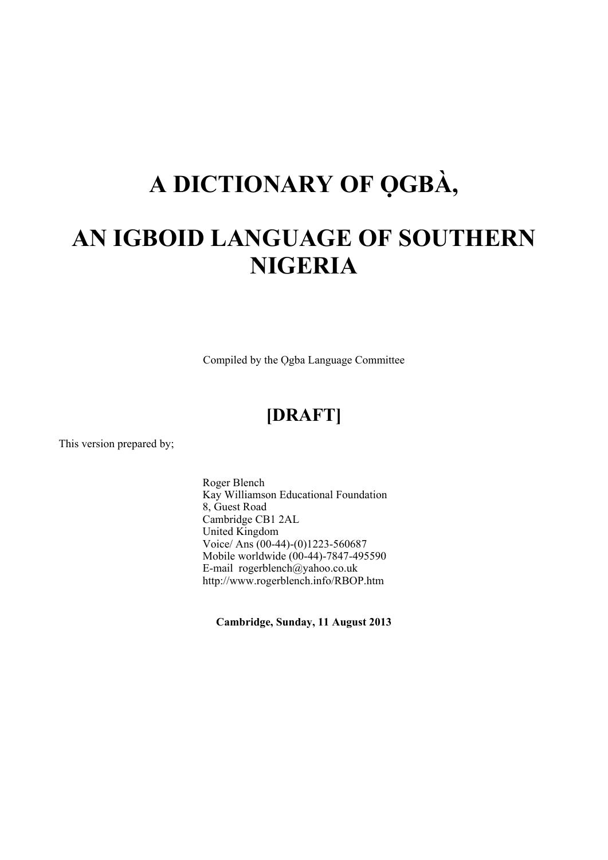## **A DICTIONARY OF ỌGBÀ,**

# **AN IGBOID LANGUAGE OF SOUTHERN NIGERIA**

Compiled by the Ọgba Language Committee

## **[DRAFT]**

This version prepared by;

Roger Blench Kay Williamson Educational Foundation 8, Guest Road Cambridge CB1 2AL United Kingdom Voice/ Ans (00-44)-(0)1223-560687 Mobile worldwide (00-44)-7847-495590 E-mail rogerblench@yahoo.co.uk http://www.rogerblench.info/RBOP.htm

**Cambridge, Sunday, 11 August 2013**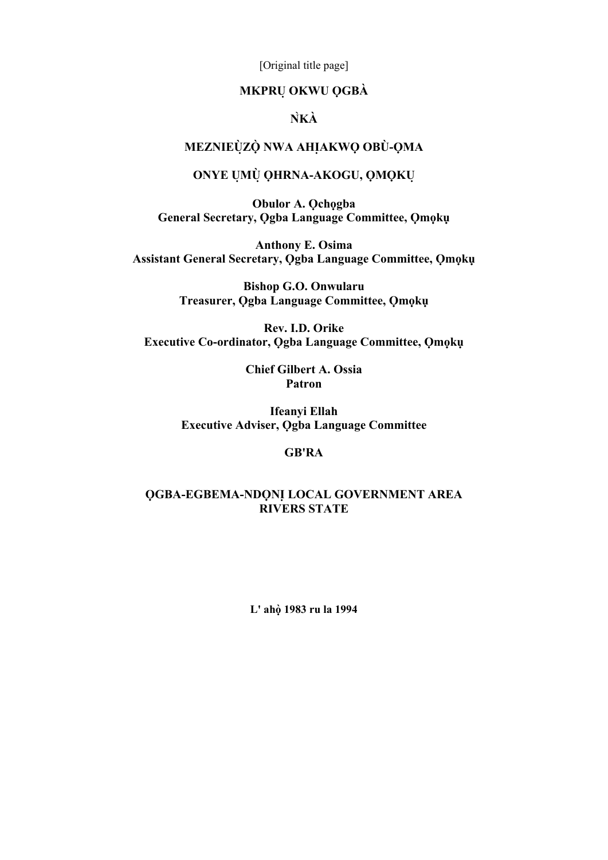[Original title page]

#### **MKPRU**¢ **OKWU ỌGBÀ**

### $\dot{N}$  $\dot{K}$  $\dot{A}$

## **MEZNIEÙ**¢**ZỌ̀ NWA AHI**¢**AKWỌ OBÙ-ỌMA**

## **ONYE U**¢**MÙ**¢ **ỌHRNA-AKOGU, ỌMỌKU**¢

**Obulor A. Ọchọgba General Secretary, Ọgba Language Committee, Ọmọkụ**

**Anthony E. Osima Assistant General Secretary, Ọgba Language Committee, Ọmọkụ**

> **Bishop G.O. Onwularu Treasurer, Ọgba Language Committee, Ọmọkụ**

**Rev. I.D. Orike Executive Co-ordinator, Ọgba Language Committee, Ọmọkụ**

> **Chief Gilbert A. Ossia Patron**

**Ifeanyi Ellah Executive Adviser, Ọgba Language Committee** 

#### **GB'RA**

#### **ỌGBA-EGBEMA-NDỌNI**¢ **LOCAL GOVERNMENT AREA RIVERS STATE**

**L' ahọ̀ 1983 ru la 1994**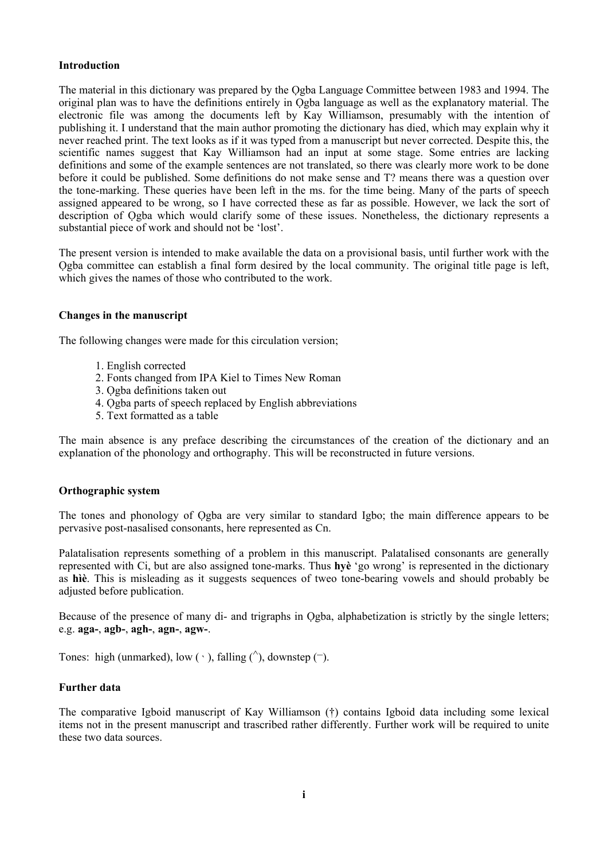#### **Introduction**

The material in this dictionary was prepared by the Ọgba Language Committee between 1983 and 1994. The original plan was to have the definitions entirely in Ọgba language as well as the explanatory material. The electronic file was among the documents left by Kay Williamson, presumably with the intention of publishing it. I understand that the main author promoting the dictionary has died, which may explain why it never reached print. The text looks as if it was typed from a manuscript but never corrected. Despite this, the scientific names suggest that Kay Williamson had an input at some stage. Some entries are lacking definitions and some of the example sentences are not translated, so there was clearly more work to be done before it could be published. Some definitions do not make sense and T? means there was a question over the tone-marking. These queries have been left in the ms. for the time being. Many of the parts of speech assigned appeared to be wrong, so I have corrected these as far as possible. However, we lack the sort of description of Ọgba which would clarify some of these issues. Nonetheless, the dictionary represents a substantial piece of work and should not be 'lost'.

The present version is intended to make available the data on a provisional basis, until further work with the Ọgba committee can establish a final form desired by the local community. The original title page is left, which gives the names of those who contributed to the work.

#### **Changes in the manuscript**

The following changes were made for this circulation version;

- 1. English corrected
- 2. Fonts changed from IPA Kiel to Times New Roman
- 3. Ọgba definitions taken out
- 4. Ọgba parts of speech replaced by English abbreviations
- 5. Text formatted as a table

The main absence is any preface describing the circumstances of the creation of the dictionary and an explanation of the phonology and orthography. This will be reconstructed in future versions.

#### **Orthographic system**

The tones and phonology of Ọgba are very similar to standard Igbo; the main difference appears to be pervasive post-nasalised consonants, here represented as Cn.

Palatalisation represents something of a problem in this manuscript. Palatalised consonants are generally represented with Ci, but are also assigned tone-marks. Thus **hyè** 'go wrong' is represented in the dictionary as **hìè**. This is misleading as it suggests sequences of tweo tone-bearing vowels and should probably be adjusted before publication.

Because of the presence of many di- and trigraphs in Ọgba, alphabetization is strictly by the single letters; e.g. **aga-**, **agb-**, **agh-**, **agn-**, **agw-**.

Tones: high (unmarked), low  $(\cdot)$ , falling  $(\hat{\ })$ , downstep  $(\hat{\ })$ .

#### **Further data**

The comparative Igboid manuscript of Kay Williamson (†) contains Igboid data including some lexical items not in the present manuscript and trascribed rather differently. Further work will be required to unite these two data sources.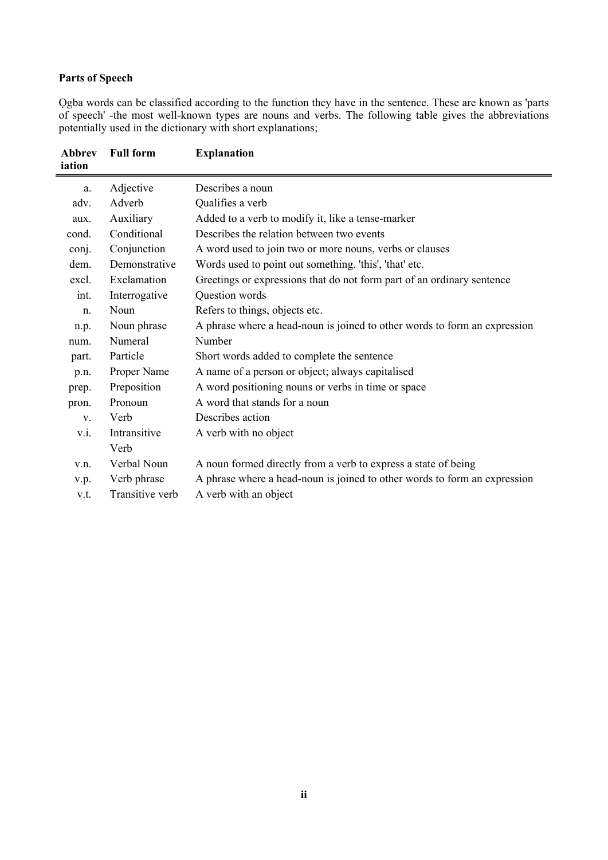#### **Parts of Speech**

Ọgba words can be classified according to the function they have in the sentence. These are known as 'parts of speech' -the most well-known types are nouns and verbs. The following table gives the abbreviations potentially used in the dictionary with short explanations;

| Abbrev<br>iation | <b>Full form</b> | <b>Explanation</b>                                                        |
|------------------|------------------|---------------------------------------------------------------------------|
| a.               | Adjective        | Describes a noun                                                          |
| adv.             | Adverb           | Qualifies a verb                                                          |
| aux.             | Auxiliary        | Added to a verb to modify it, like a tense-marker                         |
| cond.            | Conditional      | Describes the relation between two events                                 |
| conj.            | Conjunction      | A word used to join two or more nouns, verbs or clauses                   |
| dem.             | Demonstrative    | Words used to point out something. 'this', 'that' etc.                    |
| excl.            | Exclamation      | Greetings or expressions that do not form part of an ordinary sentence    |
| int.             | Interrogative    | Question words                                                            |
| n.               | Noun             | Refers to things, objects etc.                                            |
| n.p.             | Noun phrase      | A phrase where a head-noun is joined to other words to form an expression |
| num.             | Numeral          | Number                                                                    |
| part.            | Particle         | Short words added to complete the sentence                                |
| p.n.             | Proper Name      | A name of a person or object; always capitalised                          |
| prep.            | Preposition      | A word positioning nouns or verbs in time or space                        |
| pron.            | Pronoun          | A word that stands for a noun                                             |
| V.               | Verb             | Describes action                                                          |
| $V.\dot{1}$ .    | Intransitive     | A verb with no object                                                     |
|                  | Verb             |                                                                           |
| v.n.             | Verbal Noun      | A noun formed directly from a verb to express a state of being            |
| v.p.             | Verb phrase      | A phrase where a head-noun is joined to other words to form an expression |
| v.t.             | Transitive verb  | A verb with an object                                                     |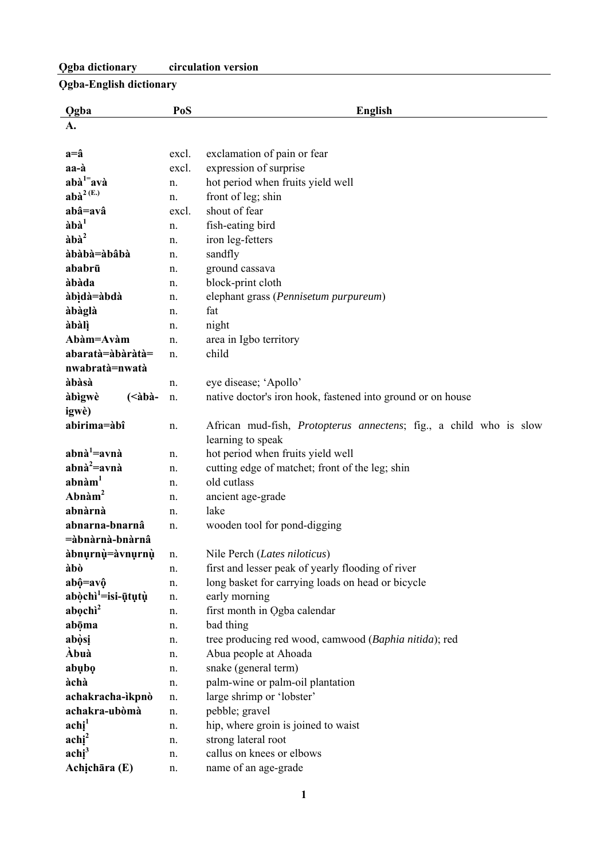## **Ọgba dictionary circulation version**

### **Ọgba-English dictionary**

| <b>Ogba</b>                                   | PoS   | <b>English</b>                                                             |
|-----------------------------------------------|-------|----------------------------------------------------------------------------|
| А.                                            |       |                                                                            |
|                                               |       |                                                                            |
| $a = \hat{a}$                                 | excl. | exclamation of pain or fear                                                |
| aa-à                                          | excl. | expression of surprise                                                     |
| $ab\grave{a}^{1}=av\grave{a}$                 | n.    | hot period when fruits yield well                                          |
| $ab\mathring{a}^{2(E)}$                       | n.    | front of leg; shin                                                         |
| abâ=avâ                                       | excl. | shout of fear                                                              |
| àbà <sup>1</sup>                              | n.    | fish-eating bird                                                           |
| $\dot{a} b \dot{a}^2$                         | n.    | iron leg-fetters                                                           |
| àbàbà=àbâbà                                   | n.    | sandfly                                                                    |
| ababrū                                        | n.    | ground cassava                                                             |
| àbàda                                         | n.    | block-print cloth                                                          |
| àbìdà=àbdà                                    | n.    | elephant grass (Pennisetum purpureum)                                      |
| àbàglà                                        | n.    | fat                                                                        |
| àbàlì                                         | n.    | night                                                                      |
| Abàm=Avàm                                     | n.    | area in Igbo territory                                                     |
| abaratà=àbàràtà=                              | n.    | child                                                                      |
| nwabratà=nwatà                                |       |                                                                            |
| àbàsà                                         | n.    | eye disease; 'Apollo'                                                      |
| $(àbà-$<br>àbìgwè                             | n.    | native doctor's iron hook, fastened into ground or on house                |
| igwè)                                         |       |                                                                            |
| abirima=àbî                                   | n.    | African mud-fish, <i>Protopterus annectens</i> ; fig., a child who is slow |
|                                               |       | learning to speak                                                          |
| $abn\lambda^1 = avn\lambda$                   | n.    | hot period when fruits yield well                                          |
| $abn\lambda^2 = avn\lambda$                   | n.    | cutting edge of matchet; front of the leg; shin                            |
| $abn\$ <sup>1</sup>                           | n.    | old cutlass                                                                |
| $Abn\$ <sup>2</sup>                           | n.    | ancient age-grade                                                          |
| abnàrnà                                       | n.    | lake                                                                       |
| abnarna-bnarnâ                                | n.    | wooden tool for pond-digging                                               |
| =àbnàrnà-bnàrnâ                               |       |                                                                            |
| àbnurnù=àvnurnù                               | n.    | Nile Perch (Lates niloticus)                                               |
| àbò                                           | n.    | first and lesser peak of yearly flooding of river                          |
| abộ=avộ                                       | n.    | long basket for carrying loads on head or bicycle                          |
| $ab\dot{\phi}$ chì <sup>1</sup> =isi-ū̯tu̯tu̯ | n.    | early morning                                                              |
| $ab\varphi$ chì <sup>2</sup>                  | n.    | first month in Ogba calendar                                               |
| abōma                                         | n.    | bad thing                                                                  |
| abòsi                                         | n.    | tree producing red wood, camwood (Baphia nitida); red                      |
| Àbuà                                          | n.    | Abua people at Ahoada                                                      |
| abubo                                         | n.    | snake (general term)                                                       |
| àchà                                          | n.    | palm-wine or palm-oil plantation                                           |
| achakracha-ìkpnò                              | n.    | large shrimp or 'lobster'                                                  |
| achakra-ubòmà                                 | n.    | pebble; gravel                                                             |
| achi <sup>1</sup>                             | n.    | hip, where groin is joined to waist                                        |
| $\mathbf{achi}^2$                             | n.    | strong lateral root                                                        |
| achi <sup>3</sup>                             | n.    | callus on knees or elbows                                                  |
| Achichara (E)                                 | n.    | name of an age-grade                                                       |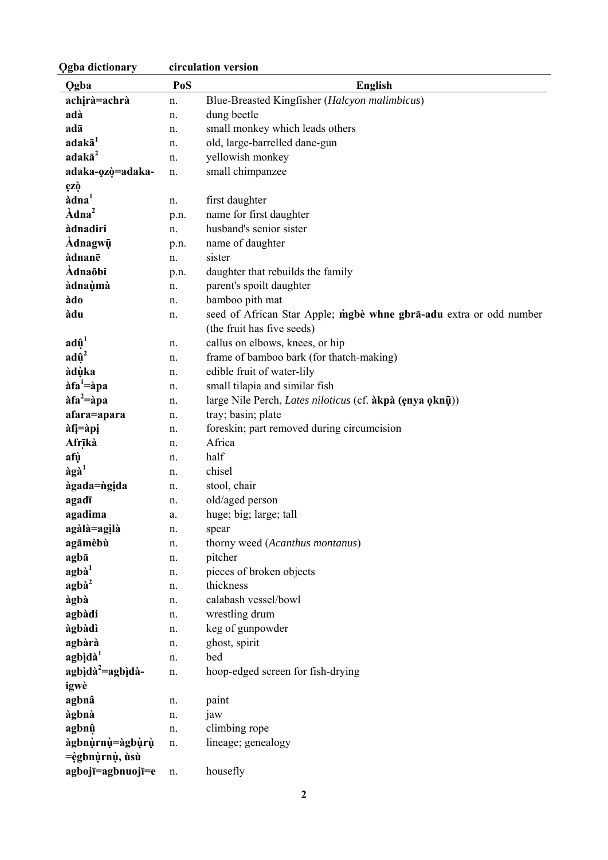| <b>Qgba</b> dictionary                   |      | circulation version                                                |
|------------------------------------------|------|--------------------------------------------------------------------|
| <b>Ogba</b>                              | PoS  | <b>English</b>                                                     |
| achirà=achrà                             | n.   | Blue-Breasted Kingfisher (Halcyon malimbicus)                      |
| adà                                      | n.   | dung beetle                                                        |
| adā                                      | n.   | small monkey which leads others                                    |
| adakā <sup>1</sup>                       | n.   | old, large-barrelled dane-gun                                      |
| $adak\bar{a}^2$                          | n.   | yellowish monkey                                                   |
| adaka-ozò=adaka-                         | n.   | small chimpanzee                                                   |
| ęzò                                      |      |                                                                    |
| àdna <sup>1</sup>                        | n.   | first daughter                                                     |
| Àdna <sup>2</sup>                        | p.n. | name for first daughter                                            |
| àdnadiri                                 | n.   | husband's senior sister                                            |
| Adnagwū                                  | p.n. | name of daughter                                                   |
| àdnanē                                   | n.   | sister                                                             |
| <b>Adnaōbi</b>                           | p.n. | daughter that rebuilds the family                                  |
| àdnaùmà                                  | n.   | parent's spoilt daughter                                           |
| àdo                                      | n.   | bamboo pith mat                                                    |
| àdu                                      | n.   | seed of African Star Apple; mgbè whne gbra-adu extra or odd number |
|                                          |      | (the fruit has five seeds)                                         |
| adû <sup>1</sup>                         | n.   | callus on elbows, knees, or hip                                    |
| $\text{ad}\hat{\mu}^2$                   | n.   | frame of bamboo bark (for thatch-making)                           |
| àdùka                                    | n.   | edible fruit of water-lily                                         |
| $\hat{a}fa^1 = \hat{a}pa$                | n.   | small tilapia and similar fish                                     |
| $\hat{a}$ fa <sup>2</sup> = $\hat{a}$ pa | n.   | large Nile Perch, Lates niloticus (cf. àkpà (enya oknū))           |
| afara=apara                              | n.   | tray; basin; plate                                                 |
| àfi=àpi                                  | n.   | foreskin; part removed during circumcision                         |
| Afrīkà                                   | n.   | Africa                                                             |
| afù                                      | n.   | half                                                               |
| $\mathbf{a} \mathbf{g} \mathbf{a}^1$     | n.   | chisel                                                             |
| àgada=ngida                              | n.   | stool, chair                                                       |
| agadī                                    | n.   | old/aged person                                                    |
| agadima                                  | a.   | huge; big; large; tall                                             |
| agàlà=agìlà                              | n.   | spear                                                              |
| agāmèbù                                  | n.   | thorny weed (Acanthus montanus)                                    |
| agbā                                     | n.   | pitcher                                                            |
| $agb\grave{a}^1$                         | n.   | pieces of broken objects                                           |
| $agb\grave{a}^2$                         | n.   | thickness                                                          |
| àgbà                                     | n.   | calabash vessel/bowl                                               |
| agbàdi                                   | n.   | wrestling drum                                                     |
| àgbàdì                                   | n.   | keg of gunpowder                                                   |
| agbàrà                                   | n.   | ghost, spirit                                                      |
| agbìdà <sup>1</sup>                      | n.   | bed                                                                |
| agbìdà <sup>2</sup> =agbìdà-             | n.   | hoop-edged screen for fish-drying                                  |
| igwè                                     |      |                                                                    |
| agbnâ                                    | n.   | paint                                                              |
| àgbnà                                    | n.   | jaw                                                                |
| agbnû                                    | n.   | climbing rope                                                      |
| àgbnùrnù=àgbùrù                          | n.   | lineage; genealogy                                                 |
| =ègbnùrnù, ùsù                           |      |                                                                    |
| agbojī=agbnuojī=e                        | n.   | housefly                                                           |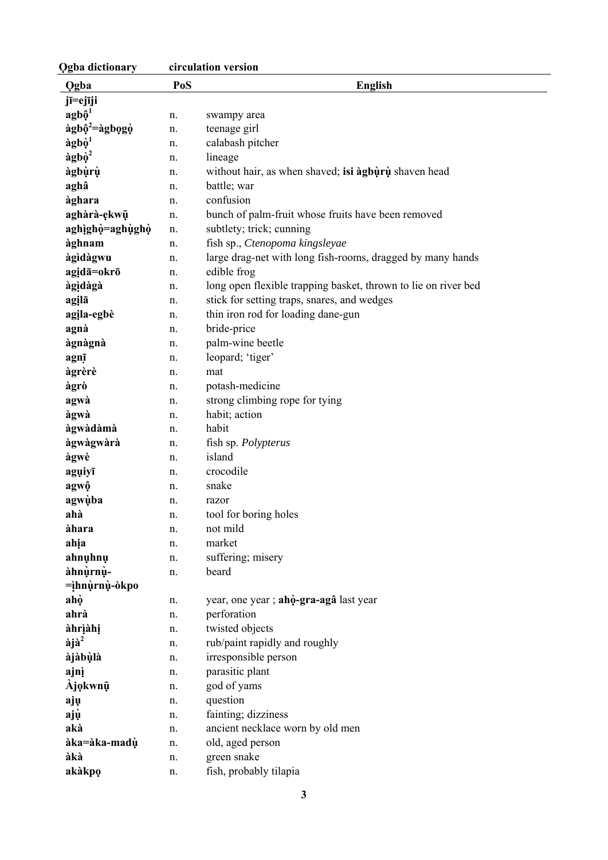| <b>Ogba dictionary</b>                                    |     | circulation version                                            |
|-----------------------------------------------------------|-----|----------------------------------------------------------------|
| <b>Qgba</b>                                               | PoS | <b>English</b>                                                 |
| jī=ejīji                                                  |     |                                                                |
| agbộ <sup>1</sup>                                         | n.  | swampy area                                                    |
| $\hat{a}$ gb $\hat{\rho}^2$ = $\hat{a}$ gbog $\hat{\rho}$ | n.  | teenage girl                                                   |
| àgbò <sup>1</sup>                                         | n.  | calabash pitcher                                               |
| àgbò <sup>2</sup>                                         | n.  | lineage                                                        |
| àgbùrù                                                    | n.  | without hair, as when shaved; isi àgburu shaven head           |
| aghâ                                                      | n.  | battle; war                                                    |
| àghara                                                    | n.  | confusion                                                      |
| aghàrà-ękwū                                               | n.  | bunch of palm-fruit whose fruits have been removed             |
| aghìghò=aghùghò                                           | n.  | subtlety; trick; cunning                                       |
| àghnam                                                    | n.  | fish sp., Ctenopoma kingsleyae                                 |
| àgìdàgwu                                                  | n.  | large drag-net with long fish-rooms, dragged by many hands     |
| agįdā=okrō                                                | n.  | edible frog                                                    |
| àgìdàgà                                                   | n.  | long open flexible trapping basket, thrown to lie on river bed |
| agilā                                                     | n.  | stick for setting traps, snares, and wedges                    |
| agila-egbè                                                | n.  | thin iron rod for loading dane-gun                             |
| agnà                                                      | n.  | bride-price                                                    |
| àgnàgnà                                                   | n.  | palm-wine beetle                                               |
| agnī                                                      | n.  | leopard; 'tiger'                                               |
| àgrèrè                                                    | n.  | mat                                                            |
| àgrò                                                      | n.  | potash-medicine                                                |
| agwà                                                      | n.  | strong climbing rope for tying                                 |
| àgwà                                                      | n.  | habit; action                                                  |
| àgwàdàmà                                                  | n.  | habit                                                          |
| àgwàgwàrà                                                 | n.  | fish sp. Polypterus                                            |
| àgwè                                                      | n.  | island                                                         |
| aguiyī                                                    | n.  | crocodile                                                      |
| agwộ                                                      | n.  | snake                                                          |
| agwùba                                                    | n.  | razor                                                          |
| ahà                                                       | n.  | tool for boring holes                                          |
| àhara                                                     | n.  | not mild                                                       |
| ahia                                                      | n.  | market                                                         |
| ahnuhnu                                                   | n.  | suffering; misery                                              |
| àhnùrnù-                                                  | n.  | beard                                                          |
| =ìhnùrnù-òkpo                                             |     |                                                                |
| ahò                                                       | n.  | year, one year; ahò-gra-agâ last year                          |
| ahrà                                                      | n.  | perforation                                                    |
| àhrìàhị                                                   | n.  | twisted objects                                                |
| $\dot{a}j\dot{a}^2$                                       | n.  | rub/paint rapidly and roughly                                  |
| àjàbùlà                                                   | n.  | irresponsible person                                           |
| ajnì                                                      | n.  | parasitic plant                                                |
| Ajokwnū                                                   | n.  | god of yams                                                    |
| ajų                                                       | n.  | question                                                       |
| ajų̀                                                      | n.  | fainting; dizziness                                            |
| akà                                                       | n.  | ancient necklace worn by old men                               |
| àka=àka-madù                                              | n.  | old, aged person                                               |
| àkà                                                       | n.  | green snake                                                    |
| akàkpọ                                                    | n.  | fish, probably tilapia                                         |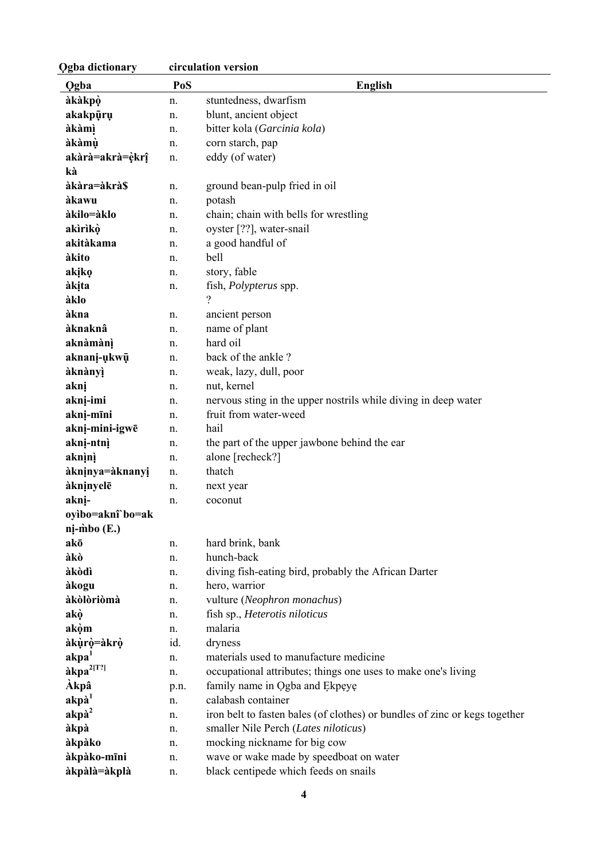| <b>Ogba dictionary</b> |      | circulation version                                                        |
|------------------------|------|----------------------------------------------------------------------------|
| <b>Qgba</b>            | PoS  | <b>English</b>                                                             |
| àkàkpò                 | n.   | stuntedness, dwarfism                                                      |
| akakpūrų               | n.   | blunt, ancient object                                                      |
| àkàmì                  | n.   | bitter kola (Garcinia kola)                                                |
| àkàmù                  | n.   | corn starch, pap                                                           |
| akàrà=akrà=ę̀krî       | n.   | eddy (of water)                                                            |
| kà                     |      |                                                                            |
| àkàra=àkrà\$           | n.   | ground bean-pulp fried in oil                                              |
| àkawu                  | n.   | potash                                                                     |
| àkilo=àklo             | n.   | chain; chain with bells for wrestling                                      |
| akirikò                | n.   | oyster [??], water-snail                                                   |
| akitàkama              | n.   | a good handful of                                                          |
| àkito                  | n.   | bell                                                                       |
| akiko                  | n.   | story, fable                                                               |
| àkịta                  | n.   | fish, <i>Polypterus</i> spp.                                               |
| àklo                   |      | $\gamma$                                                                   |
| àkna                   | n.   | ancient person                                                             |
| àknaknâ                | n.   | name of plant                                                              |
| aknàmànì               | n.   | hard oil                                                                   |
| aknanį-ųkwū            | n.   | back of the ankle?                                                         |
| àknànyì                | n.   | weak, lazy, dull, poor                                                     |
| aknį                   | n.   | nut, kernel                                                                |
| aknį-imi               | n.   | nervous sting in the upper nostrils while diving in deep water             |
| aknį-mīni              | n.   | fruit from water-weed                                                      |
| aknį-mini-igwē         | n.   | hail                                                                       |
| aknį-ntnį              | n.   | the part of the upper jawbone behind the ear                               |
| aknini                 | n.   | alone [recheck?]                                                           |
| àkninya=àknanyi        | n.   | thatch                                                                     |
| àkninyelē              | n.   | next year                                                                  |
| akni-                  | n.   | coconut                                                                    |
| oyìbo=aknî`bo=ak       |      |                                                                            |
| $ni$ -mbo $(E.)$       |      |                                                                            |
| akō                    | n.   | hard brink, bank                                                           |
| àkò                    | n.   | hunch-back                                                                 |
| àkòdì                  | n.   | diving fish-eating bird, probably the African Darter                       |
| àkogu                  | n.   | hero, warrior                                                              |
| àkòlòriòmà             | n.   | vulture (Neophron monachus)                                                |
| akò                    | n.   | fish sp., Heterotis niloticus                                              |
| akòm                   | n.   | malaria                                                                    |
| àkùrọ̀=àkrọ̀           | id.  | dryness                                                                    |
| akpa <sup>1</sup>      | n.   | materials used to manufacture medicine                                     |
| àkpa <sup>2[T?]</sup>  | n.   | occupational attributes; things one uses to make one's living              |
| Àkpâ                   | p.n. | family name in Ogba and Ekpeye                                             |
| akpà <sup>1</sup>      | n.   | calabash container                                                         |
| $akp\grave{a}^2$       | n.   | iron belt to fasten bales (of clothes) or bundles of zinc or kegs together |
| àkpà                   | n.   | smaller Nile Perch (Lates niloticus)                                       |
| àkpàko                 | n.   | mocking nickname for big cow                                               |
| àkpàko-mīni            | n.   | wave or wake made by speedboat on water                                    |
| àkpàlà=àkplà           | n.   | black centipede which feeds on snails                                      |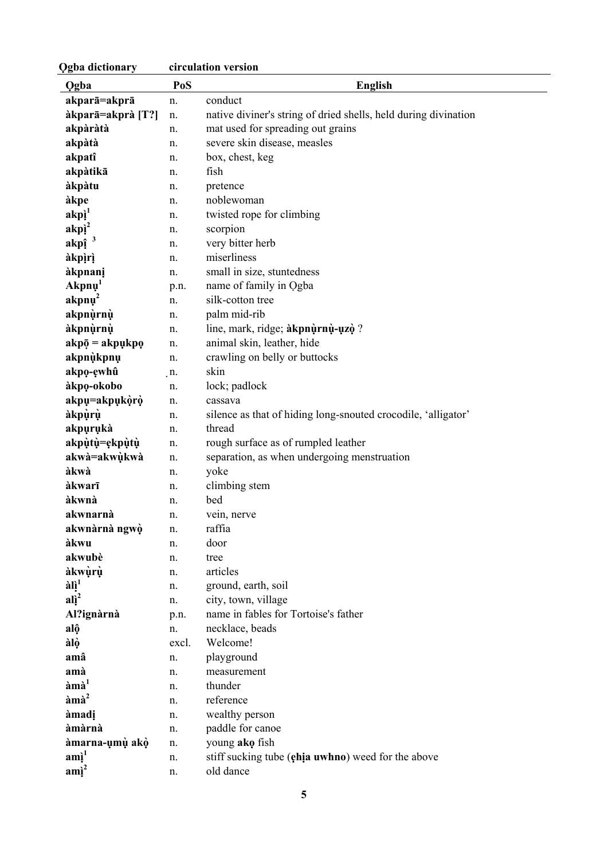| <b>Ogba dictionary</b>               |             | circulation version                                             |
|--------------------------------------|-------------|-----------------------------------------------------------------|
| <b>Ogba</b>                          | PoS         | <b>English</b>                                                  |
| akparā=akprā                         | n.          | conduct                                                         |
| àkparā=akprà [T?]                    | n.          | native diviner's string of dried shells, held during divination |
| akpàràtà                             | n.          | mat used for spreading out grains                               |
| akpàtà                               | n.          | severe skin disease, measles                                    |
| akpatî                               | n.          | box, chest, keg                                                 |
| akpàtikā                             | n.          | fish                                                            |
| àkpàtu                               | n.          | pretence                                                        |
| àkpe                                 | n.          | noblewoman                                                      |
| akpi <sup>1</sup>                    | n.          | twisted rope for climbing                                       |
| $akpi^2$                             | n.          | scorpion                                                        |
| $akpi^3$                             | n.          | very bitter herb                                                |
| àkpìrì                               | n.          | miserliness                                                     |
| àkpnanį                              | n.          | small in size, stuntedness                                      |
| Akpnu <sup>1</sup>                   | p.n.        | name of family in Ogba                                          |
| akpnu <sup>2</sup>                   | n.          | silk-cotton tree                                                |
| akpnùrnù                             | n.          | palm mid-rib                                                    |
| àkpnùrnù                             | n.          | line, mark, ridge; àkpnùrnù-uzò ?                               |
| $akp\bar{q} = akp\mu k p\bar{q}$     | n.          | animal skin, leather, hide                                      |
| akpnùkpnų                            | n.          | crawling on belly or buttocks                                   |
| akpo-ewhû                            | .n.         | skin                                                            |
| àkpo-okobo                           | n.          | lock; padlock                                                   |
| akpu=akpukòrò                        | n.          | cassava                                                         |
| àkpùrù                               | n.          | silence as that of hiding long-snouted crocodile, 'alligator'   |
| akpurukà                             | n.          | thread                                                          |
| akpùtù=ękpùtù                        | n.          | rough surface as of rumpled leather                             |
| akwà=akwùkwà                         | n.          | separation, as when undergoing menstruation                     |
| àkwà                                 | n.          | yoke                                                            |
| àkwarī                               | n.          | climbing stem                                                   |
| àkwnà                                | n.          | bed                                                             |
| akwnarnà                             | n.          | vein, nerve                                                     |
| akwnàrnà ngwò                        | n.          | raffia                                                          |
| àkwu                                 | n.          | door                                                            |
| akwubè                               | n.          | tree                                                            |
| àkwùrù                               | n.          | articles                                                        |
| àlì <sup>1</sup><br>$\mathbf{ali}^2$ | n.          | ground, earth, soil                                             |
|                                      | n.          | city, town, village<br>name in fables for Tortoise's father     |
| Al?ignàrnà<br>alộ                    | p.n.        | necklace, beads                                                 |
| àlò                                  | n.<br>excl. | Welcome!                                                        |
| amâ                                  | n.          | playground                                                      |
| amà                                  | n.          | measurement                                                     |
| àmà <sup>1</sup>                     | n.          | thunder                                                         |
| $\dot{a} m \dot{a}^2$                | n.          | reference                                                       |
| àmadi                                | n.          | wealthy person                                                  |
| àmàrnà                               | n.          | paddle for canoe                                                |
| àmarna-ụmụ akò                       | n.          | young ako fish                                                  |
| am <sub>i</sub> <sup>1</sup>         | n.          | stiff sucking tube ( <i>ehia</i> uwhno) weed for the above      |
| am <sub>i</sub> <sup>2</sup>         | n.          | old dance                                                       |
|                                      |             |                                                                 |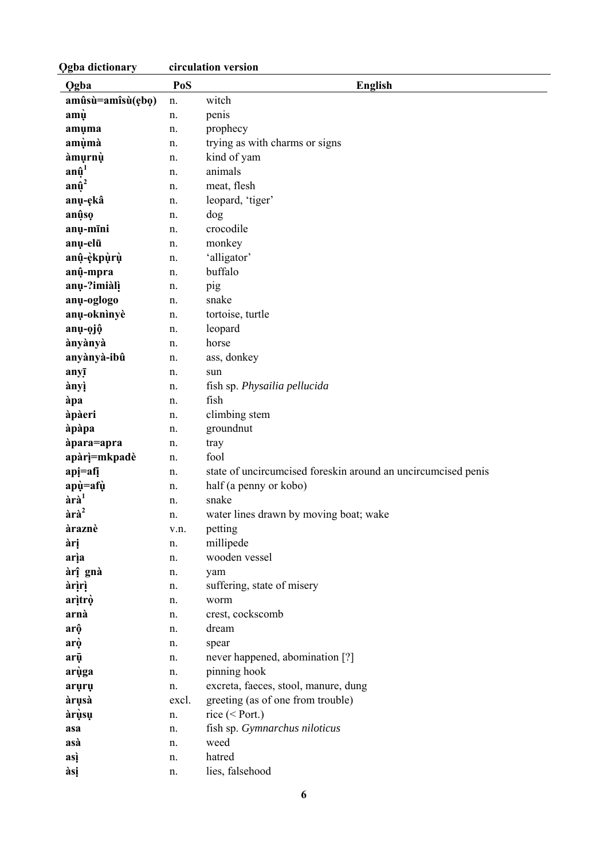| <b>Qgba</b> dictionary      |            | circulation version                                           |
|-----------------------------|------------|---------------------------------------------------------------|
| <b>Qgba</b>                 | PoS        | <b>English</b>                                                |
| amûsù=amîsù(ębo)            | n.         | witch                                                         |
| amù                         | n.         | penis                                                         |
| amuma                       | n.         | prophecy                                                      |
| amùmà                       | n.         | trying as with charms or signs                                |
| àmụrnù                      | n.         | kind of yam                                                   |
| $an\hat{\mu}^1$             | n.         | animals                                                       |
| $an\hat{u}^2$               | n.         | meat, flesh                                                   |
| anų-ękâ                     | n.         | leopard, 'tiger'                                              |
| anûso                       | n.         | dog                                                           |
| anų-mīni                    | n.         | crocodile                                                     |
| anų-elū                     | n.         | monkey                                                        |
| anû-èkpùrù                  | n.         | 'alligator'                                                   |
| anû-mpra                    | n.         | buffalo                                                       |
| anų-?imiàlį                 | n.         | pig                                                           |
| anų-oglogo                  | n.         | snake                                                         |
| anų-okninyè                 | n.         | tortoise, turtle                                              |
| anų-ojô                     | n.         | leopard                                                       |
| ànyànyà                     | n.         | horse                                                         |
| anyànyà-ibû                 | n.         | ass, donkey                                                   |
| anyī                        | n.         | sun                                                           |
| ànyì                        | n.         | fish sp. Physailia pellucida                                  |
| àpa                         | n.         | fish                                                          |
| àpàeri                      | n.         | climbing stem                                                 |
| àpàpa                       | n.         | groundnut                                                     |
| àpara=apra                  | n.         | tray                                                          |
| apàrì=mkpadè                | n.         | fool                                                          |
| api=afi                     | n.         | state of uncircumcised foreskin around an uncircumcised penis |
| apù=afù<br>àrà <sup>1</sup> | n.         | half (a penny or kobo)                                        |
| àrà <sup>2</sup>            | n.         | snake                                                         |
| àraznè                      | n.         | water lines drawn by moving boat; wake                        |
| àrị                         | v.n.<br>n. | petting<br>millipede                                          |
| arìa                        |            | wooden vessel                                                 |
| àrî gnà                     | n.<br>n.   | yam                                                           |
| àrìrì                       | n.         | suffering, state of misery                                    |
| aritrò                      | n.         | worm                                                          |
| arnà                        | n.         | crest, cockscomb                                              |
| arộ                         | n.         | dream                                                         |
| arò                         | n.         | spear                                                         |
| arū                         | n.         | never happened, abomination [?]                               |
| arùga                       | n.         | pinning hook                                                  |
| aruru                       | n.         | excreta, faeces, stool, manure, dung                          |
| àrụsà                       | excl.      | greeting (as of one from trouble)                             |
| àrùsụ                       | n.         | rice $(<$ Port.)                                              |
| asa                         | n.         | fish sp. Gymnarchus niloticus                                 |
| asà                         | n.         | weed                                                          |
| asì                         | n.         | hatred                                                        |
| àsị                         | n.         | lies, falsehood                                               |
|                             |            |                                                               |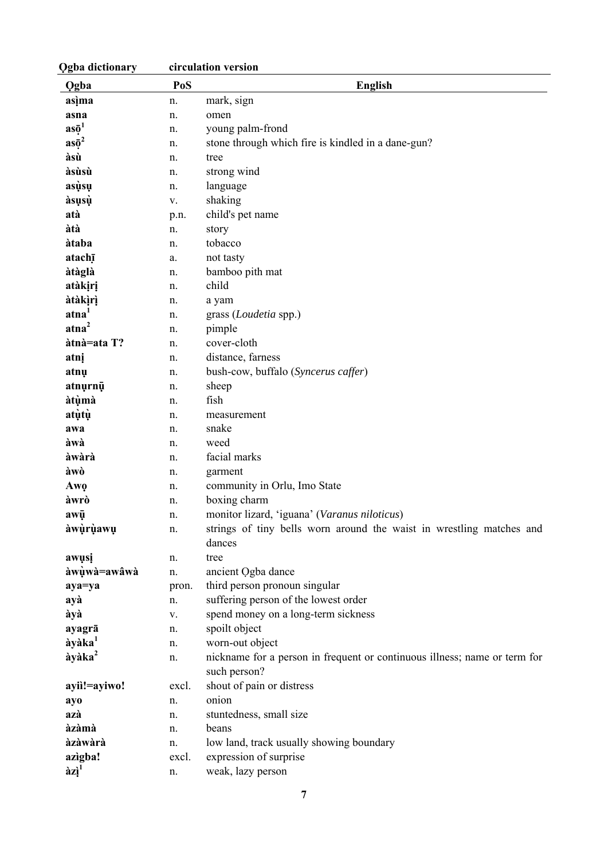| <b>Qgba</b> dictionary   |            | circulation version                                                                       |
|--------------------------|------------|-------------------------------------------------------------------------------------------|
| Ogba                     | PoS        | <b>English</b>                                                                            |
| asìma                    | n.         | mark, sign                                                                                |
| asna                     | n.         | omen                                                                                      |
| $as\overline{0}^1$       | n.         | young palm-frond                                                                          |
| $as\overline{Q}^2$       | n.         | stone through which fire is kindled in a dane-gun?                                        |
| àsù                      | n.         | tree                                                                                      |
| àsùsù                    | n.         | strong wind                                                                               |
| asùsu                    | n.         | language                                                                                  |
| àsụsụ                    | ${\bf V}.$ | shaking                                                                                   |
| atà                      | p.n.       | child's pet name                                                                          |
| àtà                      | n.         | story                                                                                     |
| àtaba                    | n.         | tobacco                                                                                   |
| atachī                   | a.         | not tasty                                                                                 |
| àtàglà                   | n.         | bamboo pith mat                                                                           |
| atàkiri                  | n.         | child                                                                                     |
| àtàkìrì                  | n.         | a yam                                                                                     |
| atna <sup>1</sup>        | n.         | grass (Loudetia spp.)                                                                     |
| atna <sup>2</sup>        | n.         | pimple                                                                                    |
| àtnà=ata T?              | n.         | cover-cloth                                                                               |
| atnį                     | n.         | distance, farness                                                                         |
| atnų                     | n.         | bush-cow, buffalo (Syncerus caffer)                                                       |
| atnurnū                  | n.         | sheep                                                                                     |
| àtùmà                    | n.         | fish                                                                                      |
| atùtù                    | n.         | measurement                                                                               |
| awa                      | n.         | snake                                                                                     |
| àwà                      | n.         | weed                                                                                      |
| àwàrà                    | n.         | facial marks                                                                              |
| àwò                      | n.         | garment                                                                                   |
| Awo                      | n.         | community in Orlu, Imo State                                                              |
| àwrò                     | n.         | boxing charm                                                                              |
| awū                      | n.         | monitor lizard, 'iguana' (Varanus niloticus)                                              |
| àwùrùawu                 | n.         | strings of tiny bells worn around the waist in wrestling matches and<br>dances            |
| awusi                    | n.         | tree                                                                                      |
| àwùwà=awâwà              | n.         | ancient Ogba dance                                                                        |
| aya=ya                   | pron.      | third person pronoun singular                                                             |
| ayà                      | n.         | suffering person of the lowest order                                                      |
| àyà                      | V.         | spend money on a long-term sickness                                                       |
| ayagrā                   | n.         | spoilt object                                                                             |
| àyàka <sup>1</sup>       | n.         | worn-out object                                                                           |
| àyàka <sup>2</sup>       | n.         | nickname for a person in frequent or continuous illness; name or term for<br>such person? |
| ayii!=ayiwo!             | excl.      | shout of pain or distress                                                                 |
| ayo                      | n.         | onion                                                                                     |
| azà                      | n.         | stuntedness, small size                                                                   |
| àzàmà                    | n.         | beans                                                                                     |
| àzàwàrà                  | n.         | low land, track usually showing boundary                                                  |
| azigba!                  | excl.      | expression of surprise                                                                    |
| $\lambda z$ <sup>1</sup> | n.         | weak, lazy person                                                                         |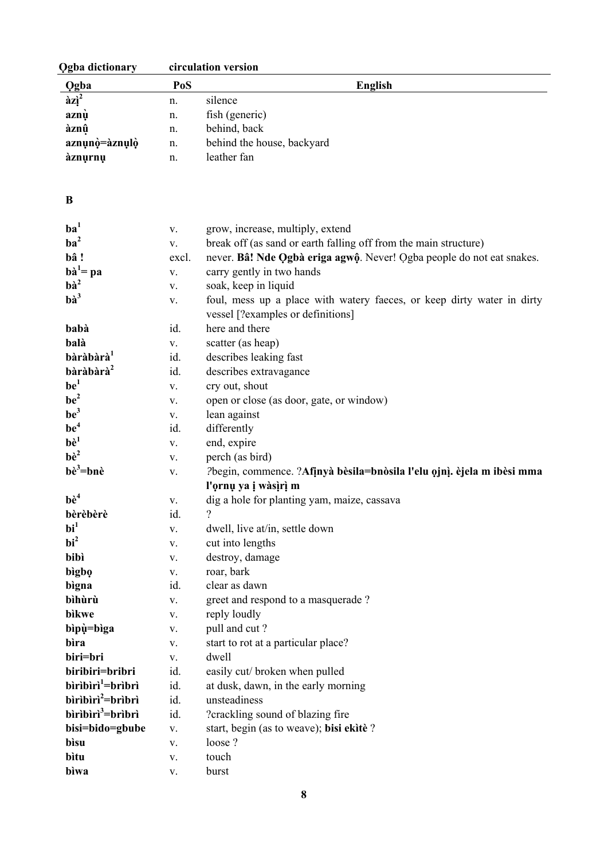| <b>Qgba dictionary</b>         |            | circulation version                                                    |
|--------------------------------|------------|------------------------------------------------------------------------|
| <b>Qgba</b>                    | PoS        | <b>English</b>                                                         |
| $\lambda z$ <sup>2</sup>       | n.         | silence                                                                |
| aznù                           | n.         | fish (generic)                                                         |
| àznû                           | n.         | behind, back                                                           |
| aznunò=àznulò                  | n.         | behind the house, backyard                                             |
| àznurnu                        | n.         | leather fan                                                            |
|                                |            |                                                                        |
| B                              |            |                                                                        |
| $ba1$                          | V.         | grow, increase, multiply, extend                                       |
| ba <sup>2</sup>                | ${\bf V}.$ | break off (as sand or earth falling off from the main structure)       |
| bâ!                            | excl.      | never. Bâ! Nde Ogbà eriga agwộ. Never! Ogba people do not eat snakes.  |
| $b\grave{a}^1$ = pa            | V.         | carry gently in two hands                                              |
| $b\grave{a}^2$                 | V.         | soak, keep in liquid                                                   |
| $b\dot{a}^3$                   | V.         | foul, mess up a place with watery faeces, or keep dirty water in dirty |
|                                |            | vessel [?examples or definitions]                                      |
| babà                           | id.        | here and there                                                         |
| balà                           | V.         | scatter (as heap)                                                      |
| bàràbàrà <sup>1</sup>          | id.        | describes leaking fast                                                 |
| bàràbàrà <sup>2</sup>          | id.        | describes extravagance                                                 |
| be <sup>1</sup>                | V.         | cry out, shout                                                         |
| ${\bf b} {\bf e}^2$            | V.         | open or close (as door, gate, or window)                               |
| be <sup>3</sup>                | V.         | lean against                                                           |
| be <sup>4</sup>                | id.        | differently                                                            |
| $b\grave{e}^1$                 | V.         | end, expire                                                            |
| $b\grave{e}^2$                 | V.         | perch (as bird)                                                        |
| $b\grave{e}^3$ =bn $\grave{e}$ | V.         | ?begin, commence. ?Afinyà bèsila=bnòsila l'elu ojnì. èjela m ibèsi mma |
|                                |            | l'ornu ya i wàsìrì m                                                   |
| $b\grave{e}^4$                 | V.         | dig a hole for planting yam, maize, cassava                            |
| bèrèbèrè                       | id.        | $\overline{\mathcal{C}}$                                               |
| $\mathbf{bi}^1$                | V.         | dwell, live at/in, settle down                                         |
| $\mathbf{bi}^2$                | V.         | cut into lengths                                                       |
| bibì                           | V.         | destroy, damage                                                        |
| bìgbọ                          | V.         | roar, bark                                                             |
| bìgna                          | id.        | clear as dawn                                                          |
| bìhùrù                         | V.         | greet and respond to a masquerade?                                     |
| bìkwe                          | V.         | reply loudly                                                           |
| bìpù=bìga                      | V.         | pull and cut?                                                          |
| bìra                           | V.         | start to rot at a particular place?                                    |
| biri=bri                       | V.         | dwell                                                                  |
| biribiri=bribri                | id.        | easily cut/ broken when pulled                                         |
| bìrìbìrì <sup>1</sup> =brìbrì  | id.        | at dusk, dawn, in the early morning                                    |
| bìrìbìrì <sup>2</sup> =brìbrì  | id.        | unsteadiness                                                           |
| bìrìbìrì <sup>3</sup> =brìbrì  | id.        | ?crackling sound of blazing fire                                       |
| bisi=bido=gbube                | V.         | start, begin (as to weave); bisi ekitè ?                               |
| bìsu                           | V.         | loose?                                                                 |
| bìtu                           | V.         | touch                                                                  |
| bìwa                           | ${\bf V}.$ | burst                                                                  |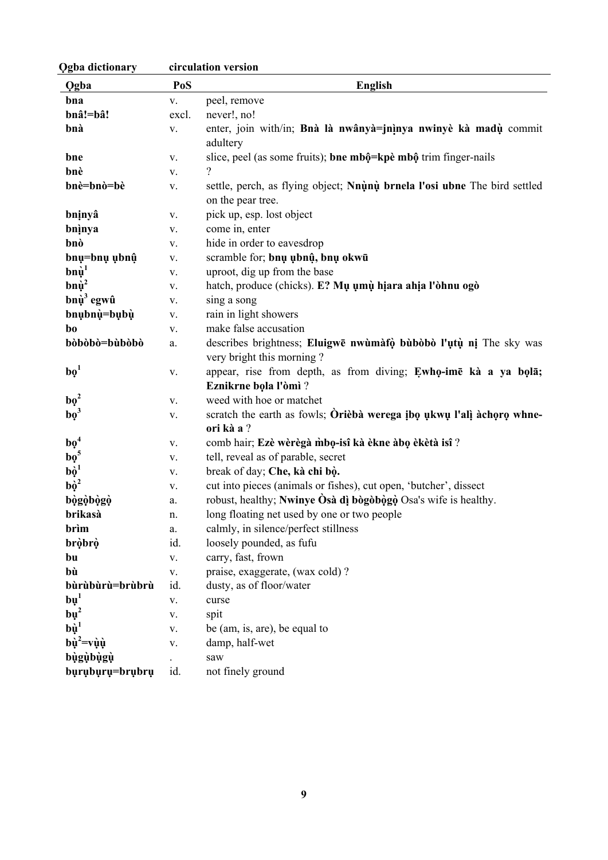| <b>Qgba dictionary</b>         | circulation version |                                                                                                |  |
|--------------------------------|---------------------|------------------------------------------------------------------------------------------------|--|
| <b>Qgba</b>                    | PoS                 | <b>English</b>                                                                                 |  |
| bna                            | V.                  | peel, remove                                                                                   |  |
| bnâ!=bâ!                       | excl.               | never!, no!                                                                                    |  |
| bnà                            | V.                  | enter, join with/in; Bnà là nwânyà=jnìnya nwinyè kà madù commit                                |  |
| bne                            | V.                  | adultery<br>slice, peel (as some fruits); bne mbộ=kpè mbộ trim finger-nails                    |  |
| bnè                            | V.                  | ?                                                                                              |  |
| bnè=bnò=bè                     | V.                  | settle, perch, as flying object; Nnunu brnela l'osi ubne The bird settled<br>on the pear tree. |  |
| bninyâ                         | V.                  | pick up, esp. lost object                                                                      |  |
| bnìnya                         | V.                  | come in, enter                                                                                 |  |
| bnò                            | V.                  | hide in order to eavesdrop                                                                     |  |
| bnụ=bnụ ụbnŷ                   | V.                  | scramble for; bnų ųbnų̂, bnų okwū                                                              |  |
| $b$ nų $^1$                    | V.                  | uproot, dig up from the base                                                                   |  |
| $b$ nų <sup>2</sup>            | V.                  | hatch, produce (chicks). E? Mụ ụmụ hịara ahịa l'òhnu ogò                                       |  |
| bnù <sup>3</sup> egwû          | V.                  | sing a song                                                                                    |  |
| bnubnù=bubù                    | V.                  | rain in light showers                                                                          |  |
| bo                             | V.                  | make false accusation                                                                          |  |
| bòbòbò=bùbòbò                  | a.                  | describes brightness; Eluigwē nwùmàfò bùbòbò l'ụtù nị The sky was<br>very bright this morning? |  |
| $b\varrho^1$                   | V.                  | appear, rise from depth, as from diving; Ewho-ime kà a ya bola;<br>Eznikrne bola l'òmì?        |  |
| $b\varphi^2$                   |                     | weed with hoe or matchet                                                                       |  |
| $b\varphi^3$                   | V.                  | scratch the earth as fowls; Orièbà werega ibo ukwu l'ali àchoro whne-                          |  |
|                                | V.                  | ori kà a?                                                                                      |  |
| $b\varphi^4$                   | V.                  | comb hair; Ezè wèrègà mbọ-isî kà èkne àbọ èkètà isî ?                                          |  |
| $b\varphi^5$                   | V.                  | tell, reveal as of parable, secret                                                             |  |
| $b\dot{\varphi}^1$             | V.                  | break of day; Che, kà chi bò.                                                                  |  |
| $b\dot{\rho}^2$                | V.                  | cut into pieces (animals or fishes), cut open, 'butcher', dissect                              |  |
| bògòbògò                       | a.                  | robust, healthy; Nwinye Òsà dì bògòbògò Osa's wife is healthy.                                 |  |
| brikasà                        | n.                  | long floating net used by one or two people                                                    |  |
| brìm                           | a.                  | calmly, in silence/perfect stillness                                                           |  |
| bròbrò                         | id.                 | loosely pounded, as fufu                                                                       |  |
| bu                             | V.                  | carry, fast, frown                                                                             |  |
| bù                             | V.                  | praise, exaggerate, (wax cold)?                                                                |  |
| bùrùbùrù=brùbrù                | id.                 | dusty, as of floor/water                                                                       |  |
| $bu1$                          | V.                  | curse                                                                                          |  |
| $b\mu^2$                       | V.                  | spit                                                                                           |  |
| $b\grave{\mu}^1$               | V.                  | be (am, is, are), be equal to                                                                  |  |
| $b\dot{u}^2 = v\dot{u}\dot{u}$ | V.                  | damp, half-wet                                                                                 |  |
| bùgùbùgù                       |                     | saw                                                                                            |  |
| buruburu=brubru                | id.                 | not finely ground                                                                              |  |
|                                |                     |                                                                                                |  |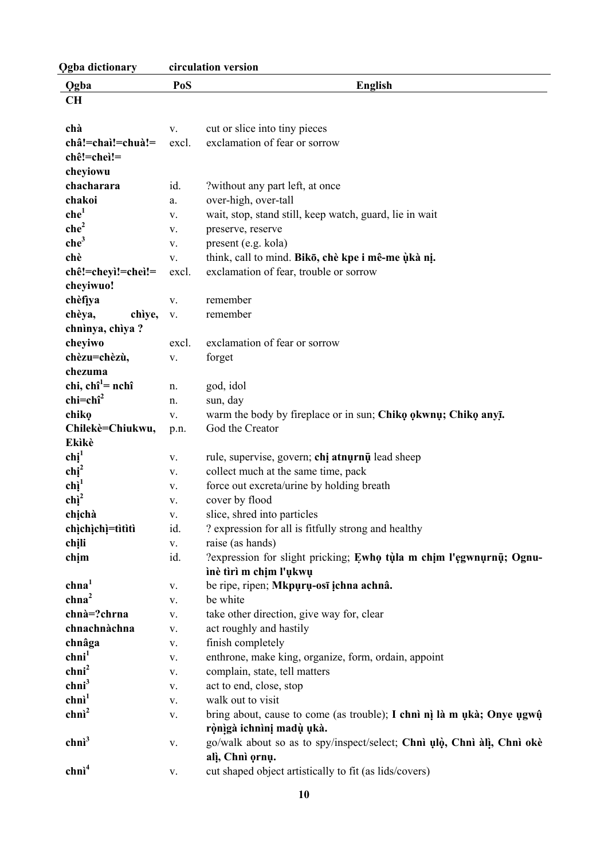| <b>Qgba dictionary</b>                 |       | circulation version                                                       |
|----------------------------------------|-------|---------------------------------------------------------------------------|
| <b>Qgba</b>                            | PoS   | <b>English</b>                                                            |
| <b>CH</b>                              |       |                                                                           |
|                                        |       |                                                                           |
| chà                                    | V.    | cut or slice into tiny pieces                                             |
| châ!=chaì!=chuà!=                      | excl. | exclamation of fear or sorrow                                             |
| chê!=cheì!=                            |       |                                                                           |
| cheyiowu                               |       |                                                                           |
| chacharara                             | id.   | ?without any part left, at once                                           |
| chakoi                                 | a.    | over-high, over-tall                                                      |
| che <sup>1</sup>                       | V.    | wait, stop, stand still, keep watch, guard, lie in wait                   |
| che <sup>2</sup>                       | V.    | preserve, reserve                                                         |
| che <sup>3</sup>                       | V.    | present (e.g. kola)                                                       |
| chè                                    | V.    | think, call to mind. Bikō, chè kpe i mê-me ùkà nị.                        |
| chê!=cheyì!=cheì!=                     | excl. | exclamation of fear, trouble or sorrow                                    |
| cheyiwuo!                              |       |                                                                           |
| chèfiya                                | V.    | remember                                                                  |
| chèya,<br>chìye,                       | V.    | remember                                                                  |
| chninya, chiya?                        |       |                                                                           |
| cheyiwo                                | excl. | exclamation of fear or sorrow                                             |
| chèzu=chèzù,                           | V.    | forget                                                                    |
| chezuma                                |       |                                                                           |
| chi, chî $^1$ = nchî                   | n.    | god, idol                                                                 |
| $chi=ch\hat{r}^2$                      | n.    | sun, day                                                                  |
| chiko                                  | V.    | warm the body by fireplace or in sun; Chiko okwnu; Chiko anyī.            |
| Chilekè=Chiukwu,                       | p.n.  | God the Creator                                                           |
| Ekìkè                                  |       |                                                                           |
| chi <sup>1</sup>                       | V.    | rule, supervise, govern; chi atnurnų lead sheep                           |
| $\text{chi}^2$                         | V.    | collect much at the same time, pack                                       |
| chì <sup>1</sup>                       | V.    | force out excreta/urine by holding breath                                 |
| $\mathbf{chi}^2$                       | V.    | cover by flood                                                            |
| chịchà                                 | V.    | slice, shred into particles                                               |
| chìchìchì=tìtìtì                       | id.   | ? expression for all is fitfully strong and healthy                       |
| chili                                  | V.    | raise (as hands)                                                          |
| chim                                   | id.   | ?expression for slight pricking; Ewho tùla m chim l'egwnurnū; Ognu-       |
|                                        |       | ìnè tìrì m chịm l'ụkwụ                                                    |
| chna <sup>1</sup><br>chna <sup>2</sup> | V.    | be ripe, ripen; Mkpuru-osī ichna achnâ.                                   |
|                                        | V.    | be white                                                                  |
| chnà=?chrna                            | V.    | take other direction, give way for, clear                                 |
| chnachnàchna                           | V.    | act roughly and hastily                                                   |
| chnâga<br>chni <sup>1</sup>            | V.    | finish completely<br>enthrone, make king, organize, form, ordain, appoint |
| chni <sup>2</sup>                      | V.    | complain, state, tell matters                                             |
| chni <sup>3</sup>                      | V.    | act to end, close, stop                                                   |
| chni <sup>1</sup>                      | V.    | walk out to visit                                                         |
| chni <sup>2</sup>                      | V.    | bring about, cause to come (as trouble); I chnì nì là m ukà; Onye ugwû    |
|                                        | V.    | rònìgà ichnìni madù ukà.                                                  |
| chni <sup>3</sup>                      |       | go/walk about so as to spy/inspect/select; Chnì ulò, Chnì àlì, Chnì okè   |
|                                        | V.    | alì, Chnì ornu.                                                           |
| chni <sup>4</sup>                      |       | cut shaped object artistically to fit (as lids/covers)                    |
|                                        | V.    |                                                                           |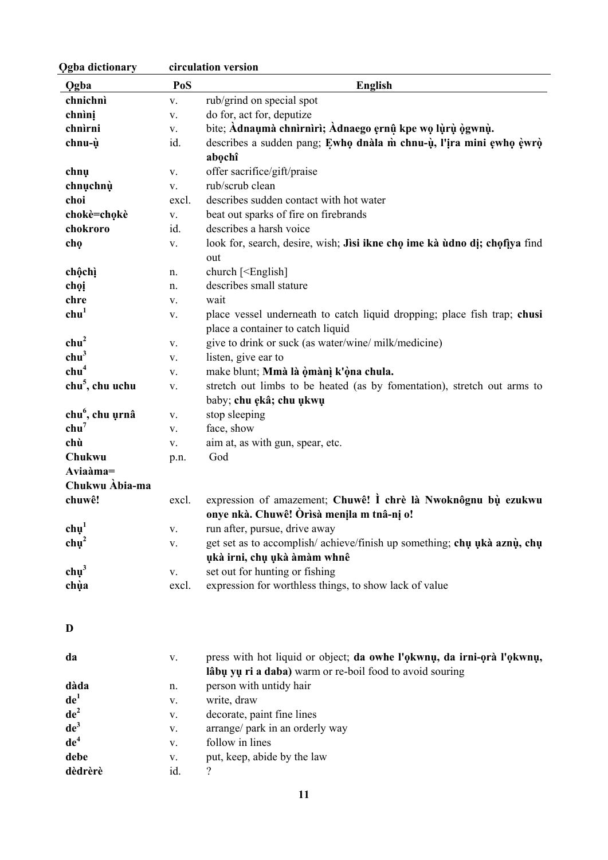| <b>Ogba dictionary</b>             |       | circulation version                                                        |
|------------------------------------|-------|----------------------------------------------------------------------------|
| <b>Ogba</b>                        | PoS   | <b>English</b>                                                             |
| chnichnì                           | V.    | rub/grind on special spot                                                  |
| chnìni                             | V.    | do for, act for, deputize                                                  |
| chnìrni                            | V.    | bite; Adnaumà chnirniri; Adnaego ernû kpe wo lùrù ògwnù.                   |
| chnu-ù                             | id.   | describes a sudden pang; Ewho dnàla m chnu-ù, l'ira mini ewho èwrò         |
|                                    |       | abochî                                                                     |
| chnu                               | V.    | offer sacrifice/gift/praise                                                |
| chnuchnu                           | V.    | rub/scrub clean                                                            |
| choi                               | excl. | describes sudden contact with hot water                                    |
| chokè=chokè                        | V.    | beat out sparks of fire on firebrands                                      |
| chokroro                           | id.   | describes a harsh voice                                                    |
| chọ                                | V.    | look for, search, desire, wish; Jisi ikne cho ime kà ùdno di; chofiya find |
|                                    |       | out                                                                        |
| chộchì                             | n.    | church $\leq$ English                                                      |
| chọi                               | n.    | describes small stature                                                    |
| chre                               | V.    | wait                                                                       |
| chu <sup>1</sup>                   | V.    | place vessel underneath to catch liquid dropping; place fish trap; chusi   |
|                                    |       | place a container to catch liquid                                          |
| chu <sup>2</sup>                   | V.    | give to drink or suck (as water/wine/ milk/medicine)                       |
| chu <sup>3</sup>                   | V.    | listen, give ear to                                                        |
| chu <sup>4</sup>                   | V.    | make blunt; Mmà là òmànì k'òna chula.                                      |
| chu <sup>5</sup> , chu uchu        | V.    | stretch out limbs to be heated (as by fomentation), stretch out arms to    |
|                                    |       | baby; chu ękâ; chu ųkwų                                                    |
| chu <sup>6</sup> , chu urnâ        | V.    | stop sleeping                                                              |
| chu <sup>7</sup>                   | V.    | face, show                                                                 |
| chù                                | V.    | aim at, as with gun, spear, etc.                                           |
| Chukwu                             | p.n.  | God                                                                        |
| Aviaàma=                           |       |                                                                            |
| Chukwu Abia-ma                     |       |                                                                            |
| chuwê!                             | excl. | expression of amazement; Chuwê! Ì chrè là Nwoknôgnu bù ezukwu              |
|                                    |       | onye nkà. Chuwê! Òrìsà menila m tnâ-ni o!                                  |
| chu <sup>1</sup>                   | V.    | run after, pursue, drive away                                              |
| chu <sup>2</sup>                   | V.    | get set as to accomplish/ achieve/finish up something; chu ukà aznù, chu   |
|                                    |       | ukà irni, chụ ukà àmàm whnê                                                |
| chu <sup>3</sup>                   | V.    | set out for hunting or fishing                                             |
| chùa                               | excl. | expression for worthless things, to show lack of value                     |
|                                    |       |                                                                            |
|                                    |       |                                                                            |
| D                                  |       |                                                                            |
|                                    |       |                                                                            |
| da                                 | V.    | press with hot liquid or object; da owhe l'okwnu, da irni-orà l'okwnu,     |
|                                    |       | lâbu yu ri a daba) warm or re-boil food to avoid souring                   |
| dàda<br>de <sup>1</sup>            | n.    | person with untidy hair                                                    |
|                                    | V.    | write, draw                                                                |
| de <sup>2</sup><br>de <sup>3</sup> | V.    | decorate, paint fine lines                                                 |
| de <sup>4</sup>                    | V.    | arrange/ park in an orderly way                                            |
|                                    | V.    | follow in lines                                                            |
| debe                               | V.    | put, keep, abide by the law                                                |
| dèdrèrè                            | id.   | $\gamma$                                                                   |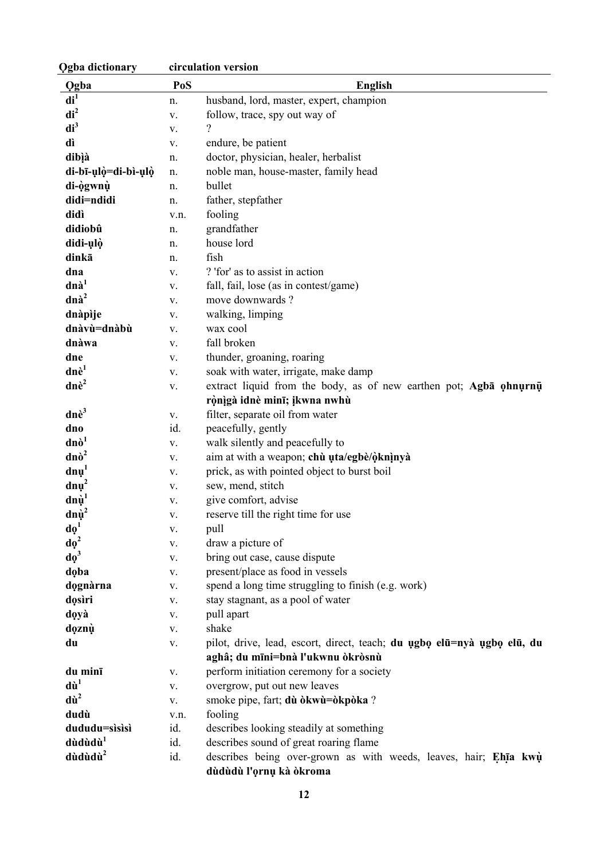| <b>Qgba</b> dictionary               | circulation version |                                                                         |  |
|--------------------------------------|---------------------|-------------------------------------------------------------------------|--|
| <b>Qgba</b>                          | PoS                 | <b>English</b>                                                          |  |
| di <sup>1</sup>                      | n.                  | husband, lord, master, expert, champion                                 |  |
| di <sup>2</sup>                      | V.                  | follow, trace, spy out way of                                           |  |
| di <sup>3</sup>                      | V.                  | $\gamma$                                                                |  |
| dì                                   | V.                  | endure, be patient                                                      |  |
| dibìà                                | n.                  | doctor, physician, healer, herbalist                                    |  |
| di-bī-ulò=di-bì-ulò                  | n.                  | noble man, house-master, family head                                    |  |
| di-ògwnù                             | n.                  | bullet                                                                  |  |
| didi=ndidi                           | n.                  | father, stepfather                                                      |  |
| didì                                 | v.n.                | fooling                                                                 |  |
| didiobû                              | n.                  | grandfather                                                             |  |
| didi-ulò                             | n.                  | house lord                                                              |  |
| dinkā                                | n.                  | fish                                                                    |  |
| dna                                  | V.                  | ? 'for' as to assist in action                                          |  |
| $dn\grave{a}^1$                      | V.                  | fall, fail, lose (as in contest/game)                                   |  |
| $dn\grave{a}^2$                      | V.                  | move downwards?                                                         |  |
| dnàpìje                              | V.                  | walking, limping                                                        |  |
| dnàvù=dnàbù                          | V.                  | wax cool                                                                |  |
| dnàwa                                | V.                  | fall broken                                                             |  |
| dne                                  | V.                  | thunder, groaning, roaring                                              |  |
| $dn\grave{e}^1$                      | V.                  | soak with water, irrigate, make damp                                    |  |
| $dn\grave{e}^2$                      | V.                  | extract liquid from the body, as of new earthen pot; Agba ohnurnu       |  |
|                                      |                     | rònigà idnè minī; įkwna nwhù                                            |  |
| dnè <sup>3</sup>                     | V.                  | filter, separate oil from water                                         |  |
| dno                                  | id.                 | peacefully, gently                                                      |  |
| $dn\delta^1$                         | V.                  | walk silently and peacefully to                                         |  |
| $dn\delta^2$                         | V.                  | aim at with a weapon; chù uta/egbè/òkninyà                              |  |
| $dn\mu$ <sup>1</sup>                 | V.                  | prick, as with pointed object to burst boil                             |  |
| $dn\mu^2$                            | V.                  | sew, mend, stitch                                                       |  |
| $dn\grave{u}^1$                      | V.                  | give comfort, advise                                                    |  |
| $dn\mathbf{u}^2$                     | V.                  | reserve till the right time for use                                     |  |
| $d\varphi^1$                         | V.                  | pull                                                                    |  |
| $d\varphi^2$                         | V.                  | draw a picture of                                                       |  |
| $d\varphi^3$                         | V.                  | bring out case, cause dispute                                           |  |
| doba                                 | V.                  | present/place as food in vessels                                        |  |
| dognàrna                             | V.                  | spend a long time struggling to finish (e.g. work)                      |  |
| dosìri                               | V.                  | stay stagnant, as a pool of water                                       |  |
| doyà                                 | V.                  | pull apart                                                              |  |
| dọznù                                | V.                  | shake                                                                   |  |
| du                                   | V.                  | pilot, drive, lead, escort, direct, teach; du ugbo elū=nyà ugbo elū, du |  |
|                                      |                     | aghâ; du mīni=bnà l'ukwnu òkròsnù                                       |  |
| du minī<br>$d\grave{u}^1$            | V.                  | perform initiation ceremony for a society                               |  |
|                                      | V.                  | overgrow, put out new leaves                                            |  |
| $d\tilde{u}^2$                       | V.                  | smoke pipe, fart; dù òkwù=òkpòka ?                                      |  |
| dudù                                 | v.n.                | fooling                                                                 |  |
| dududu=sisisi<br>dùdùdù <sup>1</sup> | id.<br>id.          | describes looking steadily at something                                 |  |
| dùdùdù <sup>2</sup>                  | id.                 | describes sound of great roaring flame                                  |  |
|                                      |                     | describes being over-grown as with weeds, leaves, hair; Ehīa kwù        |  |
|                                      |                     | dùdùdù l'ọrnụ kà òkroma                                                 |  |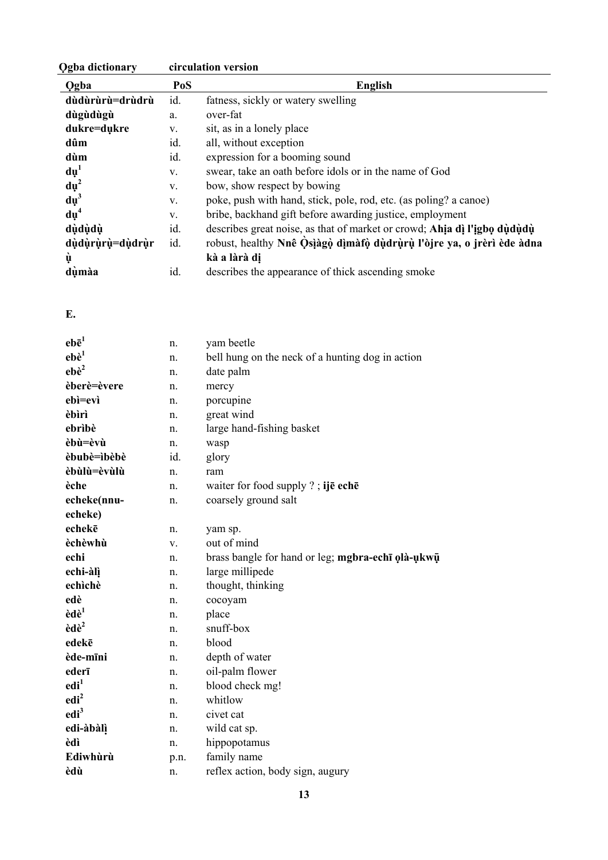| <b>Ogba dictionary</b> | circulation version |                                                                          |
|------------------------|---------------------|--------------------------------------------------------------------------|
| <b>Qgba</b>            | PoS                 | English                                                                  |
| dùdùrùrù=drùdrù        | id.                 | fatness, sickly or watery swelling                                       |
| dùgùdùgù               | a.                  | over-fat                                                                 |
| dukre=dukre            | V.                  | sit, as in a lonely place                                                |
| dûm                    | id.                 | all, without exception                                                   |
| dùm                    | id.                 | expression for a booming sound                                           |
| du <sup>1</sup>        | V.                  | swear, take an oath before idols or in the name of God                   |
| $du^2$                 | V.                  | bow, show respect by bowing                                              |
| $du^3$                 | V.                  | poke, push with hand, stick, pole, rod, etc. (as poling? a canoe)        |
| du <sup>4</sup>        | V.                  | bribe, backhand gift before awarding justice, employment                 |
| dùdùdù                 | id.                 | describes great noise, as that of market or crowd; Ahia dì l'igbo dùdudu |
| dùdùrùrù=dùdrùr        | id.                 | robust, healthy Nnê Qsiàgò dìmàfò dùdrùrù l'òjre ya, o jrèrì ède àdna    |
| Ų                      |                     | kà a làrà di                                                             |
| dùmàa                  | id.                 | describes the appearance of thick ascending smoke                        |

## **E.**

| $\mathbf{e} \mathbf{b} \mathbf{\bar{e}}^1$ | n.          | yam beetle                                        |
|--------------------------------------------|-------------|---------------------------------------------------|
| e b e <sup>1</sup>                         | n.          | bell hung on the neck of a hunting dog in action  |
| $e b e^2$                                  | n.          | date palm                                         |
| èberè=èvere                                | n.          | mercy                                             |
| ebì=evì                                    | n.          | porcupine                                         |
| èbìrì                                      | n.          | great wind                                        |
| ebrìbè                                     | n.          | large hand-fishing basket                         |
| èbù=èvù                                    | n.          | wasp                                              |
| èbubè=ìbèbè                                | id.         | glory                                             |
| èbùlù=èvùlù                                | n.          | ram                                               |
| èche                                       | n.          | waiter for food supply ?; ijē echē                |
| echeke(nnu-                                | n.          | coarsely ground salt                              |
| echeke)                                    |             |                                                   |
| echekē                                     | n.          | yam sp.                                           |
| èchèwhù                                    | V.          | out of mind                                       |
| echi                                       | n.          | brass bangle for hand or leg; mgbra-echī olà-ukwū |
| echi-àlì                                   | n.          | large millipede                                   |
| echìchè                                    | n.          | thought, thinking                                 |
| edè                                        | n.          | cocoyam                                           |
| èdè <sup>1</sup>                           | n.          | place                                             |
| $\dot{\text{e}}\text{d}\text{e}^2$         | n.          | snuff-box                                         |
| edekē                                      | n.          | blood                                             |
| ède-mīni                                   | n.          | depth of water                                    |
| ederī                                      | n.          | oil-palm flower                                   |
| edi <sup>1</sup>                           | n.          | blood check mg!                                   |
| edi <sup>2</sup>                           | $n_{\cdot}$ | whitlow                                           |
| edi <sup>3</sup>                           | n.          | civet cat                                         |
| edi-àbàlì                                  | n.          | wild cat sp.                                      |
| èdì                                        | n.          | hippopotamus                                      |
| Ediwhùrù                                   | p.n.        | family name                                       |
| èdù                                        | n.          | reflex action, body sign, augury                  |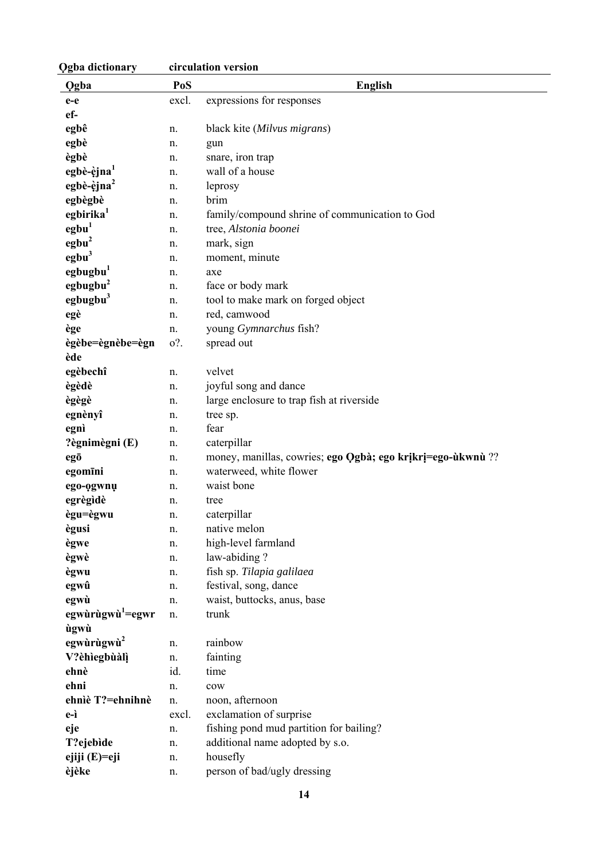| <b>Qgba</b> dictionary       | circulation version |                                                             |  |
|------------------------------|---------------------|-------------------------------------------------------------|--|
| <b>Qgba</b>                  | PoS                 | <b>English</b>                                              |  |
| $e-e$                        | excl.               | expressions for responses                                   |  |
| ef-                          |                     |                                                             |  |
| egbê                         | n.                  | black kite (Milvus migrans)                                 |  |
| egbè                         | n.                  | gun                                                         |  |
| ègbè                         | n.                  | snare, iron trap                                            |  |
| egbè-èjna <sup>1</sup>       | n.                  | wall of a house                                             |  |
| egbè-èjna <sup>2</sup>       | n.                  | leprosy                                                     |  |
| egbègbè                      | n.                  | brim                                                        |  |
| egbirika <sup>1</sup>        | n.                  | family/compound shrine of communication to God              |  |
| egbu <sup>1</sup>            | n.                  | tree, Alstonia boonei                                       |  |
| egbu <sup>2</sup>            | n.                  | mark, sign                                                  |  |
| egbu <sup>3</sup>            | n.                  | moment, minute                                              |  |
| egbugbu <sup>1</sup>         | n.                  | axe                                                         |  |
| egbugbu $2$                  | n.                  | face or body mark                                           |  |
| egbugbu $3$                  | n.                  | tool to make mark on forged object                          |  |
| egè                          | n.                  | red, camwood                                                |  |
| ège                          | n.                  | young Gymnarchus fish?                                      |  |
| ègèbe=ègnèbe=ègn             | o?.                 | spread out                                                  |  |
| ède                          |                     |                                                             |  |
| egèbechî                     | n.                  | velvet                                                      |  |
| ègèdè                        | n.                  | joyful song and dance                                       |  |
| ègègè                        | n.                  | large enclosure to trap fish at riverside                   |  |
| egnènyî                      | n.                  | tree sp.                                                    |  |
| egnì                         | n.                  | fear                                                        |  |
| ?ègnimègni (E)               | n.                  | caterpillar                                                 |  |
| egō                          | n.                  | money, manillas, cowries; ego Qgbà; ego krikri=ego-ùkwnù ?? |  |
| egomīni                      | n.                  | waterweed, white flower                                     |  |
| ego-ogwnu                    | n.                  | waist bone                                                  |  |
| egrègidè                     | n.                  | tree                                                        |  |
| ègu=ègwu                     | n.                  | caterpillar                                                 |  |
| ègusi                        | n.                  | native melon                                                |  |
| ègwe                         | n.                  | high-level farmland                                         |  |
| ègwè                         | n.                  | law-abiding?                                                |  |
| ègwu                         | n.                  | fish sp. Tilapia galilaea                                   |  |
| egwû                         | n.                  | festival, song, dance                                       |  |
| egwù                         | n.                  | waist, buttocks, anus, base                                 |  |
| egwùrùgwù <sup>1</sup> =egwr | n.                  | trunk                                                       |  |
| ùgwù                         |                     |                                                             |  |
| egwùrùgwù <sup>2</sup>       | n.                  | rainbow                                                     |  |
| V?èhìegbùàlì                 | n.                  | fainting                                                    |  |
| ehnè                         | id.                 | time                                                        |  |
| ehni                         | n.                  | cow                                                         |  |
| ehniè T?=ehnihnè             | n.                  | noon, afternoon                                             |  |
| e-ì                          | excl.               | exclamation of surprise                                     |  |
| eje                          | n.                  | fishing pond mud partition for bailing?                     |  |
| T?ejebìde                    | n.                  | additional name adopted by s.o.                             |  |
| ejiji $(E)$ =eji             | n.                  | housefly                                                    |  |
| èjèke                        | n.                  | person of bad/ugly dressing                                 |  |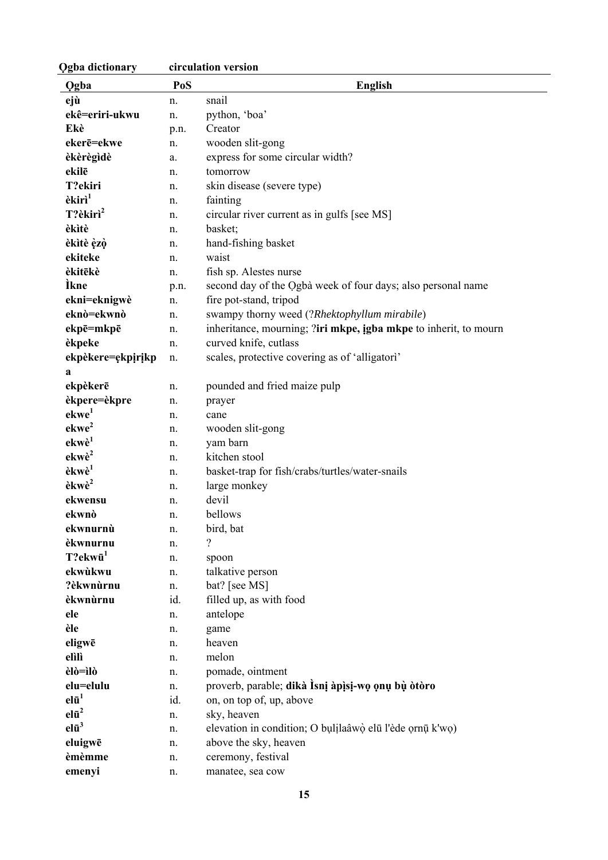| <b>Qgba</b> dictionary | circulation version |                                                                  |
|------------------------|---------------------|------------------------------------------------------------------|
| <b>Qgba</b>            | PoS                 | <b>English</b>                                                   |
| ejù                    | n.                  | snail                                                            |
| ekê=eriri-ukwu         | n.                  | python, 'boa'                                                    |
| Ekè                    | p.n.                | Creator                                                          |
| ekerē=ekwe             | n.                  | wooden slit-gong                                                 |
| èkèrègìdè              | a.                  | express for some circular width?                                 |
| ekilē                  | n.                  | tomorrow                                                         |
| T?ekiri                | n.                  | skin disease (severe type)                                       |
| èkirì <sup>1</sup>     | n.                  | fainting                                                         |
| T?èkirì <sup>2</sup>   | n.                  | circular river current as in gulfs [see MS]                      |
| èkìtè                  | n.                  | basket;                                                          |
| èkitè èzò              | n.                  | hand-fishing basket                                              |
| ekiteke                | n.                  | waist                                                            |
| èkitēkè                | n.                  | fish sp. Alestes nurse                                           |
| <i>ikne</i>            | p.n.                | second day of the Ogbà week of four days; also personal name     |
| ekni=eknigwè           | n.                  | fire pot-stand, tripod                                           |
| eknò=ekwnò             | n.                  | swampy thorny weed (?Rhektophyllum mirabile)                     |
| ekpē=mkpē              | n.                  | inheritance, mourning; ?iri mkpe, igba mkpe to inherit, to mourn |
| èkpeke                 | n.                  | curved knife, cutlass                                            |
| ekpèkere=ękpirikp      | n.                  | scales, protective covering as of 'alligatori'                   |
| a                      |                     |                                                                  |
| ekpèkerē               | n.                  | pounded and fried maize pulp                                     |
| èkpere=èkpre           | n.                  | prayer                                                           |
| ekwe <sup>1</sup>      | n.                  | cane                                                             |
| ekwe <sup>2</sup>      | n.                  | wooden slit-gong                                                 |
| $ekw\grave{e}^1$       | n.                  | yam barn                                                         |
| $ekw\grave{e}^2$       | n.                  | kitchen stool                                                    |
| èkwè <sup>1</sup>      | n.                  | basket-trap for fish/crabs/turtles/water-snails                  |
| $ekw\grave{e}^2$       | n.                  | large monkey                                                     |
| ekwensu                | n.                  | devil                                                            |
| ekwnò                  | n.                  | bellows                                                          |
| ekwnurnù               | n.                  | bird, bat                                                        |
| èkwnurnu               | n.                  |                                                                  |
| $T?$ ekwū $^1$         | n.                  | spoon                                                            |
| ekwùkwu                | n.                  | talkative person                                                 |
| ?èkwnùrnu              | n.                  | bat? [see MS]                                                    |
| èkwnùrnu               | id.                 | filled up, as with food                                          |
| ele                    | n.                  | antelope                                                         |
| èle                    | n.                  | game                                                             |
| eligwē                 | n.                  | heaven                                                           |
| elìlì                  | n.                  | melon                                                            |
| èlò=ìlò                | n.                  | pomade, ointment                                                 |
| elu=elulu              | n.                  | proverb, parable; dikà Isnį àpįsį-wo onų bų otoro                |
| $el\bar{u}^1$          | id.                 | on, on top of, up, above                                         |
| $el\bar{u}^2$          | n.                  | sky, heaven                                                      |
| $el\bar{u}^3$          | n.                  | elevation in condition; O bulilaâwo elu l'ède ornu k'wo)         |
| eluigwē                | n.                  | above the sky, heaven                                            |
| èmèmme                 | n.                  | ceremony, festival                                               |
| emenyi                 | n.                  | manatee, sea cow                                                 |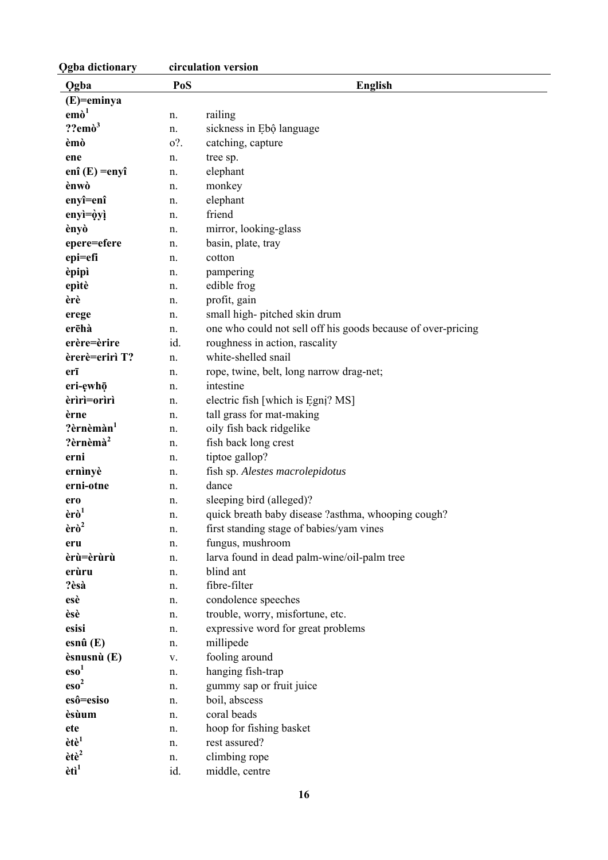| <b>Qgba</b> dictionary                           | circulation version |                                                              |  |
|--------------------------------------------------|---------------------|--------------------------------------------------------------|--|
| <b>Ogba</b>                                      | PoS                 | <b>English</b>                                               |  |
| $(E)=eminya$                                     |                     |                                                              |  |
| $\mathbf{em}\mathbf{d}^1$                        | n.                  | railing                                                      |  |
| $?$ ?em $\delta$ <sup>3</sup>                    | n.                  | sickness in Ebô language                                     |  |
| èmò                                              | o?.                 | catching, capture                                            |  |
| ene                                              | n.                  | tree sp.                                                     |  |
| enî $(E)$ =enyî                                  | n.                  | elephant                                                     |  |
| ènwò                                             | n.                  | monkey                                                       |  |
| enyî=enî                                         | n.                  | elephant                                                     |  |
| $enyi = \dot{q}yi$                               | n.                  | friend                                                       |  |
| ènyò                                             | n.                  | mirror, looking-glass                                        |  |
| epere=efere                                      | n.                  | basin, plate, tray                                           |  |
| epi=efi                                          | n.                  | cotton                                                       |  |
| èpipì                                            | n.                  | pampering                                                    |  |
| epìtè                                            | n.                  | edible frog                                                  |  |
| èrè                                              | n.                  | profit, gain                                                 |  |
| erege                                            | n.                  | small high-pitched skin drum                                 |  |
| erēhà                                            | n.                  | one who could not sell off his goods because of over-pricing |  |
| erère=èrire                                      | id.                 | roughness in action, rascality                               |  |
| èrerè=erirì T?                                   | n.                  | white-shelled snail                                          |  |
| erī                                              | n.                  | rope, twine, belt, long narrow drag-net;                     |  |
| eri-ewhō                                         | n.                  | intestine                                                    |  |
| èrìrì=orìrì                                      | n.                  | electric fish [which is Egni? MS]                            |  |
| èrne                                             | n.                  | tall grass for mat-making                                    |  |
| ?èrnèmàn <sup>1</sup>                            | n.                  | oily fish back ridgelike                                     |  |
| ?èrnèmà <sup>2</sup>                             | n.                  | fish back long crest                                         |  |
| erni                                             | n.                  | tiptoe gallop?                                               |  |
| erninyè                                          | n.                  | fish sp. Alestes macrolepidotus                              |  |
| erni-otne                                        | n.                  | dance                                                        |  |
| ero                                              | n.                  | sleeping bird (alleged)?                                     |  |
| $\grave{\mathbf{c}}$ rò $^1$                     | n.                  | quick breath baby disease ?asthma, whooping cough?           |  |
| $\dot{\textbf{e}} \textbf{r} \dot{\textbf{o}}^2$ | n.                  | first standing stage of babies/yam vines                     |  |
| eru                                              | n.                  | fungus, mushroom                                             |  |
| èrù=èrùrù                                        | n.                  | larva found in dead palm-wine/oil-palm tree                  |  |
| erùru                                            | n.                  | blind ant                                                    |  |
| ?èsà                                             | n.                  | fibre-filter                                                 |  |
| esè                                              | n.                  | condolence speeches                                          |  |
| èsè                                              | n.                  | trouble, worry, misfortune, etc.                             |  |
| esisi                                            | n.                  | expressive word for great problems                           |  |
| $esn\hat{u}(E)$                                  | n.                  | millipede                                                    |  |
| èsnusnù (E)                                      | V.                  | fooling around                                               |  |
| $\mathbf{eso}^1$                                 | n.                  | hanging fish-trap                                            |  |
| $\mathbf{eso}^2$                                 | n.                  | gummy sap or fruit juice                                     |  |
| esô=esiso                                        | n.                  | boil, abscess                                                |  |
| èsùum                                            | n.                  | coral beads                                                  |  |
| ete                                              | n.                  | hoop for fishing basket                                      |  |
| $\dot{\mathrm{et}}\mathrm{e}^1$                  | n.                  | rest assured?                                                |  |
| $\dot{e}t\dot{e}^2$                              | n.                  | climbing rope                                                |  |
| $\dot{\textbf{c}}\textbf{ti}^1$                  | id.                 | middle, centre                                               |  |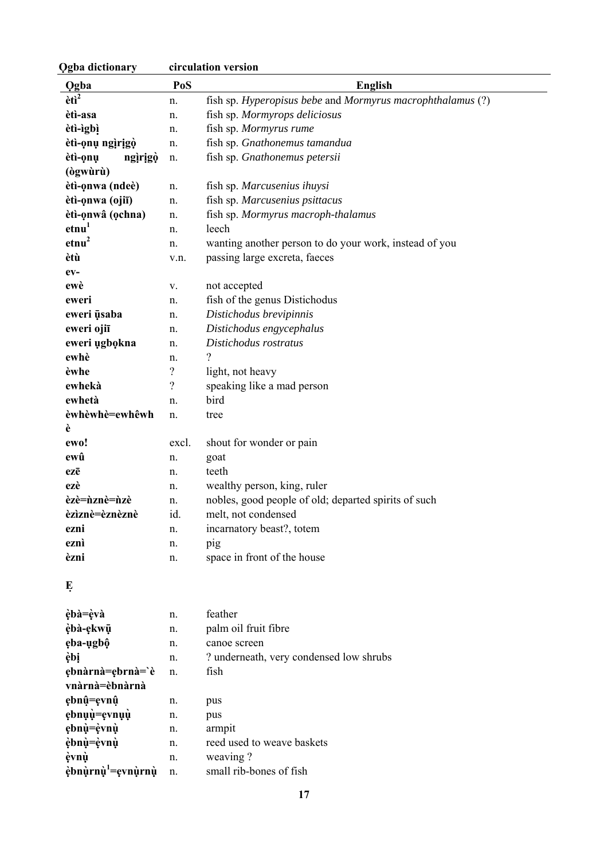| <b>Qgba</b> dictionary       |                          | circulation version                                        |
|------------------------------|--------------------------|------------------------------------------------------------|
| <b>Ogba</b>                  | PoS                      | <b>English</b>                                             |
| $\dot{\textbf{c}}\textbf{t}$ | n.                       | fish sp. Hyperopisus bebe and Mormyrus macrophthalamus (?) |
| ètì-asa                      | n.                       | fish sp. Mormyrops deliciosus                              |
| ètì-ìgbì                     | n.                       | fish sp. Mormyrus rume                                     |
| ètì-onu ngìrigò              | n.                       | fish sp. Gnathonemus tamandua                              |
| ètì-ọnụ<br>ngirigò           | n.                       | fish sp. Gnathonemus petersii                              |
| (ògwùrù)                     |                          |                                                            |
| ètì-onwa (ndeè)              | n.                       | fish sp. Marcusenius ihuysi                                |
| ètì-onwa (ojiī)              | n.                       | fish sp. Marcusenius psittacus                             |
| ètì-onwâ (ochna)             | n.                       | fish sp. Mormyrus macroph-thalamus                         |
| etnu <sup>1</sup>            | n.                       | leech                                                      |
| etnu <sup>2</sup>            | n.                       | wanting another person to do your work, instead of you     |
| ètù                          | v.n.                     | passing large excreta, faeces                              |
| $ev-$                        |                          |                                                            |
| ewè                          | V.                       | not accepted                                               |
| eweri                        | n.                       | fish of the genus Distichodus                              |
| eweri ūsaba                  | n.                       | Distichodus brevipinnis                                    |
| eweri ojiī                   | n.                       | Distichodus engycephalus                                   |
| eweri ugbokna                | n.                       | Distichodus rostratus                                      |
| ewhè                         | n.                       | ?                                                          |
| èwhe                         | $\overline{\mathcal{C}}$ | light, not heavy                                           |
| ewhekà                       | $\overline{\mathcal{C}}$ | speaking like a mad person                                 |
| ewhetà                       | n.                       | bird                                                       |
| èwhèwhè=ewhêwh               | n.                       | tree                                                       |
| è                            |                          |                                                            |
| ewo!                         | excl.                    | shout for wonder or pain                                   |
| ewû                          | n.                       | goat                                                       |
| ezē                          | n.                       | teeth                                                      |
| ezè                          | n.                       | wealthy person, king, ruler                                |
| èzè=ñznè=ñzè                 | n.                       | nobles, good people of old; departed spirits of such       |
| èzìznè=èznèznè               | id.                      | melt, not condensed                                        |
| ezni                         | n.                       | incarnatory beast?, totem                                  |
| eznì                         | n.                       | pig                                                        |
| èzni                         | n.                       | space in front of the house                                |
| Ę                            |                          |                                                            |
| èbà=èvà                      | n.                       | feather                                                    |
| èbà-ękwū                     | n.                       | palm oil fruit fibre                                       |
| ęba-ugbộ                     | n.                       | canoe screen                                               |
| èbị                          | n.                       | ? underneath, very condensed low shrubs                    |
| ębnàrnà=ębrnà=`è             | n.                       | fish                                                       |
| vnàrnà=èbnàrnà               |                          |                                                            |
| ębnû=ęvnû                    | n.                       | pus                                                        |
| ębnųų̀=ęvnųų̀                | n.                       | pus                                                        |

**ẹbnụ̀ =ẹ̀ vnụ̀** n. armpit

**ẹ̀ bnụ̀ =ẹ̀** n. reed used to weave baskets **n.** weaving ?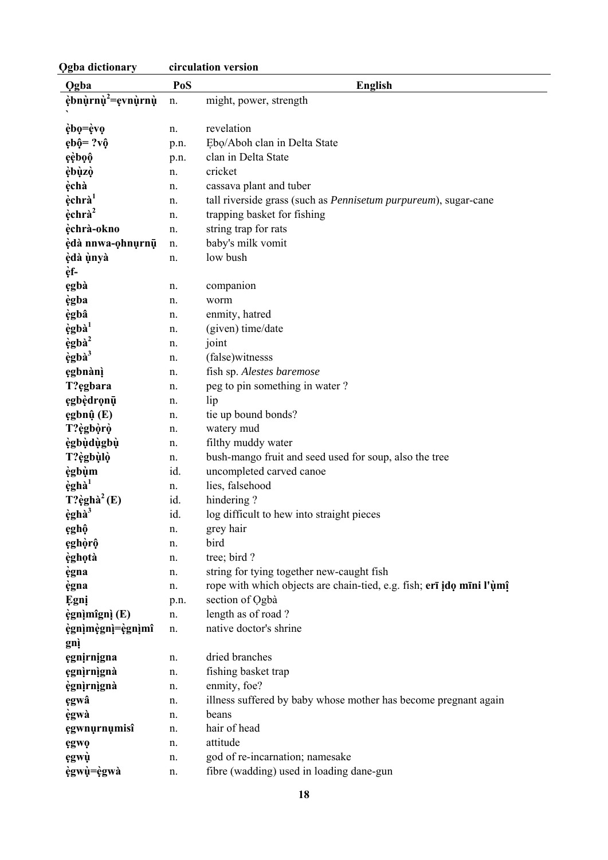| <b>Qgba</b> dictionary              | circulation version |                                                                         |
|-------------------------------------|---------------------|-------------------------------------------------------------------------|
| <b>Ogba</b>                         | PoS                 | <b>English</b>                                                          |
| ę̀bnų̀rnų̀ <sup>2</sup> =ęvnų̀rnų̀  | n.                  | might, power, strength                                                  |
|                                     |                     |                                                                         |
| $ebq = evq$                         | n.                  | revelation                                                              |
| $eb\hat{q}$ = ?v $\hat{q}$          | p.n.                | Ebo/Aboh clan in Delta State                                            |
| ęèbọộ                               | p.n.                | clan in Delta State                                                     |
| èbùzò                               | n.                  | cricket                                                                 |
| èchà                                | n.                  | cassava plant and tuber                                                 |
| èchrà <sup>1</sup>                  | n.                  | tall riverside grass (such as <i>Pennisetum purpureum</i> ), sugar-cane |
| $\dot{\text{e}}$ chrà <sup>2</sup>  | n.                  | trapping basket for fishing                                             |
| èchrà-okno                          | n.                  | string trap for rats                                                    |
| èdà nnwa-ohnurnū                    | n.                  | baby's milk vomit                                                       |
| èdà ùnyà                            | n.                  | low bush                                                                |
| èf-                                 |                     |                                                                         |
| ęgbà                                | n.                  | companion                                                               |
| ègba                                | n.                  | worm                                                                    |
| ègbâ                                | n.                  | enmity, hatred                                                          |
| ègbà <sup>1</sup>                   | n.                  | (given) time/date                                                       |
| $\dot{\mathbf{e}}$ gbà <sup>2</sup> | n.                  | joint                                                                   |
| ègbà <sup>3</sup>                   | n.                  | (false)witnesss                                                         |
| egbnànì                             | n.                  | fish sp. Alestes baremose                                               |
| T?ęgbara                            | n.                  | peg to pin something in water?                                          |
| ęgbędronų                           | n.                  | lip                                                                     |
| ęgbnų̂ (E)                          | n.                  | tie up bound bonds?                                                     |
| T?ègbòrò                            | n.                  | watery mud                                                              |
| ègbùdùgbù                           | n.                  | filthy muddy water                                                      |
| T?ègbùlò                            | n.                  | bush-mango fruit and seed used for soup, also the tree                  |
| ègbùm                               | id.                 | uncompleted carved canoe                                                |
| èghà <sup>1</sup>                   | n.                  | lies, falsehood                                                         |
| $T?$ ệghà <sup>2</sup> (E)          | id.                 | hindering?                                                              |
| èghà <sup>3</sup>                   | id.                 | log difficult to hew into straight pieces                               |
| ęghộ                                | n.                  | grey hair                                                               |
| ęghòrộ                              | n.                  | bird                                                                    |
| èghọtà                              | n.                  | tree; bird?                                                             |
| ègna                                | n.                  | string for tying together new-caught fish                               |
| ègna                                | n.                  | rope with which objects are chain-tied, e.g. fish; erī ido mīni l'ùmî   |
| Egni                                | p.n.                | section of Ogbà<br>length as of road?                                   |
| ègnìmîgnì (E)                       | n.                  | native doctor's shrine                                                  |
| ę̀gnìmę̀gnì=ę̀gnìmî                 | n.                  |                                                                         |
| gnì<br>ęgnįrnįgna                   | n.                  | dried branches                                                          |
| ęgnirnignà                          | n.                  | fishing basket trap                                                     |
| ègnìrnìgnà                          | n.                  | enmity, foe?                                                            |
| ęgwâ                                | n.                  | illness suffered by baby whose mother has become pregnant again         |
| ègwà                                | n.                  | beans                                                                   |
| egwnurnumisî                        | n.                  | hair of head                                                            |
| ęgwo                                | n.                  | attitude                                                                |
| ęgwù                                | n.                  | god of re-incarnation; namesake                                         |
| ę̀gwù=ę̀gwà                         | n.                  | fibre (wadding) used in loading dane-gun                                |
|                                     |                     |                                                                         |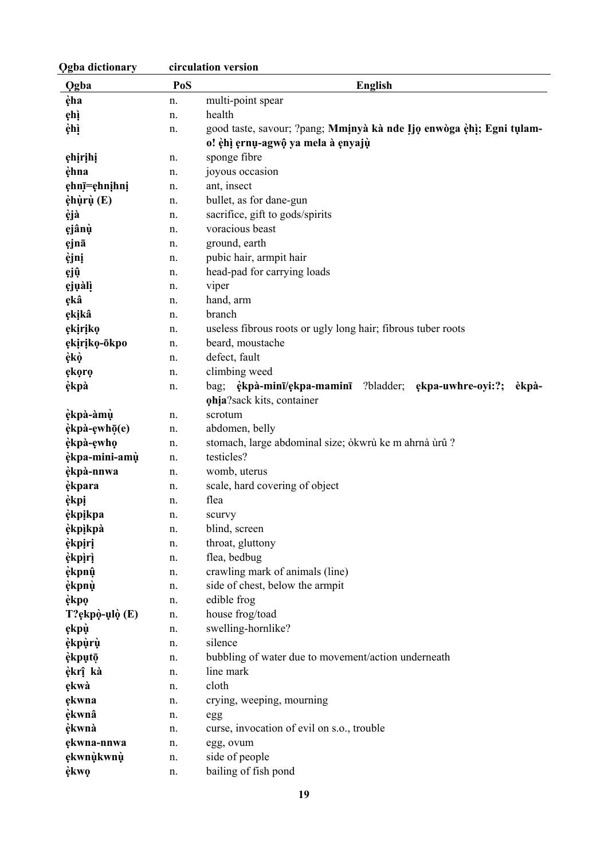| <b>Qgba</b> dictionary                         |     | circulation version                                                  |  |  |
|------------------------------------------------|-----|----------------------------------------------------------------------|--|--|
| <b>Qgba</b>                                    | PoS | <b>English</b>                                                       |  |  |
| èha                                            | n.  | multi-point spear                                                    |  |  |
| ęhì                                            | n.  | health                                                               |  |  |
| èhì                                            | n.  | good taste, savour; ?pang; Mminyà kà nde Ijo enwòga èhì; Egni tulam- |  |  |
|                                                |     | o! èhì ernu-agwô ya mela à enyajù                                    |  |  |
| ehirihi                                        | n.  | sponge fibre                                                         |  |  |
| èhna                                           | n.  | joyous occasion                                                      |  |  |
| ęhnį=ęhnįhnį                                   | n.  | ant, insect                                                          |  |  |
| ệhùrù (E)                                      | n.  | bullet, as for dane-gun                                              |  |  |
| èjà                                            | n.  | sacrifice, gift to gods/spirits                                      |  |  |
| ejânù                                          | n.  | voracious beast                                                      |  |  |
| ęjnā                                           | n.  | ground, earth                                                        |  |  |
| èjnį                                           | n.  | pubic hair, armpit hair                                              |  |  |
| ęjû                                            | n.  | head-pad for carrying loads                                          |  |  |
| ejuàli                                         | n.  | viper                                                                |  |  |
| ękâ                                            | n.  | hand, arm                                                            |  |  |
| ękikâ                                          | n.  | branch                                                               |  |  |
| ękiriko                                        | n.  | useless fibrous roots or ugly long hair; fibrous tuber roots         |  |  |
| ękiriko-ōkpo                                   | n.  | beard, moustache                                                     |  |  |
| èkò                                            | n.  | defect, fault                                                        |  |  |
| ękoro                                          | n.  | climbing weed                                                        |  |  |
| èkpà                                           | n.  | ?bladder; ekpa-uwhre-oyi:?;<br>bag; èkpà-minī/ekpa-maminī<br>èkpà-   |  |  |
|                                                |     | ohia?sack kits, container                                            |  |  |
| èkpà-àmù                                       | n.  | scrotum                                                              |  |  |
| èkpà-ewhō(e)                                   | n.  | abdomen, belly                                                       |  |  |
| èkpà-ewho                                      | n.  | stomach, large abdominal size; ò kwrù ke m ahrnà ùrû?                |  |  |
| èkpa-mini-amù                                  | n.  | testicles?                                                           |  |  |
| èkpà-nnwa                                      | n.  | womb, uterus                                                         |  |  |
| èkpara                                         | n.  | scale, hard covering of object                                       |  |  |
| èkpi                                           | n.  | flea                                                                 |  |  |
| èkpikpa                                        | n.  | scurvy                                                               |  |  |
| èkpìkpà                                        | n.  | blind, screen                                                        |  |  |
| èkpiri                                         | n.  | throat, gluttony                                                     |  |  |
| èkpìrì                                         | n.  | flea, bedbug                                                         |  |  |
| èkpnû                                          | n.  | crawling mark of animals (line)                                      |  |  |
| èkpnù                                          | n.  | side of chest, below the armpit                                      |  |  |
| èkpo                                           | n.  | edible frog                                                          |  |  |
| $T?$ ękp $\grave{\rho}$ -ul $\grave{\rho}$ (E) | n.  | house frog/toad                                                      |  |  |
| ękpù                                           | n.  | swelling-hornlike?                                                   |  |  |
| èkpùrù                                         | n.  | silence                                                              |  |  |
| èkputō                                         | n.  | bubbling of water due to movement/action underneath                  |  |  |
| ệkrî kà                                        | n.  | line mark                                                            |  |  |
| ękwà                                           | n.  | cloth                                                                |  |  |
| ękwna                                          | n.  | crying, weeping, mourning                                            |  |  |
| èkwnâ                                          | n.  | egg                                                                  |  |  |
| èkwnà                                          | n.  | curse, invocation of evil on s.o., trouble                           |  |  |
| ękwna-nnwa                                     | n.  | egg, ovum                                                            |  |  |
| ękwnùkwnù                                      | n.  | side of people                                                       |  |  |
| èkwo                                           | n.  | bailing of fish pond                                                 |  |  |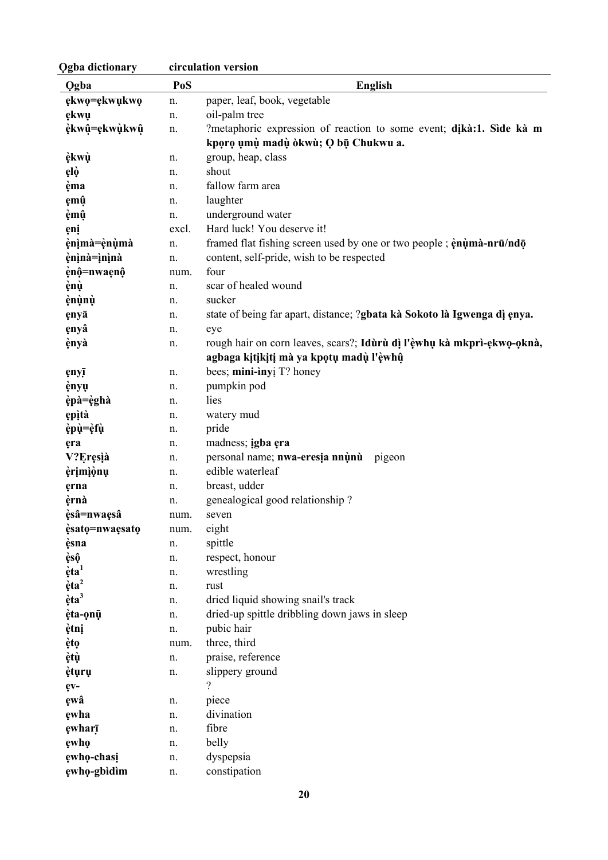| <b>Qgba</b> dictionary                      |          | circulation version                                                      |  |  |
|---------------------------------------------|----------|--------------------------------------------------------------------------|--|--|
| <b>Qgba</b>                                 | PoS      | <b>English</b>                                                           |  |  |
| ękwo=ękwukwo                                | n.       | paper, leaf, book, vegetable                                             |  |  |
| ękwų                                        | n.       | oil-palm tree                                                            |  |  |
| èkwû=ekwùkwû                                | n.       | ?metaphoric expression of reaction to some event; dikà:1. Sìde kà m      |  |  |
|                                             |          | kporo umu madu okwu; O bū Chukwu a.                                      |  |  |
| èkwù                                        | n.       | group, heap, class                                                       |  |  |
| ęlò                                         | n.       | shout                                                                    |  |  |
| èma                                         | n.       | fallow farm area                                                         |  |  |
| ęmû                                         | n.       | laughter                                                                 |  |  |
| èmû                                         | n.       | underground water                                                        |  |  |
| ęnį                                         | excl.    | Hard luck! You deserve it!                                               |  |  |
| ènìmà=ènùmà                                 | n.       | framed flat fishing screen used by one or two people; enuma-nrū/ndo      |  |  |
| ènìnà=ìnìnà                                 | n.       | content, self-pride, wish to be respected                                |  |  |
| ènô=nwaenô                                  | num.     | four                                                                     |  |  |
| ènù                                         | n.       | scar of healed wound                                                     |  |  |
| ènùnù                                       | n.       | sucker                                                                   |  |  |
| ęnyā                                        | n.       | state of being far apart, distance; ?gbata kà Sokoto là Igwenga dì enya. |  |  |
| enyâ                                        | n.       | eye                                                                      |  |  |
| ènyà                                        | n.       | rough hair on corn leaves, scars?; Idùrù dì l'èwhụ kà mkprì-ekwo-oknà,   |  |  |
|                                             |          | agbaga kitikiti mà ya kpotų madų̀ l'èwhų̂                                |  |  |
| enyī                                        | n.       | bees; mini-inyi T? honey                                                 |  |  |
| ènyụ                                        | n.       | pumpkin pod                                                              |  |  |
| èpà=èghà                                    | n.       | lies                                                                     |  |  |
| epità                                       | n.       | watery mud                                                               |  |  |
| èpù=èfù                                     | n.       | pride                                                                    |  |  |
| ęra                                         | n.       | madness; igba era                                                        |  |  |
| V?Eręsià                                    | n.       | personal name; nwa-eresia nnunu<br>pigeon                                |  |  |
| èrimìònu                                    | n.       | edible waterleaf                                                         |  |  |
| ęrna                                        | n.       | breast, udder                                                            |  |  |
| èrnà                                        | n.       | genealogical good relationship?                                          |  |  |
| èsâ=nwaesâ                                  | num.     | seven                                                                    |  |  |
| esato=nwaesato                              | num.     | eight                                                                    |  |  |
| èsna                                        | n.       | spittle                                                                  |  |  |
| èsộ<br>$\grave{\textbf{e}}$ ta <sup>1</sup> | n.       | respect, honour<br>wrestling                                             |  |  |
| $\dot{\text{eta}}^2$                        | n.       | rust                                                                     |  |  |
| $\dot{\text{eta}}^3$                        | n.<br>n. | dried liquid showing snail's track                                       |  |  |
| èta-onū                                     | n.       | dried-up spittle dribbling down jaws in sleep                            |  |  |
| ètni                                        | n.       | pubic hair                                                               |  |  |
| èto                                         | num.     | three, third                                                             |  |  |
| ètù                                         | n.       | praise, reference                                                        |  |  |
| èturu                                       | n.       | slippery ground                                                          |  |  |
| ęv-                                         |          | $\gamma$                                                                 |  |  |
| ęwâ                                         | n.       | piece                                                                    |  |  |
| ewha                                        | n.       | divination                                                               |  |  |
| ewharī                                      | n.       | fibre                                                                    |  |  |
| ewho                                        | n.       | belly                                                                    |  |  |
| ęwho-chasi                                  | n.       | dyspepsia                                                                |  |  |
| ewho-gbìdìm                                 | n.       | constipation                                                             |  |  |
|                                             |          |                                                                          |  |  |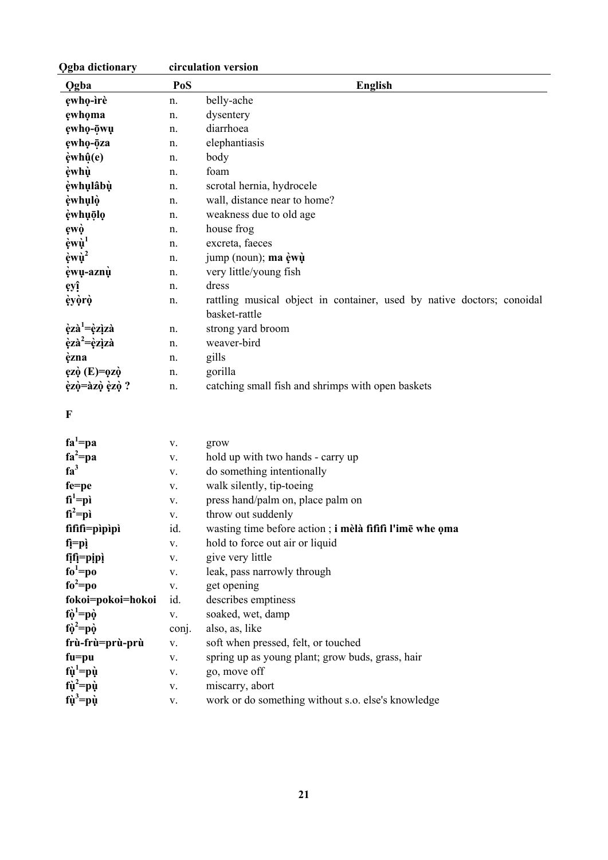| <b>Qgba dictionary</b>                                                                                   |            | circulation version                                                    |
|----------------------------------------------------------------------------------------------------------|------------|------------------------------------------------------------------------|
| <b>Ogba</b>                                                                                              | PoS        | <b>English</b>                                                         |
| ęwho-ìrè                                                                                                 | n.         | belly-ache                                                             |
| ewhoma                                                                                                   | n.         | dysentery                                                              |
| ęwho-ōwu                                                                                                 | n.         | diarrhoea                                                              |
| ęwho-ōza                                                                                                 | n.         | elephantiasis                                                          |
| èwhû(e)                                                                                                  | n.         | body                                                                   |
| èwhù                                                                                                     | n.         | foam                                                                   |
| èwhulâbù                                                                                                 | n.         | scrotal hernia, hydrocele                                              |
| èwhụlò                                                                                                   | n.         | wall, distance near to home?                                           |
| èwhuōlo                                                                                                  | n.         | weakness due to old age                                                |
| ewò                                                                                                      | n.         | house frog                                                             |
| èwù <sup>1</sup>                                                                                         | n.         | excreta, faeces                                                        |
| $\dot{\mathbf{e}}$ wù <sup>2</sup>                                                                       | n.         | jump (noun); ma èwù                                                    |
| ęwų-aznų                                                                                                 | n.         | very little/young fish                                                 |
| ęyî                                                                                                      | n.         | dress                                                                  |
| èyòrò                                                                                                    | n.         | rattling musical object in container, used by native doctors; conoidal |
|                                                                                                          |            | basket-rattle                                                          |
| $\dot{\mathbf{e}}$ zà <sup>1</sup> = $\dot{\mathbf{e}}$ zàzà                                             | n.         | strong yard broom                                                      |
| $\dot{\mathbf{e}}$ zà <sup>2</sup> = $\dot{\mathbf{e}}$ zàzà                                             | n.         | weaver-bird                                                            |
| èzna                                                                                                     | n.         | gills                                                                  |
| $\dot{\text{e}}$ z $\dot{\text{o}}$ (E)= $\dot{\text{o}}$ z $\dot{\text{o}}$                             | n.         | gorilla                                                                |
| $\dot{\mathrm{e}}$ z $\dot{\mathrm{o}}$ =àz $\dot{\mathrm{o}}$ $\dot{\mathrm{e}}$ z $\dot{\mathrm{o}}$ ? | n.         | catching small fish and shrimps with open baskets                      |
| F                                                                                                        |            |                                                                        |
|                                                                                                          |            |                                                                        |
| $fa^1=pa$                                                                                                | V.         | grow                                                                   |
| $fa^2 = pa$                                                                                              | V.         | hold up with two hands - carry up                                      |
| $fa^3$                                                                                                   | V.         | do something intentionally                                             |
| fe=pe                                                                                                    | V.         | walk silently, tip-toeing                                              |
| $\mathbf{\hat{n}}^1 = \mathbf{pi}$                                                                       | V.         | press hand/palm on, place palm on                                      |
| $\mathbf{\hat{n}}^2 = \mathbf{pi}$                                                                       | V.         | throw out suddenly                                                     |
| fififi=pìpìpì                                                                                            | id.        | wasting time before action; i mèlà fififi l'ime whe oma                |
| fị=pì                                                                                                    | V.         | hold to force out air or liquid                                        |
| fifi=pipì                                                                                                | V.         | give very little                                                       |
| $fo^1=po$                                                                                                | V.         | leak, pass narrowly through                                            |
| $fo^2 = po$                                                                                              | V.         | get opening                                                            |
| fokoi=pokoi=hokoi                                                                                        | id.        | describes emptiness                                                    |
| $f\dot{\rho}^1 = p\dot{\rho}$                                                                            | V.         | soaked, wet, damp                                                      |
| $f\dot{\rho}^2 = p\dot{\rho}$                                                                            | conj.      | also, as, like                                                         |
| frù-frù=prù-prù                                                                                          | ${\bf V}.$ | soft when pressed, felt, or touched                                    |
| $fu = pu$                                                                                                | V.         | spring up as young plant; grow buds, grass, hair                       |
| $f\grave{\mu}^1 = p\grave{\mu}$                                                                          | V.         | go, move off                                                           |
| $f\mathbf{\hat{u}}^2 = p\mathbf{\hat{u}}$                                                                | V.         | miscarry, abort                                                        |
| $f\mathbf{\hat{\mu}}^3 = p\mathbf{\hat{\mu}}$                                                            | V.         | work or do something without s.o. else's knowledge                     |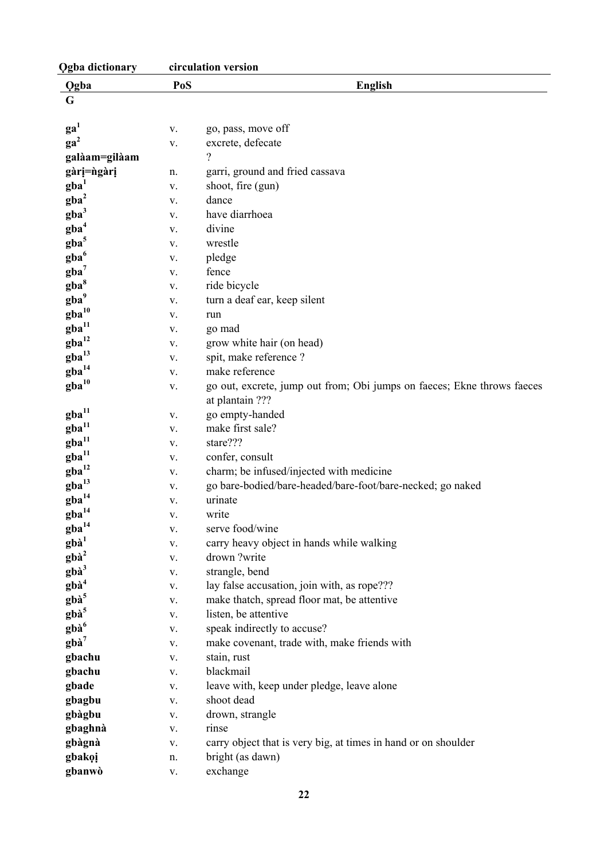| <b>Qgba</b> dictionary                | circulation version |                                                                         |  |
|---------------------------------------|---------------------|-------------------------------------------------------------------------|--|
| <b>Qgba</b>                           | PoS                 | <b>English</b>                                                          |  |
| G                                     |                     |                                                                         |  |
|                                       |                     |                                                                         |  |
| ga <sup>1</sup>                       | V.                  | go, pass, move off                                                      |  |
| $ga^2$                                | V.                  | excrete, defecate                                                       |  |
| galàam=gilàam                         |                     | ?                                                                       |  |
| gàrị=ngàrị                            | n.                  | garri, ground and fried cassava                                         |  |
| gba <sup>1</sup>                      | V.                  | shoot, fire (gun)                                                       |  |
| gba <sup>2</sup>                      | V.                  | dance                                                                   |  |
| gba <sup>3</sup>                      | V.                  | have diarrhoea                                                          |  |
| gba <sup>4</sup>                      | V.                  | divine                                                                  |  |
| gba <sup>5</sup>                      | V.                  | wrestle                                                                 |  |
| $gba^6$                               | V.                  | pledge                                                                  |  |
| $gba^7$                               | V.                  | fence                                                                   |  |
| gba <sup>8</sup>                      | V.                  | ride bicycle                                                            |  |
| gba <sup>9</sup>                      | V.                  | turn a deaf ear, keep silent                                            |  |
| $gba^{10}$                            | V.                  | run                                                                     |  |
| $gba^{11}$                            | V.                  | go mad                                                                  |  |
| $gba^{12}$                            | V.                  | grow white hair (on head)                                               |  |
| $gba^{13}$                            | V.                  | spit, make reference?                                                   |  |
| $gba^{14}$                            | V.                  | make reference                                                          |  |
| $gba^{10}$                            | V.                  | go out, excrete, jump out from; Obi jumps on faeces; Ekne throws faeces |  |
|                                       |                     | at plantain ???                                                         |  |
| $\mathbf{g}\mathbf{b}\mathbf{a}^{11}$ | V.                  | go empty-handed                                                         |  |
| $gba^{11}$                            | V.                  | make first sale?                                                        |  |
| $\mathbf{g}\mathbf{b}\mathbf{a}^{11}$ | V.                  | stare???                                                                |  |
| $gba^{11}$                            | V.                  | confer, consult                                                         |  |
| $gba^{12}$                            | V.                  | charm; be infused/injected with medicine                                |  |
| $gba^{13}$                            | V.                  | go bare-bodied/bare-headed/bare-foot/bare-necked; go naked              |  |
| $gba^{14}$                            | V.                  | urinate                                                                 |  |
| $\mathbf{g}\mathbf{b}\mathbf{a}^{14}$ | V.                  | write                                                                   |  |
| $gba^{14}$                            | V.                  | serve food/wine                                                         |  |
| $gb\grave{a}^1$                       | V.                  | carry heavy object in hands while walking                               |  |
| $gb\grave{a}^2$                       | V.                  | drown ?write                                                            |  |
| $gb\grave{a}^3$                       | V.                  | strangle, bend                                                          |  |
| $gb\grave{a}^4$<br>$g b \dot{a}^5$    | V.                  | lay false accusation, join with, as rope???                             |  |
| $gb\grave{a}^5$                       | V.                  | make thatch, spread floor mat, be attentive<br>listen, be attentive     |  |
| $g b \dot{a}^6$                       | V.                  | speak indirectly to accuse?                                             |  |
| $g b \dot{a}^7$                       | V.                  |                                                                         |  |
| gbachu                                | V.<br>V.            | make covenant, trade with, make friends with<br>stain, rust             |  |
|                                       |                     | blackmail                                                               |  |
| gbachu<br>gbade                       | V.<br>V.            | leave with, keep under pledge, leave alone                              |  |
| gbagbu                                | V.                  | shoot dead                                                              |  |
| gbàgbu                                | V.                  | drown, strangle                                                         |  |
| gbaghnà                               | V.                  | rinse                                                                   |  |
| gbàgnà                                | V.                  | carry object that is very big, at times in hand or on shoulder          |  |
| gbakoi                                | n.                  | bright (as dawn)                                                        |  |
| gbanwò                                |                     | exchange                                                                |  |
|                                       | V.                  |                                                                         |  |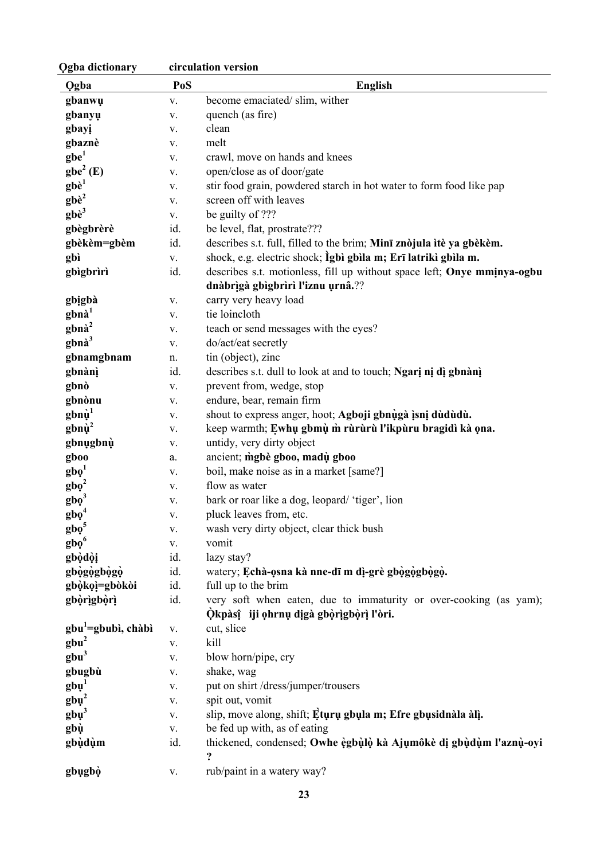| <b>Qgba</b> dictionary  |            | circulation version                                                     |
|-------------------------|------------|-------------------------------------------------------------------------|
| <b>Ogba</b>             | PoS        | <b>English</b>                                                          |
| gbanwu                  | V.         | become emaciated/slim, wither                                           |
| gbanyu                  | V.         | quench (as fire)                                                        |
| gbayi                   | V.         | clean                                                                   |
| gbaznè                  | V.         | melt                                                                    |
| gbe <sup>1</sup>        | V.         | crawl, move on hands and knees                                          |
| $gbe2$ (E)              | V.         | open/close as of door/gate                                              |
| $gb\grave{e}^1$         | V.         | stir food grain, powdered starch in hot water to form food like pap     |
| $g b \dot{e}^2$         | V.         | screen off with leaves                                                  |
| $g b \grave{e}^3$       | V.         | be guilty of ???                                                        |
| gbègbrèrè               | id.        | be level, flat, prostrate???                                            |
| gbèkèm=gbèm             | id.        | describes s.t. full, filled to the brim; Minī znòjula ìtè ya gbèkèm.    |
| gbì                     | V.         | shock, e.g. electric shock; Igbi gbila m; Erī latriki gbila m.          |
| gbìgbrìrì               | id.        | describes s.t. motionless, fill up without space left; Onye mminya-ogbu |
|                         |            | dnàbrìgà gbìgbrìrì l'iznu urnâ.??                                       |
| gbigbà                  | V.         | carry very heavy load                                                   |
| $g$ bnà <sup>1</sup>    | V.         | tie loincloth                                                           |
| $g$ bnà <sup>2</sup>    | V.         | teach or send messages with the eyes?                                   |
| $g$ bnà <sup>3</sup>    | V.         | do/act/eat secretly                                                     |
| gbnamgbnam              | n.         | tin (object), zinc                                                      |
| gbnànì                  | id.        | describes s.t. dull to look at and to touch; Ngari ni di gbnàni         |
| gbnò                    | V.         | prevent from, wedge, stop                                               |
| gbnònu                  | V.         | endure, bear, remain firm                                               |
| $g$ bnų <sup>1</sup>    | V.         | shout to express anger, hoot; Agboji gbnùgà ìsni dùdùdù.                |
| $g b n \dot{u}^2$       | V.         | keep warmth; Ewhu gbmù m rùrùrù l'ikpùru bragidì kà ona.                |
| gbnugbnù                | V.         | untidy, very dirty object                                               |
| gboo                    | a.         | ancient; mgbè gboo, madù gboo                                           |
| $g b \rho$ <sup>1</sup> | V.         | boil, make noise as in a market [same?]                                 |
| $g b \rho^2$            | V.         | flow as water                                                           |
| $g b \rho^3$            | V.         | bark or roar like a dog, leopard/ 'tiger', lion                         |
| $g b \rho^4$            | V.         | pluck leaves from, etc.                                                 |
| gbo <sup>5</sup>        | V.         | wash very dirty object, clear thick bush                                |
| gbo <sup>6</sup>        | V.         | vomit                                                                   |
| gbòdòi                  | id.        | lazy stay?                                                              |
| gbògògbògò              | id.        | watery; Echà-osna kà nne-dī m dì-grè gbògògbògò.                        |
| gbòkọì=gbòkòi           | id.        | full up to the brim                                                     |
| gbòrìgbòrì              | id.        | very soft when eaten, due to immaturity or over-cooking (as yam);       |
|                         |            | Qkpàsî iji ohrnu digà gbòrìgbòrì l'òri.                                 |
| $gbu^1=gbubi$ , chàbì   | V.         | cut, slice                                                              |
| $g$ bu <sup>2</sup>     | V.         | kill                                                                    |
| $g$ bu <sup>3</sup>     | V.         | blow horn/pipe, cry                                                     |
| gbugbù                  | V.         | shake, wag                                                              |
| $g$ bų $^1$             | V.         | put on shirt /dress/jumper/trousers                                     |
| $g$ bų <sup>2</sup>     | V.         | spit out, vomit                                                         |
| $g$ bų <sup>3</sup>     | V.         | slip, move along, shift; Eturu gbula m; Efre gbusidnàla àli.            |
| gbù                     | V.         | be fed up with, as of eating                                            |
| gbùdùm                  | id.        | thickened, condensed; Owhe ęgbulo ka Ajumôke di gbudum l'aznu-oyi       |
|                         |            | ?                                                                       |
| gbugbò                  | ${\bf V}.$ | rub/paint in a watery way?                                              |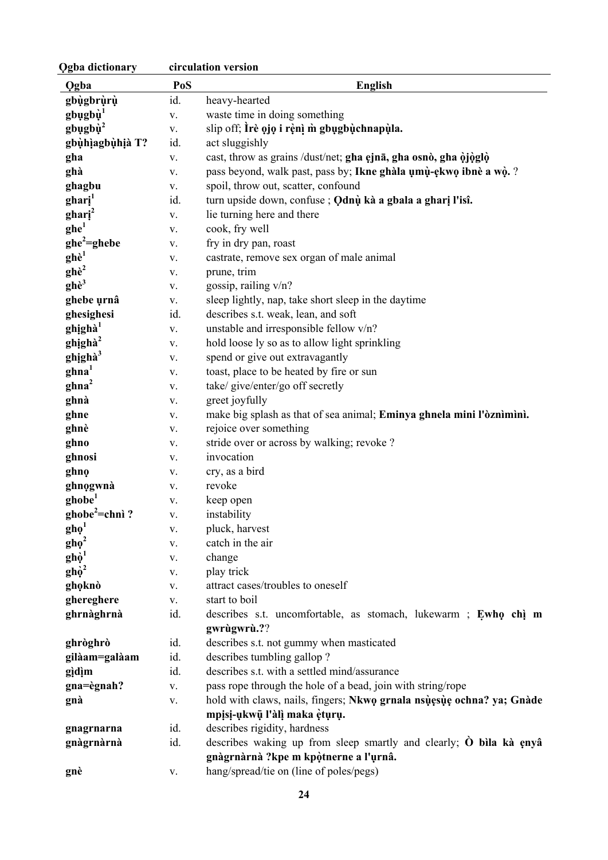| <b>Ogba</b> dictionary    | circulation version |                                                                       |
|---------------------------|---------------------|-----------------------------------------------------------------------|
| <b>Ogba</b>               | PoS                 | <b>English</b>                                                        |
| gbùgbrùrù                 | id.                 | heavy-hearted                                                         |
| $g$ bụgbù $^1$            | V.                  | waste time in doing something                                         |
| $g$ bugbu <sup>2</sup>    | V.                  | slip off; Irè ojo i rènì m gbugbù chnapùla.                           |
| gbùhìagbùhià T?           | id.                 | act sluggishly                                                        |
| gha                       | V.                  | cast, throw as grains /dust/net; gha ejnā, gha osnò, gha òjòglò       |
| ghà                       | V.                  | pass beyond, walk past, pass by; Ikne ghàla umu-ekwo ibnè a wò. ?     |
| ghagbu                    | V.                  | spoil, throw out, scatter, confound                                   |
| ghari <sup>1</sup>        | id.                 | turn upside down, confuse ; Qdnù kà a gbala a ghari l'isî.            |
| ghari <sup>2</sup>        | V.                  | lie turning here and there                                            |
| ghe <sup>1</sup>          | V.                  | cook, fry well                                                        |
| $ghe^2 = ghebe$           | V.                  | fry in dry pan, roast                                                 |
| $gh\grave{e}^1$           | V.                  | castrate, remove sex organ of male animal                             |
| $gh\grave{e}^2$           | V.                  | prune, trim                                                           |
| $gh\grave{e}^3$           | V.                  | gossip, railing v/n?                                                  |
| ghebe urnâ                | V.                  | sleep lightly, nap, take short sleep in the daytime                   |
| ghesighesi                | id.                 | describes s.t. weak, lean, and soft                                   |
| ghighà <sup>1</sup>       | V.                  | unstable and irresponsible fellow v/n?                                |
| ghighà <sup>2</sup>       | V.                  | hold loose ly so as to allow light sprinkling                         |
| ghịghà3                   | V.                  | spend or give out extravagantly                                       |
| ghna <sup>1</sup>         | V.                  | toast, place to be heated by fire or sun                              |
| ghna <sup>2</sup>         | V.                  | take/give/enter/go off secretly                                       |
| ghnà                      | V.                  | greet joyfully                                                        |
| ghne                      | V.                  | make big splash as that of sea animal; Eminya ghnela mini l'òznìmìnì. |
| ghnè                      | V.                  | rejoice over something                                                |
| ghno                      | V.                  | stride over or across by walking; revoke?                             |
| ghnosi                    | V.                  | invocation                                                            |
| ghnọ                      | V.                  | cry, as a bird                                                        |
| ghnogwnà                  | V.                  | revoke                                                                |
| ghobe <sup>1</sup>        | V.                  | keep open                                                             |
| ghobe <sup>2</sup> =chnì? | V.                  | instability                                                           |
| g h o <sup>1</sup>        | V.                  | pluck, harvest                                                        |
| $g h o^2$                 | V.                  | catch in the air                                                      |
| $gh\dot{\rho}^1$          | V.                  | change                                                                |
| $gh\dot{\rho}^2$          | V.                  | play trick                                                            |
| ghọknò                    | V.                  | attract cases/troubles to oneself                                     |
| ghereghere                | V.                  | start to boil                                                         |
| ghrnàghrnà                | id.                 | describes s.t. uncomfortable, as stomach, lukewarm; Ewho chi m        |
|                           |                     | gwrùgwrù.??                                                           |
| ghròghrò                  | id.                 | describes s.t. not gummy when masticated                              |
| gilàam=galàam             | id.                 | describes tumbling gallop?                                            |
| gidim                     | id.                 | describes s.t. with a settled mind/assurance                          |
| gna=egnah?                | V.                  | pass rope through the hole of a bead, join with string/rope           |
| gnà                       | V.                  | hold with claws, nails, fingers; Nkwo grnala nsuesue ochna? ya; Gnade |
|                           |                     | mpisi-ukwū l'àlì maka èturu.                                          |
| gnagrnarna                | id.                 | describes rigidity, hardness                                          |
| gnàgrnàrnà                | id.                 | describes waking up from sleep smartly and clearly; O bila kà enyâ    |
|                           |                     | gnàgrnàrnà ?kpe m kpòtnerne a l'urnâ.                                 |
| gnè                       | ${\bf V}.$          | hang/spread/tie on (line of poles/pegs)                               |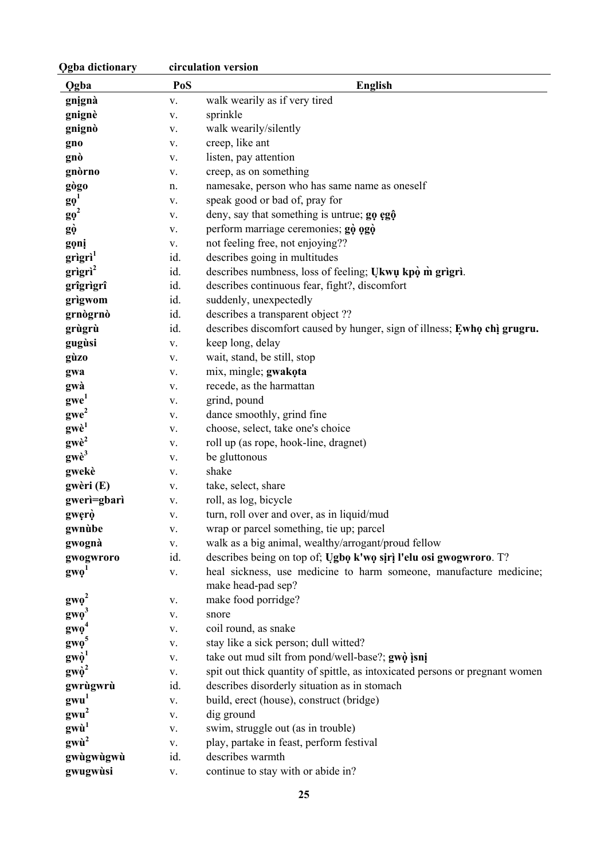| <b>Qgba dictionary</b> | circulation version |                                                                              |  |
|------------------------|---------------------|------------------------------------------------------------------------------|--|
| <b>Qgba</b>            | PoS                 | <b>English</b>                                                               |  |
| gnignà                 | V.                  | walk wearily as if very tired                                                |  |
| gnignè                 | V.                  | sprinkle                                                                     |  |
| gnignò                 | V.                  | walk wearily/silently                                                        |  |
| gno                    | V.                  | creep, like ant                                                              |  |
| gnò                    | V.                  | listen, pay attention                                                        |  |
| gnòrno                 | V.                  | creep, as on something                                                       |  |
| gògo                   | n.                  | namesake, person who has same name as oneself                                |  |
| gọ                     | V.                  | speak good or bad of, pray for                                               |  |
| $g\dot{\rho}^2$        | V.                  | deny, say that something is untrue; $g_0$ eg $\hat{g}$                       |  |
| gò                     | V.                  | perform marriage ceremonies; gò ogò                                          |  |
| gọnị                   | V.                  | not feeling free, not enjoying??                                             |  |
| grìgrì <sup>1</sup>    | id.                 | describes going in multitudes                                                |  |
| grìgrì <sup>2</sup>    | id.                 | describes numbness, loss of feeling; Ukwu kpo m grigri.                      |  |
| grîgrìgrî              | id.                 | describes continuous fear, fight?, discomfort                                |  |
| grìgwom                | id.                 | suddenly, unexpectedly                                                       |  |
| grnògrnò               | id.                 | describes a transparent object ??                                            |  |
| grùgrù                 | id.                 | describes discomfort caused by hunger, sign of illness; Ewho chi grugru.     |  |
| gugùsi                 | V.                  | keep long, delay                                                             |  |
| gùzo                   | V.                  | wait, stand, be still, stop                                                  |  |
| gwa                    | V.                  | mix, mingle; gwakota                                                         |  |
| gwà                    | V.                  | recede, as the harmattan                                                     |  |
| gwe <sup>1</sup>       | V.                  | grind, pound                                                                 |  |
| $gwe^2$                | V.                  | dance smoothly, grind fine                                                   |  |
| $gw\grave{e}^1$        | V.                  | choose, select, take one's choice                                            |  |
| $g$ wè <sup>2</sup>    | V.                  | roll up (as rope, hook-line, dragnet)                                        |  |
| $g$ wè <sup>3</sup>    | V.                  | be gluttonous                                                                |  |
| gwekè                  | V.                  | shake                                                                        |  |
| gwèri (E)              | V.                  | take, select, share                                                          |  |
| gweri=gbari            | V.                  | roll, as log, bicycle                                                        |  |
| gwerò                  | V.                  | turn, roll over and over, as in liquid/mud                                   |  |
| gwnùbe                 | V.                  | wrap or parcel something, tie up; parcel                                     |  |
| gwognà                 | V.                  | walk as a big animal, wealthy/arrogant/proud fellow                          |  |
| gwogwroro              | id.                 | describes being on top of; Ugbo k'wo sirì l'elu osi gwogwroro. T?            |  |
| $g w \rho^1$           | V.                  | heal sickness, use medicine to harm someone, manufacture medicine;           |  |
|                        |                     | make head-pad sep?                                                           |  |
| $g w \rho^2$           | ${\bf V}.$          | make food porridge?                                                          |  |
| $g_{WQ}^{3}$           | V.                  | snore                                                                        |  |
| $g_{WQ}^4$             | V.                  | coil round, as snake                                                         |  |
| $g w \rho^5$           | V.                  | stay like a sick person; dull witted?                                        |  |
| $gw\grave{\rho}^1$     | V.                  | take out mud silt from pond/well-base?; gwò isni                             |  |
| $gw\dot{\rho}^2$       | V.                  | spit out thick quantity of spittle, as intoxicated persons or pregnant women |  |
| gwrùgwrù               | id.                 | describes disorderly situation as in stomach                                 |  |
| gwu'                   | V.                  | build, erect (house), construct (bridge)                                     |  |
| $gwu^2$                | V.                  | dig ground                                                                   |  |
| $g$ wù $^1$            | V.                  | swim, struggle out (as in trouble)                                           |  |
| $g$ wù <sup>2</sup>    | V.                  | play, partake in feast, perform festival                                     |  |
| gwùgwùgwù              | id.                 | describes warmth                                                             |  |
| gwugwùsi               | V.                  | continue to stay with or abide in?                                           |  |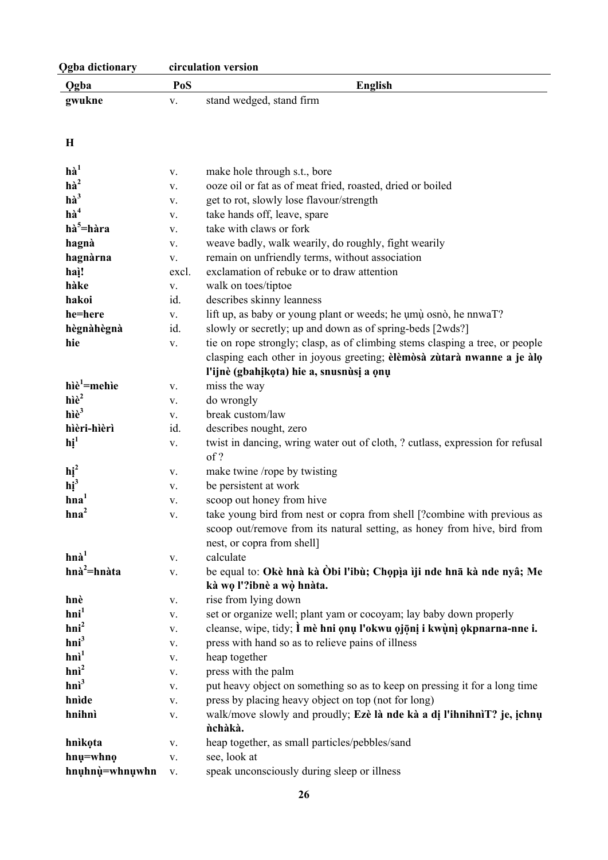| <b>Ogba dictionary</b>          | circulation version |                                                                               |  |
|---------------------------------|---------------------|-------------------------------------------------------------------------------|--|
| Ogba                            | PoS                 | <b>English</b>                                                                |  |
| gwukne                          | V.                  | stand wedged, stand firm                                                      |  |
|                                 |                     |                                                                               |  |
| H                               |                     |                                                                               |  |
| $h\grave{a}^1$                  | V.                  | make hole through s.t., bore                                                  |  |
| $h\grave{a}^2$                  | V.                  | ooze oil or fat as of meat fried, roasted, dried or boiled                    |  |
| $h\grave{a}^3$                  | V.                  | get to rot, slowly lose flavour/strength                                      |  |
| $h\grave{a}^4$                  | V.                  | take hands off, leave, spare                                                  |  |
| hà <sup>5</sup> =hàra           | V.                  | take with claws or fork                                                       |  |
| hagnà                           | V.                  | weave badly, walk wearily, do roughly, fight wearily                          |  |
| hagnàrna                        | V.                  | remain on unfriendly terms, without association                               |  |
| haì!                            | excl.               | exclamation of rebuke or to draw attention                                    |  |
| hàke                            | V.                  | walk on toes/tiptoe                                                           |  |
| hakoi                           | id.                 | describes skinny leanness                                                     |  |
| he=here                         | V.                  | lift up, as baby or young plant or weeds; he umu osno, he nnwaT?              |  |
| hègnàhègnà                      | id.                 | slowly or secretly; up and down as of spring-beds [2wds?]                     |  |
| hie                             | V.                  | tie on rope strongly; clasp, as of climbing stems clasping a tree, or people  |  |
|                                 |                     | clasping each other in joyous greeting; elemosa zutara nwanne a je alo        |  |
|                                 |                     | l'ijnè (gbahikota) hie a, snusnùsi a onu                                      |  |
| hìè <sup>1</sup> =mehìe         | V.                  | miss the way                                                                  |  |
| $h\grave{e}^2$                  | V.                  | do wrongly                                                                    |  |
| hìè <sup>3</sup>                | V.                  | break custom/law                                                              |  |
| hìèri-hìèrì                     | id.                 | describes nought, zero                                                        |  |
| $\mathbf{h}$ i <sup>1</sup>     | V.                  | twist in dancing, wring water out of cloth, ? cutlass, expression for refusal |  |
|                                 |                     | of?                                                                           |  |
| $\mathbf{h}$ i <sup>2</sup>     | V.                  | make twine /rope by twisting                                                  |  |
| $\mathbf{h}$ i <sup>3</sup>     | V.                  | be persistent at work                                                         |  |
| hna <sup>1</sup>                | V.                  | scoop out honey from hive                                                     |  |
| hna <sup>2</sup>                | V.                  | take young bird from nest or copra from shell [?combine with previous as      |  |
|                                 |                     | scoop out/remove from its natural setting, as honey from hive, bird from      |  |
|                                 |                     | nest, or copra from shell]                                                    |  |
| $hn\grave{a}^1$                 | V.                  | calculate                                                                     |  |
| $hn\grave{a}^2 = hn\grave{a}ta$ | V.                  | be equal to: Okè hnà kà Òbi l'ibù; Chọpịa ìji nde hnā kà nde nyâ; Me          |  |
|                                 |                     | kà wọ l'?ibnè a wò hnàta.                                                     |  |
| hnè                             | V.                  | rise from lying down                                                          |  |
| hni <sup>1</sup>                | V.                  | set or organize well; plant yam or cocoyam; lay baby down properly            |  |
| hni <sup>2</sup>                | V.                  | cleanse, wipe, tidy; I mè hni onu l'okwu ojoni i kwuni okpnarna-nne i.        |  |
| hni <sup>3</sup>                | V.                  | press with hand so as to relieve pains of illness                             |  |
| $h$ nì <sup>1</sup>             | V.                  | heap together                                                                 |  |
| hni <sup>2</sup>                | V.                  | press with the palm                                                           |  |
| hni <sup>3</sup>                | V.                  | put heavy object on something so as to keep on pressing it for a long time    |  |
| hnìde                           | V.                  | press by placing heavy object on top (not for long)                           |  |
| hnihnì                          | V.                  | walk/move slowly and proudly; Ezè là nde kà a di l'ihnihnìT? je, ichnu        |  |
|                                 |                     | nchàkà.                                                                       |  |
| hnìkọta                         | V.                  | heap together, as small particles/pebbles/sand                                |  |
| hnų=whno                        | V.                  | see, look at                                                                  |  |
| hnuhnù=whnuwhn                  | V.                  | speak unconsciously during sleep or illness                                   |  |
|                                 |                     |                                                                               |  |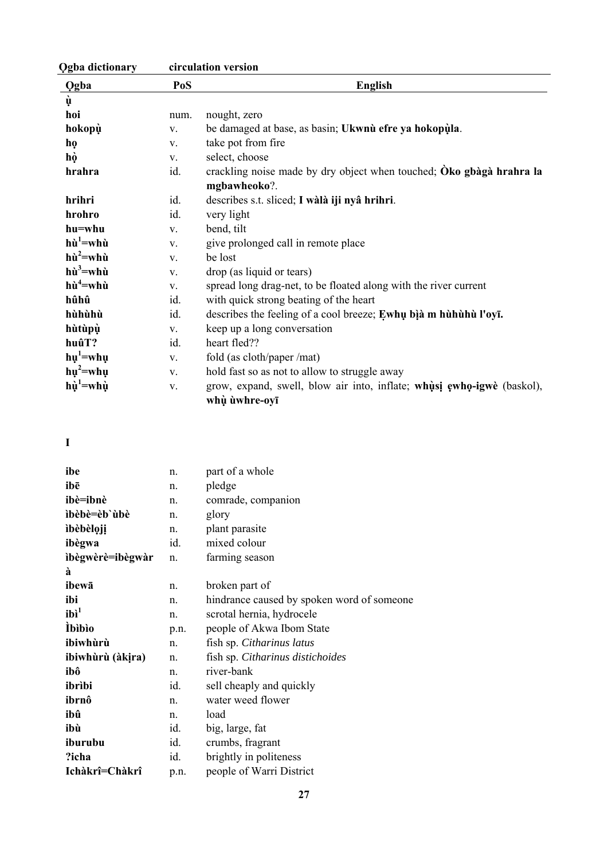| <b>Ogba</b> dictionary         | circulation version |                                                                        |  |
|--------------------------------|---------------------|------------------------------------------------------------------------|--|
| <b>Ogba</b>                    | PoS                 | <b>English</b>                                                         |  |
| ù                              |                     |                                                                        |  |
| hoi                            | num.                | nought, zero                                                           |  |
| hokopù                         | V.                  | be damaged at base, as basin; Ukwnù efre ya hokopùla.                  |  |
| họ                             | V.                  | take pot from fire                                                     |  |
| hò                             | V.                  | select, choose                                                         |  |
| hrahra                         | id.                 | crackling noise made by dry object when touched; Oko gbàgà hrahra la   |  |
|                                |                     | mgbawheoko?.                                                           |  |
| hrihri                         | id.                 | describes s.t. sliced; I wàlà iji nyâ hrihri.                          |  |
| hrohro                         | id.                 | very light                                                             |  |
| hu=whu                         | V.                  | bend, tilt                                                             |  |
| $h\grave{u}^1$ =whù            | V.                  | give prolonged call in remote place                                    |  |
| $h\grave{u}^2$ =whù            | V.                  | be lost                                                                |  |
| $h\grave{u}^3$ =whù            | V.                  | drop (as liquid or tears)                                              |  |
| hù <sup>4</sup> =whù           | V.                  | spread long drag-net, to be floated along with the river current       |  |
| hûhû                           | id.                 | with quick strong beating of the heart                                 |  |
| hùhùhù                         | id.                 | describes the feeling of a cool breeze; Ewhu bia m hunubu l'oyi.       |  |
| hùtùpù                         | V.                  | keep up a long conversation                                            |  |
| $hu\hat{u}T?$                  | id.                 | heart fled??                                                           |  |
| $hu^1$ =whų                    | V.                  | fold (as cloth/paper /mat)                                             |  |
| $hu^2$ =whų                    | V.                  | hold fast so as not to allow to struggle away                          |  |
| $h\grave{u}^1$ =wh $\grave{u}$ | V.                  | grow, expand, swell, blow air into, inflate; whusi ewho-igwe (baskol), |  |
|                                |                     | whù ùwhre-oyī                                                          |  |

**I** 

**ibe n**. **part of a whole ibē** n. pledge **ibè=ibnè** n. comrade, companion **ìbèbè=èb`ùbè** n. glory **ìbèbèlọjị** n. plant parasite **ibègwa** id. mixed colour **ìbègwèrè=ibègwàr à**  n. farming season **ibewā** n. broken part of **ibi n.** hindrance caused by spoken word of someone<br> **ibi**<sup>1</sup> **n.** scrotal hernia, hydrocele **ibì<sup>1</sup>** n. scrotal hernia, hydrocele **Ìbìbìo** p.n. people of Akwa Ibom State **ibiwhùrù** n. fish sp. *Citharinus latus*  **ibiwhùrù (àkịra)** n. fish sp. *Citharinus distichoides* **ibô** n. river-bank **ibrìbi** id. sell cheaply and quickly **ibrnô** n. water weed flower **ibû** n. load **ibù** id. big, large, fat **iburubu** id. crumbs, fragrant **?icha** id. brightly in politeness **Ichàkrî=Chàkrî** p.n. people of Warri District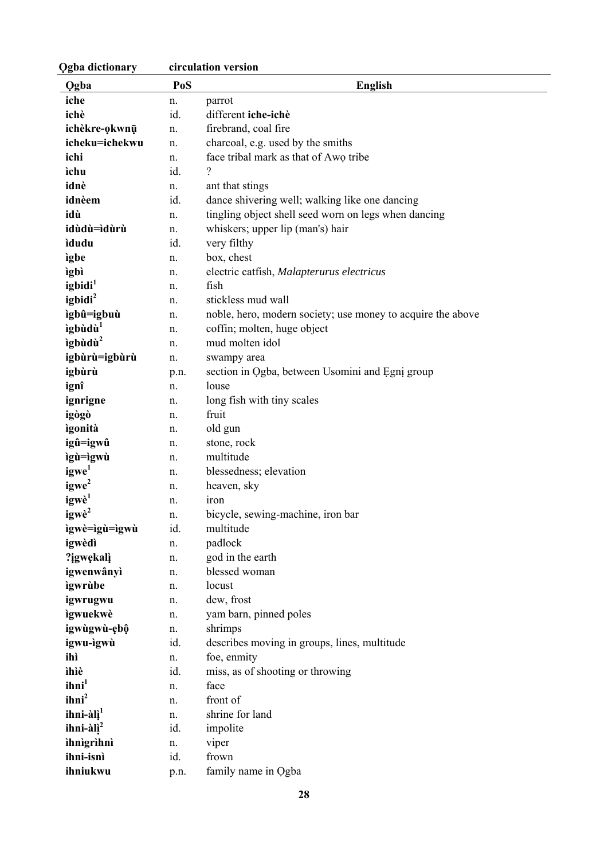| <b>Qgba</b> dictionary        | circulation version |                                                             |  |
|-------------------------------|---------------------|-------------------------------------------------------------|--|
| <b>Qgba</b>                   | PoS                 | <b>English</b>                                              |  |
| iche                          | n.                  | parrot                                                      |  |
| ichè                          | id.                 | different iche-ichè                                         |  |
| ichèkre-okwnū                 | n.                  | firebrand, coal fire                                        |  |
| icheku=ichekwu                | n.                  | charcoal, e.g. used by the smiths                           |  |
| ichi                          | n.                  | face tribal mark as that of Awo tribe                       |  |
| ìchu                          | id.                 | $\overline{?}$                                              |  |
| idnè                          | n.                  | ant that stings                                             |  |
| idnèem                        | id.                 | dance shivering well; walking like one dancing              |  |
| idù                           | n.                  | tingling object shell seed worn on legs when dancing        |  |
| idùdù=ìdùrù                   | n.                  | whiskers; upper lip (man's) hair                            |  |
| idudu                         | id.                 | very filthy                                                 |  |
| ìgbe                          | n.                  | box, chest                                                  |  |
| ìgbì                          | n.                  | electric catfish, Malapterurus electricus                   |  |
| igbidi <sup>1</sup>           | n.                  | fish                                                        |  |
| igbidi <sup>2</sup>           | n.                  | stickless mud wall                                          |  |
| ìgbû=igbuù                    | n.                  | noble, hero, modern society; use money to acquire the above |  |
| igbùdù <sup>1</sup>           | n.                  | coffin; molten, huge object                                 |  |
| igbùdù <sup>2</sup>           | n.                  | mud molten idol                                             |  |
| igbùrù=igbùrù                 | n.                  | swampy area                                                 |  |
| igbùrù                        | p.n.                | section in Ogba, between Usomini and Egni group             |  |
| ignî                          | n.                  | louse                                                       |  |
| ignrigne                      | n.                  | long fish with tiny scales                                  |  |
| igògò                         | n.                  | fruit                                                       |  |
| ìgonità                       | n.                  | old gun                                                     |  |
| igû=igwû                      | n.                  | stone, rock                                                 |  |
| ìgù=ìgwù                      | n.                  | multitude                                                   |  |
| igwe <sup>1</sup>             | n.                  | blessedness; elevation                                      |  |
| igwe <sup>2</sup>             | n.                  | heaven, sky                                                 |  |
| igwè <sup>1</sup>             | n.                  | iron                                                        |  |
| igwe <sup>2</sup>             | n.                  | bicycle, sewing-machine, iron bar                           |  |
| ìgwè=ìgù=ìgwù                 | id.                 | multitude                                                   |  |
| igwèdì                        | n.                  | padlock                                                     |  |
| ?igwękalì                     | n.                  | god in the earth                                            |  |
| igwenwânyì                    | n.                  | blessed woman                                               |  |
| <i>igwrùbe</i>                | n.                  | locust                                                      |  |
| igwrugwu                      | n.                  | dew, frost                                                  |  |
| <i>igwuekwè</i>               | n.                  | yam barn, pinned poles                                      |  |
| igwùgwù-ębộ                   | n.                  | shrimps                                                     |  |
| igwu-ìgwù                     | id.                 | describes moving in groups, lines, multitude                |  |
| ihì                           | n.                  | foe, enmity                                                 |  |
| ìhìè                          | id.                 | miss, as of shooting or throwing                            |  |
| ihni <sup>1</sup>             | n.                  | face                                                        |  |
| $i$ hni <sup>2</sup>          | n.                  | front of                                                    |  |
| ihni-àlì <sup>1</sup>         | n.                  | shrine for land                                             |  |
| ihni- $\lambda$ l $\lambda^2$ | id.                 | impolite                                                    |  |
| ihnigrihni                    | n.                  | viper                                                       |  |
| ihni-isnì                     | id.                 | frown                                                       |  |
| ihniukwu                      | p.n.                | family name in Ogba                                         |  |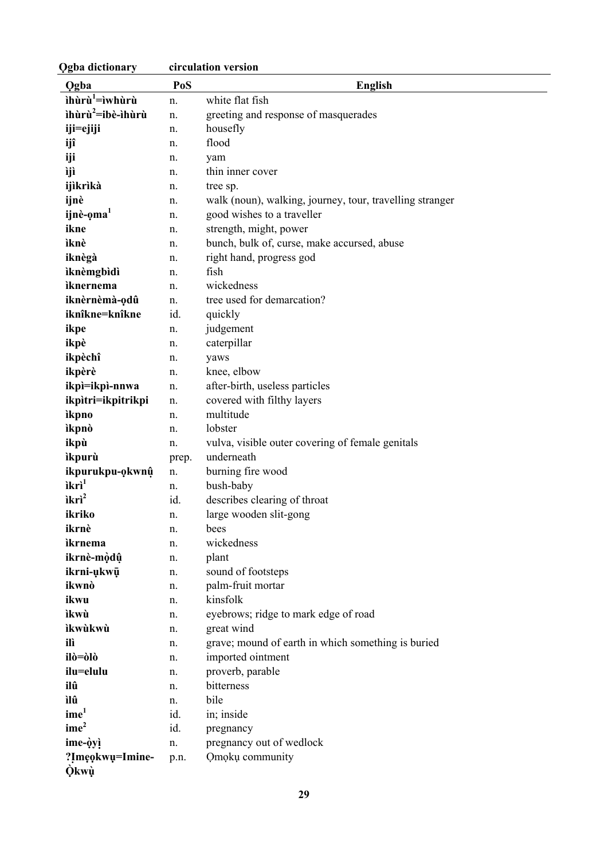| <b>Qgba</b> dictionary        |            | circulation version                                      |
|-------------------------------|------------|----------------------------------------------------------|
| <b>Ogba</b>                   | PoS        | <b>English</b>                                           |
| ìhùrù <sup>1</sup> =ìwhùrù    | n.         | white flat fish                                          |
| ìhùrù <sup>2</sup> =ibè-ìhùrù | n.         | greeting and response of masquerades                     |
| iji=ejiji                     | n.         | housefly                                                 |
| ijî                           | n.         | flood                                                    |
| iji                           | n.         | yam                                                      |
| ìjì                           | n.         | thin inner cover                                         |
| ijìkrìkà                      | n.         | tree sp.                                                 |
| ijnè                          | n.         | walk (noun), walking, journey, tour, travelling stranger |
| ijnè-oma <sup>1</sup>         | n.         | good wishes to a traveller                               |
| ikne                          | n.         | strength, might, power                                   |
| ìknè                          | n.         | bunch, bulk of, curse, make accursed, abuse              |
| iknègà                        | n.         | right hand, progress god                                 |
| iknèmgbìdì                    | n.         | fish                                                     |
| iknernema                     | n.         | wickedness                                               |
| iknèrnèmà-odû                 | n.         | tree used for demarcation?                               |
| iknîkne=knîkne                | id.        | quickly                                                  |
| ikpe                          | n.         | judgement                                                |
| ikpè                          | n.         | caterpillar                                              |
| ikpèchî                       | n.         | yaws                                                     |
| ikpèrè                        | n.         | knee, elbow                                              |
| ikpì=ikpì-nnwa                | n.         | after-birth, useless particles                           |
| ikpìtri=ikpitrikpi            | n.         | covered with filthy layers                               |
| ikpno                         | n.         | multitude                                                |
| ìkpnò                         | n.         | lobster                                                  |
| ikpù                          | n.         | vulva, visible outer covering of female genitals         |
| ìkpurù                        | prep.      | underneath                                               |
| ikpurukpu-okwnû               | n.         | burning fire wood                                        |
| ìkrì <sup>1</sup>             | n.         | bush-baby                                                |
| ikrì <sup>2</sup>             | id.        | describes clearing of throat                             |
| ikriko                        | n.         | large wooden slit-gong                                   |
| ikrnè                         | n.         | bees                                                     |
| ikrnema                       | n.         | wickedness                                               |
| ikrnè-mòdû                    | n.         | plant                                                    |
| ikrni-ukwū                    | n.         | sound of footsteps                                       |
| ikwnò                         | n.         | palm-fruit mortar                                        |
| ikwu                          | n.         | kinsfolk                                                 |
| ìkwù                          | n.         | eyebrows; ridge to mark edge of road                     |
| ìkwùkwù                       | n.         | great wind                                               |
| ilì                           | n.         | grave; mound of earth in which something is buried       |
| ilò=òlò                       | n.         | imported ointment                                        |
| ilu=elulu                     | n.         | proverb, parable                                         |
| ilû<br>ìlû                    | n.         | bitterness<br>bile                                       |
| ime <sup>1</sup>              | n.         |                                                          |
| ime <sup>2</sup>              | id.<br>id. | in; inside                                               |
|                               |            | pregnancy                                                |
| ime-oy                        | n.         | pregnancy out of wedlock<br>Omoku community              |
| ?Imęokwu=Imine-               | p.n.       |                                                          |
| <b>Okwù</b>                   |            |                                                          |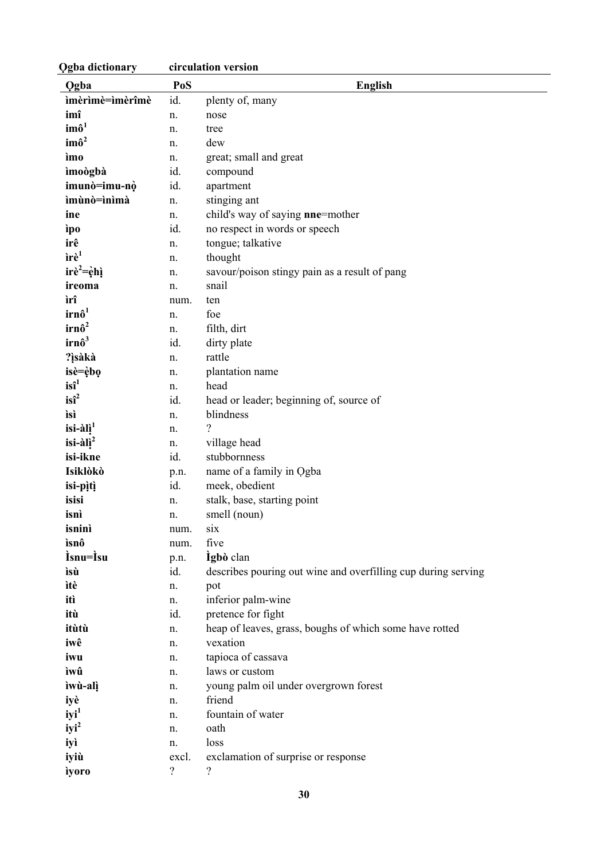| <b>Ogba dictionary</b>        |                          | circulation version                                           |
|-------------------------------|--------------------------|---------------------------------------------------------------|
| <b>Qgba</b>                   | PoS                      | <b>English</b>                                                |
| imèrimè=imèrîmè               | id.                      | plenty of, many                                               |
| imî                           | n.                       | nose                                                          |
| $\text{im}\hat{\mathbf{o}}^1$ | n.                       | tree                                                          |
| $im\hat{\sigma}^2$            | n.                       | dew                                                           |
| ìmo                           | n.                       | great; small and great                                        |
| imoògbà                       | id.                      | compound                                                      |
| imund=imu-no                  | id.                      | apartment                                                     |
| ìmùnò=ìnìmà                   | n.                       | stinging ant                                                  |
| ine                           | n.                       | child's way of saying <b>nne</b> =mother                      |
| ipo                           | id.                      | no respect in words or speech                                 |
| irê                           | n.                       | tongue; talkative                                             |
| $\mathbf{ir}\mathbf{e}^1$     | n.                       | thought                                                       |
| $ire^2 = \dot{e}$ hì          | n.                       | savour/poison stingy pain as a result of pang                 |
| ireoma                        | n.                       | snail                                                         |
| ìrî                           | num.                     | ten                                                           |
| irnô <sup>1</sup>             | n.                       | foe                                                           |
| irnô <sup>2</sup>             | n.                       | filth, dirt                                                   |
| irnô <sup>3</sup>             | id.                      | dirty plate                                                   |
| ?ìsàkà                        | n.                       | rattle                                                        |
| isè=èbo                       | n.                       | plantation name                                               |
| $is\hat{i}^1$                 | n.                       | head                                                          |
| $is\hat{i}^2$                 | id.                      | head or leader; beginning of, source of                       |
| ìsì                           | n.                       | blindness                                                     |
| isi-àlì <sup>1</sup>          | n.                       | $\gamma$                                                      |
| isi-àl $i^2$                  | n.                       | village head                                                  |
| isi-ikne                      | id.                      | stubbornness                                                  |
| Isiklòkò                      | p.n.                     | name of a family in Ogba                                      |
| isi-pìtì                      | id.                      | meek, obedient                                                |
| isisi                         | n.                       | stalk, base, starting point                                   |
| isnì                          | n.                       | smell (noun)                                                  |
| isninì                        | num.                     | six                                                           |
| ìsnô                          | num.                     | five                                                          |
| <i>isnu=isu</i>               | p.n.                     | <b>igbò</b> clan                                              |
| ìsù                           | id.                      | describes pouring out wine and overfilling cup during serving |
| ìtè                           | n.                       | pot                                                           |
| itì                           | n.                       | inferior palm-wine                                            |
| itù                           | id.                      | pretence for fight                                            |
| itùtù                         | n.                       | heap of leaves, grass, boughs of which some have rotted       |
| iwê                           | n.                       | vexation                                                      |
| iwu                           | n.                       | tapioca of cassava                                            |
| ìwû                           | n.                       | laws or custom                                                |
| ìwù-alì                       | n.                       | young palm oil under overgrown forest                         |
| iyè                           | n.                       | friend                                                        |
| iyi <sup>1</sup>              | n.                       | fountain of water                                             |
| $iyi^2$                       | n.                       | oath                                                          |
| iyì                           | n.                       | loss                                                          |
| iyiù                          | excl.                    | exclamation of surprise or response                           |
| ìyoro                         | $\overline{\mathcal{C}}$ | $\overline{\mathcal{L}}$                                      |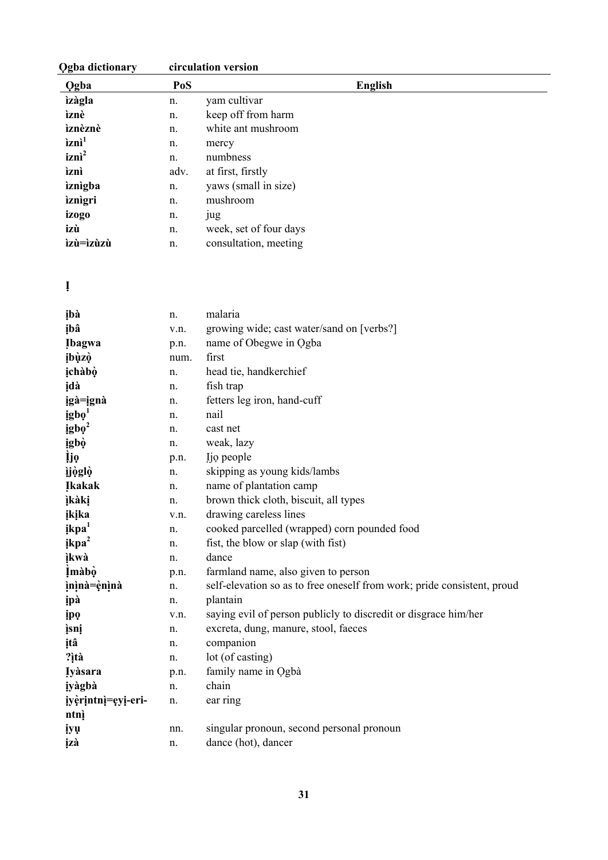| <b>Ogba dictionary</b>                        |      | circulation version    |  |
|-----------------------------------------------|------|------------------------|--|
| <b>Qgba</b>                                   | PoS  | <b>English</b>         |  |
| <b>izàgla</b>                                 | n.   | yam cultivar           |  |
| ìznè                                          | n.   | keep off from harm     |  |
| ìznèznè                                       | n.   | white ant mushroom     |  |
| ìznì <sup>1</sup>                             | n.   | mercy                  |  |
| $\mathbf{i}\mathbf{z}\mathbf{n}$ <sup>2</sup> | n.   | numbness               |  |
| ìznì                                          | adv. | at first, firstly      |  |
| iznigba                                       | n.   | yaws (small in size)   |  |
| <i>iznigri</i>                                | n.   | mushroom               |  |
| izogo                                         | n.   | jug                    |  |
| izù                                           | n.   | week, set of four days |  |
| ìzù=ìzùzù                                     | n.   | consultation, meeting  |  |

**Ị**

| įbà                | n.   | malaria                                                                 |
|--------------------|------|-------------------------------------------------------------------------|
| įbâ                | v.n. | growing wide; cast water/sand on [verbs?]                               |
| <b>Ibagwa</b>      | p.n. | name of Obegwe in Ogba                                                  |
| įbùzò              | num. | first                                                                   |
| ichàbò             | n.   | head tie, handkerchief                                                  |
| įdà                | n.   | fish trap                                                               |
| igà=ignà           | n.   | fetters leg iron, hand-cuff                                             |
| igbo <sup>1</sup>  | n.   | nail                                                                    |
| $\mathbf{igbo}^2$  | n.   | cast net                                                                |
| igbò               | n.   | weak, lazy                                                              |
| Įjo                | p.n. | Ijo people                                                              |
| ìjòglò             | n.   | skipping as young kids/lambs                                            |
| Ikakak             | n.   | name of plantation camp                                                 |
| ìkàki              | n.   | brown thick cloth, biscuit, all types                                   |
| ikika              | v.n. | drawing careless lines                                                  |
| įkpa <sup>1</sup>  | n.   | cooked parcelled (wrapped) corn pounded food                            |
| ikpa <sup>2</sup>  | n.   | fist, the blow or slap (with fist)                                      |
| ìkwà               | n.   | dance                                                                   |
| <i>Imàbò</i>       | p.n. | farmland name, also given to person                                     |
| ìnìnà=ènìnà        | n.   | self-elevation so as to free oneself from work; pride consistent, proud |
| ipà                | n.   | plantain                                                                |
| ipo                | v.n. | saying evil of person publicly to discredit or disgrace him/her         |
| <b>isni</b>        | n.   | excreta, dung, manure, stool, faeces                                    |
| įtâ                | n.   | companion                                                               |
| ?ìtà               | n.   | lot (of casting)                                                        |
| <b>Iyàsara</b>     | p.n. | family name in Ogbà                                                     |
| iyàgbà             | n.   | chain                                                                   |
| įyèrintni=ęyi-eri- | n.   | ear ring                                                                |
| ntnì               |      |                                                                         |
| iyu                | nn.  | singular pronoun, second personal pronoun                               |
| izà                | n.   | dance (hot), dancer                                                     |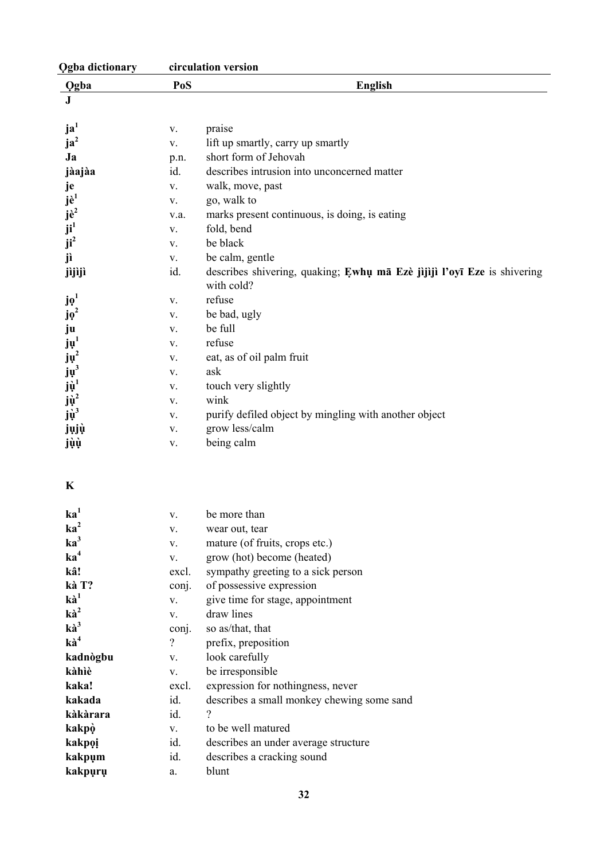| <b>Ogba dictionary</b>                                               |                          | circulation version                                                     |  |  |
|----------------------------------------------------------------------|--------------------------|-------------------------------------------------------------------------|--|--|
| <b>Qgba</b>                                                          | PoS                      | <b>English</b>                                                          |  |  |
| $\mathbf{J}$                                                         |                          |                                                                         |  |  |
|                                                                      |                          |                                                                         |  |  |
| j a <sup>1</sup>                                                     | V.                       | praise                                                                  |  |  |
| j a <sup>2</sup>                                                     | ${\bf V}.$               | lift up smartly, carry up smartly                                       |  |  |
| Ja                                                                   | p.n.                     | short form of Jehovah                                                   |  |  |
| jàajàa                                                               | id.                      | describes intrusion into unconcerned matter                             |  |  |
| je                                                                   | V.                       | walk, move, past                                                        |  |  |
| $j\grave{e}^1$                                                       | V.                       | go, walk to                                                             |  |  |
| $j\dot{e}^2$<br>$j\dot{i}^1$<br>$j\dot{i}^2$                         | v.a.                     | marks present continuous, is doing, is eating                           |  |  |
|                                                                      | ${\bf V}.$               | fold, bend                                                              |  |  |
|                                                                      | ${\bf V}.$               | be black                                                                |  |  |
| jì                                                                   | ${\bf V}.$               | be calm, gentle                                                         |  |  |
| jìjìjì                                                               | id.                      | describes shivering, quaking; Ewhu mā Ezè jìjìjì l'oyī Eze is shivering |  |  |
|                                                                      |                          | with cold?                                                              |  |  |
| $j\varrho^1$                                                         | V.                       | refuse                                                                  |  |  |
| $j\varphi^2$                                                         | ${\bf V}.$               | be bad, ugly                                                            |  |  |
| ju                                                                   | V.                       | be full                                                                 |  |  |
|                                                                      | V.                       | refuse                                                                  |  |  |
|                                                                      | V.                       | eat, as of oil palm fruit                                               |  |  |
| $j\mu^1$<br>$j\mu^2$<br>$j\mu^3$<br>$j\mu^1$<br>$j\mu^2$<br>$j\mu^3$ | V.                       | ask                                                                     |  |  |
|                                                                      | V.                       | touch very slightly                                                     |  |  |
|                                                                      | V.                       | wink                                                                    |  |  |
|                                                                      | V.                       | purify defiled object by mingling with another object                   |  |  |
| jųjų                                                                 | V.                       | grow less/calm                                                          |  |  |
| jùù                                                                  | V.                       | being calm                                                              |  |  |
|                                                                      |                          |                                                                         |  |  |
|                                                                      |                          |                                                                         |  |  |
| K                                                                    |                          |                                                                         |  |  |
|                                                                      |                          |                                                                         |  |  |
| ka <sup>1</sup>                                                      | V.                       | be more than                                                            |  |  |
| ka <sup>2</sup>                                                      | V.                       | wear out, tear                                                          |  |  |
| ka <sup>3</sup>                                                      | ${\bf V}.$               | mature (of fruits, crops etc.)                                          |  |  |
| ka <sup>4</sup>                                                      | V.                       | grow (hot) become (heated)                                              |  |  |
| kâ!                                                                  | excl.                    | sympathy greeting to a sick person                                      |  |  |
| kà T?                                                                | conj.                    | of possessive expression                                                |  |  |
| $k\grave{a}^1$                                                       | ${\bf V}.$               | give time for stage, appointment                                        |  |  |
| $k\dot{a}^2$                                                         | V.                       | draw lines                                                              |  |  |
| $k\lambda^3$                                                         | conj.                    | so as/that, that                                                        |  |  |
| $k\grave{a}^4$                                                       | $\overline{\mathcal{C}}$ | prefix, preposition                                                     |  |  |
| kadnògbu                                                             | ${\bf V}.$               | look carefully                                                          |  |  |
| kàhìè                                                                | ${\bf V}.$               | be irresponsible                                                        |  |  |
| kaka!                                                                | excl.                    | expression for nothingness, never                                       |  |  |
| kakada                                                               | id.                      | describes a small monkey chewing some sand                              |  |  |
| kàkàrara                                                             | id.                      | $\overline{?}$                                                          |  |  |
| kakpò                                                                | V.                       | to be well matured                                                      |  |  |
| kakpoi                                                               | id.                      | describes an under average structure                                    |  |  |
| kakpum                                                               | id.                      | describes a cracking sound                                              |  |  |
| kakpuru                                                              | a.                       | blunt                                                                   |  |  |
|                                                                      |                          |                                                                         |  |  |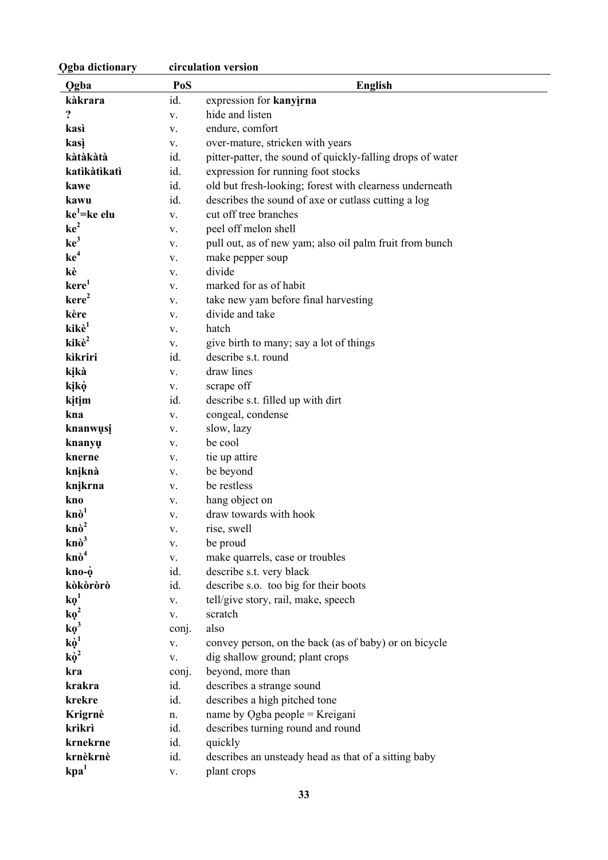| <b>Ogba dictionary</b>    | circulation version |                                                            |  |  |
|---------------------------|---------------------|------------------------------------------------------------|--|--|
| <b>Ogba</b>               | PoS                 | <b>English</b>                                             |  |  |
| kàkrara                   | id.                 | expression for kanyirna                                    |  |  |
| ?                         | V.                  | hide and listen                                            |  |  |
| kasì                      | V.                  | endure, comfort                                            |  |  |
| kasì                      | V.                  | over-mature, stricken with years                           |  |  |
| kàtàkàtà                  | id.                 | pitter-patter, the sound of quickly-falling drops of water |  |  |
| katikàtikati              | id.                 | expression for running foot stocks                         |  |  |
| kawe                      | id.                 | old but fresh-looking; forest with clearness underneath    |  |  |
| kawu                      | id.                 | describes the sound of axe or cutlass cutting a log        |  |  |
| $ke^l$ =ke elu            | V.                  | cut off tree branches                                      |  |  |
| ke <sup>2</sup>           | V.                  | peel off melon shell                                       |  |  |
| $ke^3$                    | V.                  | pull out, as of new yam; also oil palm fruit from bunch    |  |  |
| ke <sup>4</sup>           | V.                  | make pepper soup                                           |  |  |
| kè                        | V.                  | divide                                                     |  |  |
| kere <sup>1</sup>         | V.                  | marked for as of habit                                     |  |  |
| kere <sup>2</sup>         | V.                  | take new yam before final harvesting                       |  |  |
| kère                      | V.                  | divide and take                                            |  |  |
| $kik\grave{e}^1$          | V.                  | hatch                                                      |  |  |
| $kik\grave{e}^2$          | V.                  | give birth to many; say a lot of things                    |  |  |
| kìkriri                   | id.                 | describe s.t. round                                        |  |  |
| kikà                      | V.                  | draw lines                                                 |  |  |
| kikò                      | V.                  | scrape off                                                 |  |  |
| kitim                     | id.                 | describe s.t. filled up with dirt                          |  |  |
| kna                       | V.                  | congeal, condense                                          |  |  |
| knanwusi                  | V.                  | slow, lazy                                                 |  |  |
| knanyų                    | V.                  | be cool                                                    |  |  |
| knerne                    | V.                  | tie up attire                                              |  |  |
| kniknà                    | V.                  | be beyond                                                  |  |  |
| knikrna                   | V.                  | be restless                                                |  |  |
| kno                       | V.                  | hang object on                                             |  |  |
| $\mathbf{kn}\delta^1$     | V.                  | draw towards with hook                                     |  |  |
| $\mathbf{kn}\mathbf{d}^2$ | V.                  | rise, swell                                                |  |  |
| $\text{knò}^3$            | V.                  | be proud                                                   |  |  |
| $\text{knò}^4$            | V.                  | make quarrels, case or troubles                            |  |  |
| kno-ò                     | id.                 | describe s.t. very black                                   |  |  |
| kòkòròrò                  | id.                 | describe s.o. too big for their boots                      |  |  |
| $k\varphi^1$              | V.                  | tell/give story, rail, make, speech                        |  |  |
| $k\varphi^2$              | V.                  | scratch                                                    |  |  |
| $k\varphi^3$              | conj.               | also                                                       |  |  |
| $k\dot{\varphi}^1$        | V.                  | convey person, on the back (as of baby) or on bicycle      |  |  |
| $k\dot{\rho}^2$           | V.                  | dig shallow ground; plant crops                            |  |  |
| kra                       | conj.               | beyond, more than                                          |  |  |
| krakra                    | id.                 | describes a strange sound                                  |  |  |
| krekre                    | id.                 | describes a high pitched tone                              |  |  |
| Krigrnè                   | n.                  | name by Ogba people = Kreigani                             |  |  |
| krìkrì                    | id.                 | describes turning round and round                          |  |  |
| krnekrne                  | id.                 | quickly                                                    |  |  |
| krnèkrnè                  | id.                 | describes an unsteady head as that of a sitting baby       |  |  |
| kpa <sup>1</sup>          | V.                  | plant crops                                                |  |  |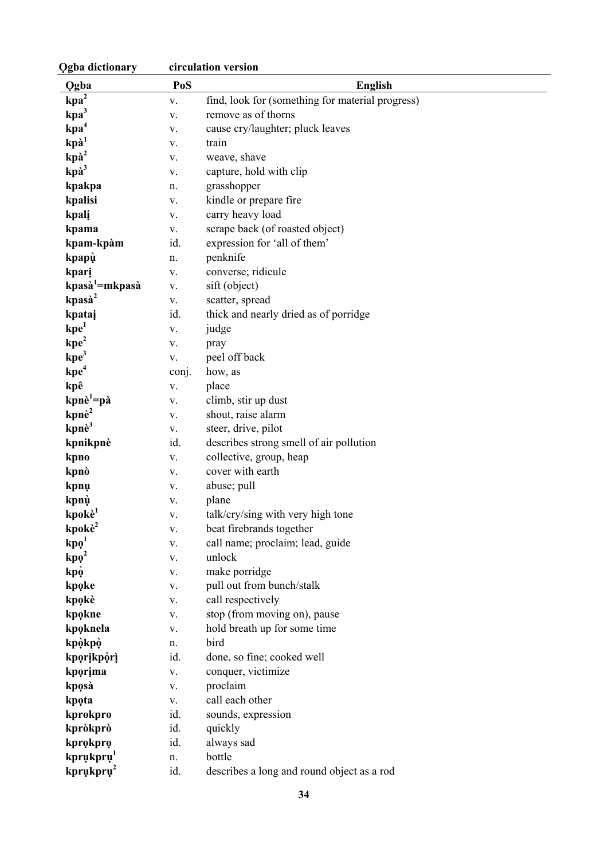| <b>Qgba</b> dictionary     |       | circulation version                              |
|----------------------------|-------|--------------------------------------------------|
| Ogba                       | PoS   | <b>English</b>                                   |
| kpa <sup>2</sup>           | V.    | find, look for (something for material progress) |
| kpa <sup>3</sup>           | V.    | remove as of thorns                              |
| kpa <sup>4</sup>           | V.    | cause cry/laughter; pluck leaves                 |
| $k$ pà <sup>1</sup>        | V.    | train                                            |
| $k p \lambda^2$            | V.    | weave, shave                                     |
| k p a <sup>3</sup>         | V.    | capture, hold with clip                          |
| kpakpa                     | n.    | grasshopper                                      |
| kpalisi                    | V.    | kindle or prepare fire                           |
| kpali                      | V.    | carry heavy load                                 |
| kpama                      | V.    | scrape back (of roasted object)                  |
| kpam-kpàm                  | id.   | expression for 'all of them'                     |
| kpapù                      | n.    | penknife                                         |
| kparį                      | V.    | converse; ridicule                               |
| kpasà <sup>1</sup> =mkpasà | V.    | sift (object)                                    |
| kpasà <sup>2</sup>         | V.    | scatter, spread                                  |
| kpataį                     | id.   | thick and nearly dried as of porridge            |
| kpe <sup>1</sup>           | V.    | judge                                            |
| kpe <sup>2</sup>           | V.    | pray                                             |
| kpe <sup>3</sup>           | V.    | peel off back                                    |
| kpe <sup>4</sup>           | conj. | how, as                                          |
| kpê                        | V.    | place                                            |
| kpnè <sup>1</sup> =pà      | V.    | climb, stir up dust                              |
| $kpn\grave{e}^2$           | V.    | shout, raise alarm                               |
| kpnè <sup>3</sup>          | V.    | steer, drive, pilot                              |
| kpnikpnè                   | id.   | describes strong smell of air pollution          |
| kpno                       | V.    | collective, group, heap                          |
| kpnò                       | V.    | cover with earth                                 |
| kpnų                       | V.    | abuse; pull                                      |
| kpnù                       | V.    | plane                                            |
| kpokè <sup>1</sup>         | V.    | talk/cry/sing with very high tone                |
| kpokè <sup>2</sup>         | V.    | beat firebrands together                         |
| $\mathbf{kpq}^1$           | V.    | call name; proclaim; lead, guide                 |
| $\mathbf{kpo}^2$           | V.    | unlock                                           |
| kpò                        | V.    | make porridge                                    |
| kpoke                      | V.    | pull out from bunch/stalk                        |
| kpokè                      | V.    | call respectively                                |
| kpokne                     | V.    | stop (from moving on), pause                     |
| kpoknela                   | V.    | hold breath up for some time                     |
| kpòkpò                     | n.    | bird                                             |
| kporikpori                 | id.   | done, so fine; cooked well                       |
| kporima                    | V.    | conquer, victimize                               |
| kposà                      | V.    | proclaim                                         |
| kpota                      | V.    | call each other                                  |
| kprokpro                   | id.   | sounds, expression                               |
| kpròkprò                   | id.   | quickly                                          |
| kprokpro                   | id.   | always sad                                       |
| kprųkprų <sup>1</sup>      | n.    | bottle                                           |
| kprųkprų <sup>2</sup>      | id.   | describes a long and round object as a rod       |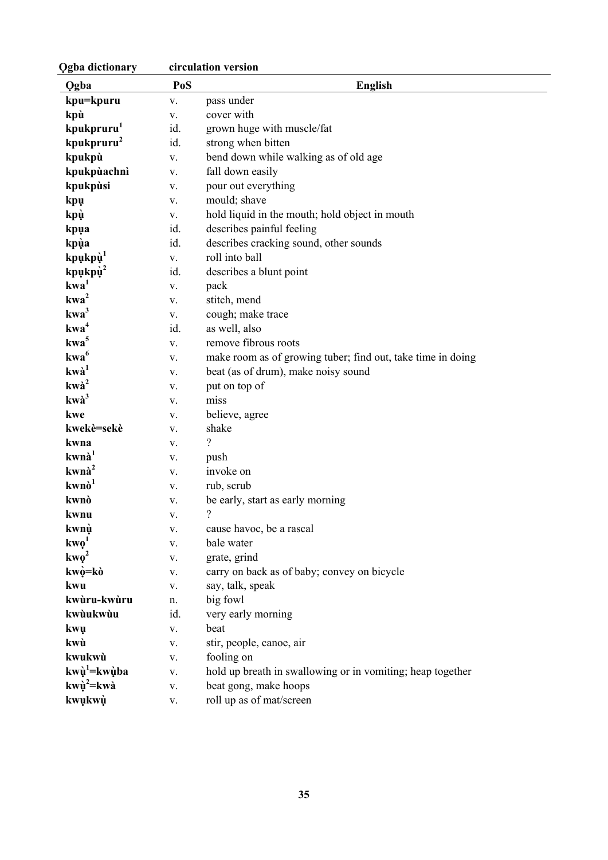| <b>Ogba dictionary</b>  | circulation version |                                                             |  |
|-------------------------|---------------------|-------------------------------------------------------------|--|
| <b>Ogba</b>             | PoS                 | <b>English</b>                                              |  |
| kpu=kpuru               | V.                  | pass under                                                  |  |
| kpù                     | V.                  | cover with                                                  |  |
| kpukpruru <sup>1</sup>  | id.                 | grown huge with muscle/fat                                  |  |
| kpukpruru <sup>2</sup>  | id.                 | strong when bitten                                          |  |
| kpukpù                  | V.                  | bend down while walking as of old age                       |  |
| kpukpùachnì             | V.                  | fall down easily                                            |  |
| kpukpùsi                | V.                  | pour out everything                                         |  |
| kpų                     | V.                  | mould; shave                                                |  |
| kpù                     | V.                  | hold liquid in the mouth; hold object in mouth              |  |
| kpua                    | id.                 | describes painful feeling                                   |  |
| kpùa                    | id.                 | describes cracking sound, other sounds                      |  |
| kpukpù <sup>1</sup>     | V.                  | roll into ball                                              |  |
| kpukpù <sup>2</sup>     | id.                 | describes a blunt point                                     |  |
| kwa <sup>1</sup>        | V.                  | pack                                                        |  |
| kwa <sup>2</sup>        | V.                  | stitch, mend                                                |  |
| kwa <sup>3</sup>        | V.                  | cough; make trace                                           |  |
| kwa <sup>4</sup>        | id.                 | as well, also                                               |  |
| kwa <sup>5</sup>        | V.                  | remove fibrous roots                                        |  |
| kwa <sup>6</sup>        | V.                  | make room as of growing tuber; find out, take time in doing |  |
| kwa <sup>1</sup>        | V.                  | beat (as of drum), make noisy sound                         |  |
| kwa <sup>2</sup>        | V.                  | put on top of                                               |  |
| kwa <sup>3</sup>        | V.                  | miss                                                        |  |
| kwe                     | V.                  | believe, agree                                              |  |
| kwekè=sekè              | V.                  | shake                                                       |  |
| kwna                    | V.                  | $\overline{\mathcal{L}}$                                    |  |
| kwnà <sup>1</sup>       | V.                  | push                                                        |  |
| $kwn\grave{a}^2$        | V.                  | invoke on                                                   |  |
| $kwn\delta^1$           | V.                  | rub, scrub                                                  |  |
| kwnò                    | V.                  | be early, start as early morning                            |  |
| kwnu                    | V.                  | $\overline{\mathcal{L}}$                                    |  |
| kwnù                    | V.                  | cause havoc, be a rascal                                    |  |
| kwo <sup>1</sup>        | V.                  | bale water                                                  |  |
| $k w \rho^2$            | V.                  | grate, grind                                                |  |
| kwò=kò                  | V.                  | carry on back as of baby; convey on bicycle                 |  |
| kwu                     | V.                  | say, talk, speak                                            |  |
| kwùru-kwùru             | n.                  | big fowl                                                    |  |
| kwùukwùu                | id.                 | very early morning                                          |  |
| kwų                     | V.                  | beat                                                        |  |
| kwù                     | V.                  | stir, people, canoe, air                                    |  |
| kwukwù                  | V.                  | fooling on                                                  |  |
| kwù <sup>1</sup> =kwùba | V.                  | hold up breath in swallowing or in vomiting; heap together  |  |
| kwù <sup>2</sup> =kwà   | V.                  | beat gong, make hoops                                       |  |
| kwukwù                  | V.                  | roll up as of mat/screen                                    |  |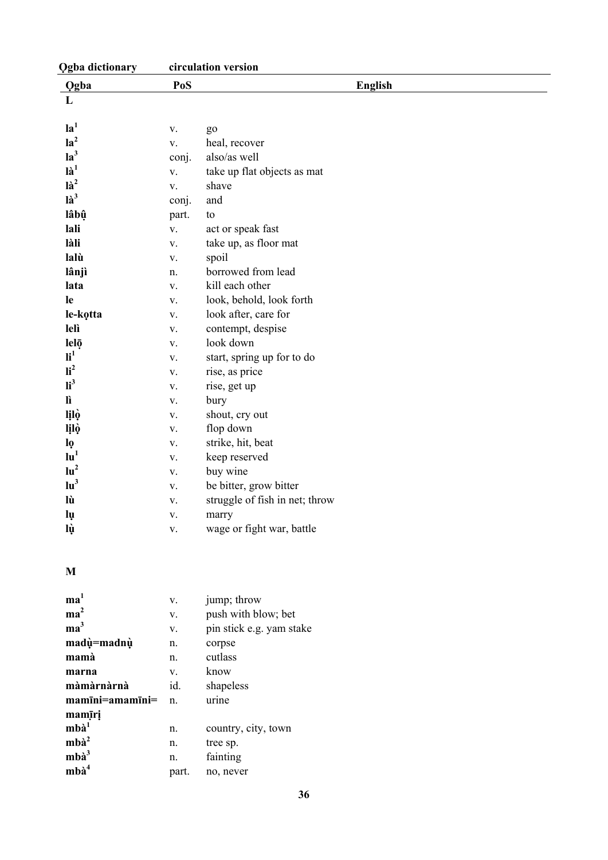| <b>Ogba dictionary</b>  |            | circulation version            |
|-------------------------|------------|--------------------------------|
| <b>Ogba</b>             | PoS        | <b>English</b>                 |
| $\mathbf{L}$            |            |                                |
|                         |            |                                |
| l <b>a</b> <sup>1</sup> | V.         | go                             |
| $la^2$                  | V.         | heal, recover                  |
| la <sup>3</sup>         | conj.      | also/as well                   |
| $l\grave{a}^1$          | ${\bf V}.$ | take up flat objects as mat    |
| $l\grave{a}^2$          | ${\bf V}.$ | shave                          |
| $l\grave{a}^3$          | conj.      | and                            |
| lâbû                    | part.      | to                             |
| lali                    | ${\bf V}.$ | act or speak fast              |
| làli                    | ${\bf V}.$ | take up, as floor mat          |
| lalù                    | V.         | spoil                          |
| lânjì                   | n.         | borrowed from lead             |
| lata                    | ${\bf V}.$ | kill each other                |
| le                      | ${\bf V}.$ | look, behold, look forth       |
| le-kotta                | ${\bf V}.$ | look after, care for           |
| lelì                    | ${\bf V}.$ | contempt, despise              |
| lelō                    | ${\bf V}.$ | look down                      |
| $\mathbf{li}^1$         | V.         | start, spring up for to do     |
| li <sup>2</sup>         | ${\bf V}.$ | rise, as price                 |
| li <sup>3</sup>         | ${\bf V}.$ | rise, get up                   |
| lì.                     | V.         | bury                           |
| lịlò                    | ${\bf V}.$ | shout, cry out                 |
| lịlò                    | ${\bf V}.$ | flop down                      |
| lọ                      | V.         | strike, hit, beat              |
| $\mathbf{u}^1$          | ${\bf V}.$ | keep reserved                  |
| $lu^2$                  | ${\bf V}.$ | buy wine                       |
| lu <sup>3</sup>         | ${\bf V}.$ | be bitter, grow bitter         |
| lù                      | V.         | struggle of fish in net; throw |
| lų                      | V.         | marry                          |
| lù                      | ${\bf V}.$ | wage or fight war, battle      |
|                         |            |                                |
| $\mathbf{M}$            |            |                                |
|                         |            |                                |
| ma <sup>1</sup>         | V.         | jump; throw                    |
| ma <sup>2</sup>         | ${\bf V}.$ | push with blow; bet            |
| ma <sup>3</sup>         | ${\bf V}.$ | pin stick e.g. yam stake       |
| madù=madnù              | n.         | corpse                         |

| ma <sup>1</sup>    | V.    | jump; throw              |
|--------------------|-------|--------------------------|
| ma <sup>2</sup>    | V.    | push with blow; bet      |
| ma <sup>3</sup>    | V.    | pin stick e.g. yam stake |
| madù=madnù         | n.    | corpse                   |
| mamà               | n.    | cutlass                  |
| marna              | V.    | know                     |
| màmàrnàrnà         | id.   | shapeless                |
| $m$ amīni=amamīni= | n.    | urine                    |
| mamīri             |       |                          |
| $mb\{\hat{a}^1$    | n.    | country, city, town      |
| mba <sup>2</sup>   | n.    | tree sp.                 |
| mba <sup>3</sup>   | n.    | fainting                 |
| $mb\grave{a}^4$    | part. | no, never                |
|                    |       |                          |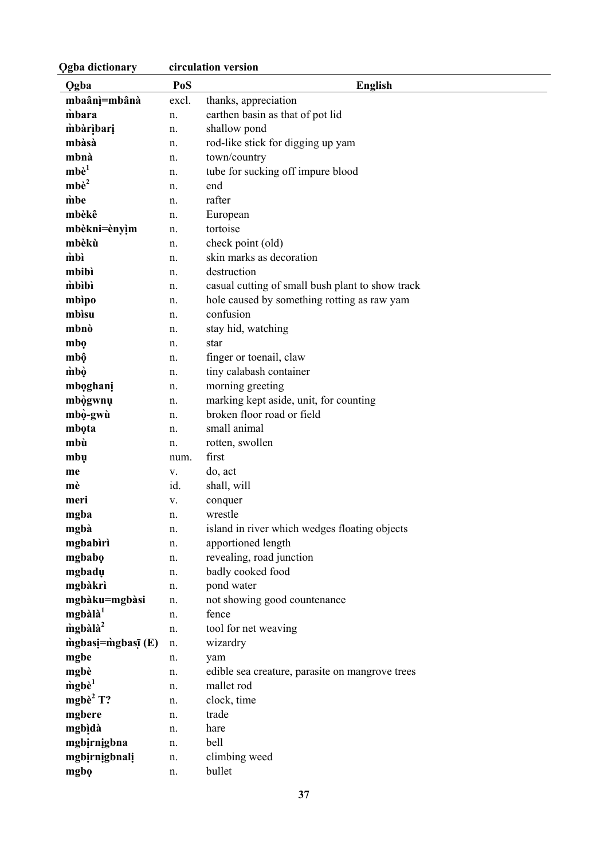| <b>Qgba</b> dictionary               | circulation version |                                                  |
|--------------------------------------|---------------------|--------------------------------------------------|
| <b>Ogba</b>                          | PoS                 | <b>English</b>                                   |
| mbaânì=mbânà                         | excl.               | thanks, appreciation                             |
| mbara                                | n.                  | earthen basin as that of pot lid                 |
| mbàribari                            | n.                  | shallow pond                                     |
| mbàsà                                | n.                  | rod-like stick for digging up yam                |
| mbnà                                 | n.                  | town/country                                     |
| $mb\{e}^1$                           | n.                  | tube for sucking off impure blood                |
| $mb\{e}^2$                           | n.                  | end                                              |
| mbe                                  | n.                  | rafter                                           |
| mbèkê                                | n.                  | European                                         |
| mbèkni=ènyìm                         | n.                  | tortoise                                         |
| mbèkù                                | n.                  | check point (old)                                |
| mbì                                  | n.                  | skin marks as decoration                         |
| mbibì                                | n.                  | destruction                                      |
| mbibi                                | n.                  | casual cutting of small bush plant to show track |
| mbipo                                | n.                  | hole caused by something rotting as raw yam      |
| mbisu                                | n.                  | confusion                                        |
| mbnò                                 | n.                  | stay hid, watching                               |
| mbo                                  | n.                  | star                                             |
| mbộ                                  | n.                  | finger or toenail, claw                          |
| mbò                                  | n.                  | tiny calabash container                          |
| mboghani                             | n.                  | morning greeting                                 |
| mbògwnų                              | n.                  | marking kept aside, unit, for counting           |
| mbò-gwù                              | n.                  | broken floor road or field                       |
| mbota                                | n.                  | small animal                                     |
| mbù                                  | n.                  | rotten, swollen                                  |
| mbu                                  | num.                | first                                            |
| me                                   | V.                  | do, act                                          |
| mè                                   | id.                 | shall, will                                      |
| meri                                 | V.                  | conquer                                          |
| mgba                                 | n.                  | wrestle                                          |
| mgbà                                 | n.                  | island in river which wedges floating objects    |
| mgbabìrì                             | n.                  | apportioned length                               |
| mgbabo                               | n.                  | revealing, road junction                         |
| mgbadu                               | n.                  | badly cooked food                                |
| mgbàkrì                              | n.                  | pond water                                       |
| mgbàku=mgbàsi                        | n.                  | not showing good countenance                     |
| mgbàlà <sup>1</sup>                  | n.                  | fence                                            |
| mgbàlà <sup>2</sup>                  | n.                  | tool for net weaving                             |
| $\dot{m}$ gbasi= $\dot{m}$ gbasī (E) | n.                  | wizardry                                         |
| mgbe                                 | n.                  | yam                                              |
| mgbè                                 | n.                  | edible sea creature, parasite on mangrove trees  |
| $\dot{\text{m}}$ gbè <sup>1</sup>    | n.                  | mallet rod                                       |
| mgbè <sup>2</sup> T?                 | n.                  | clock, time                                      |
| mgbere                               | n.                  | trade                                            |
| mgbìdà                               | n.                  | hare<br>bell                                     |
| mgbirnigbna                          | n.                  |                                                  |
| mgbirnigbnali                        | n.                  | climbing weed<br>bullet                          |
| mgbo                                 | n.                  |                                                  |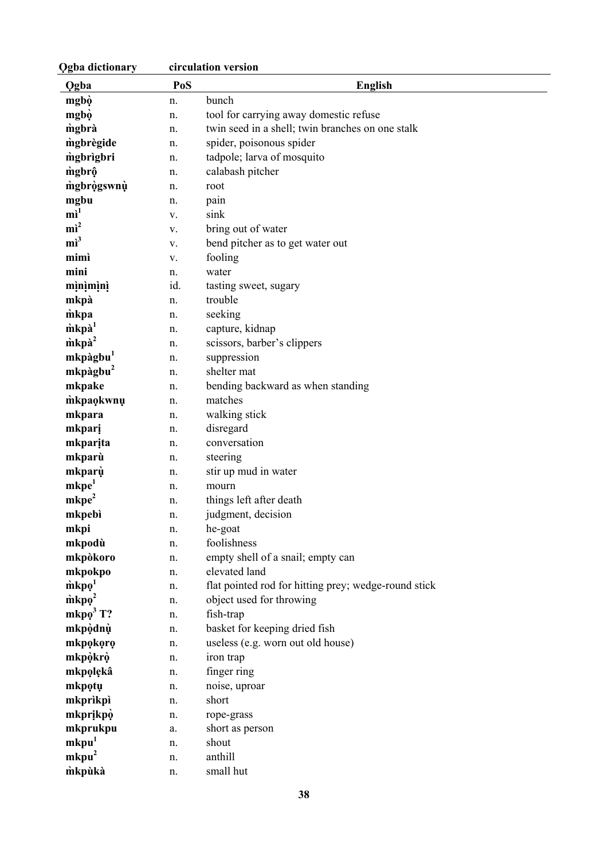| <b>Ogba</b> dictionary                             | circulation version |                                                      |  |
|----------------------------------------------------|---------------------|------------------------------------------------------|--|
| <b>Qgba</b>                                        | PoS                 | <b>English</b>                                       |  |
| mgbò                                               | n.                  | bunch                                                |  |
| mgbò                                               | n.                  | tool for carrying away domestic refuse               |  |
| mgbrà                                              | n.                  | twin seed in a shell; twin branches on one stalk     |  |
| mgbrègide                                          | n.                  | spider, poisonous spider                             |  |
| mgbrigbri                                          | n.                  | tadpole; larva of mosquito                           |  |
| mgbrộ                                              | n.                  | calabash pitcher                                     |  |
| mgbrògswnù                                         | n.                  | root                                                 |  |
| mgbu                                               | n.                  | pain                                                 |  |
| m <sup>1</sup>                                     | V.                  | sink                                                 |  |
| m <sup>2</sup>                                     | V.                  | bring out of water                                   |  |
| m <sup>3</sup>                                     | V.                  | bend pitcher as to get water out                     |  |
| mimì                                               | V.                  | fooling                                              |  |
| mini                                               | n.                  | water                                                |  |
| mìnìmìnì                                           | id.                 | tasting sweet, sugary                                |  |
| mkpà                                               | n.                  | trouble                                              |  |
| mkpa                                               | n.                  | seeking                                              |  |
| $\dot{\mathbf{m}}$ kpà $^1$                        | n.                  | capture, kidnap                                      |  |
| $\dot{\textbf{m}}$ kpà <sup>2</sup>                | n.                  | scissors, barber's clippers                          |  |
| mkpàgbu <sup>1</sup>                               | n.                  | suppression                                          |  |
| mkpàgbu <sup>2</sup>                               | n.                  | shelter mat                                          |  |
| mkpake                                             | n.                  | bending backward as when standing                    |  |
| mkpaokwnų                                          | n.                  | matches                                              |  |
| mkpara                                             | n.                  | walking stick                                        |  |
| mkpari                                             | n.                  | disregard                                            |  |
| mkparita                                           | n.                  | conversation                                         |  |
| mkparù                                             | n.                  | steering                                             |  |
| mkparų̀                                            | n.                  | stir up mud in water                                 |  |
| m kpc <sup>1</sup>                                 | n.                  | mourn                                                |  |
| mkpe <sup>2</sup>                                  | n.                  | things left after death                              |  |
| mkpebì                                             | n.                  | judgment, decision                                   |  |
| mkpi                                               | n.                  | he-goat                                              |  |
| mkpodù                                             | n.                  | foolishness                                          |  |
| mkpòkoro                                           | n.                  | empty shell of a snail; empty can                    |  |
| mkpokpo                                            | n.                  | elevated land                                        |  |
| $\dot{\textbf{m}}$ kpo <sup>1</sup>                | n.                  | flat pointed rod for hitting prey; wedge-round stick |  |
| $\dot{\textbf{m}}\textbf{k}\textbf{p}\textbf{q}^2$ | n.                  | object used for throwing                             |  |
| $mkp\varphi^3$ T?                                  | n.                  | fish-trap                                            |  |
| mkpòdnù                                            | n.                  | basket for keeping dried fish                        |  |
| mkpokoro                                           | n.                  | useless (e.g. worn out old house)                    |  |
| mkpòkrò                                            | n.                  | iron trap                                            |  |
| mkpolękâ                                           | n.                  | finger ring                                          |  |
| mkpotų                                             | n.                  | noise, uproar                                        |  |
| mkprìkpì                                           | n.                  | short                                                |  |
| mkprikpò                                           | n.                  | rope-grass                                           |  |
| mkprukpu                                           | a.                  | short as person                                      |  |
| m k p u <sup>1</sup>                               | n.                  | shout<br>anthill                                     |  |
| mkpu <sup>2</sup>                                  | n.                  |                                                      |  |
| mkpùkà                                             | n.                  | small hut                                            |  |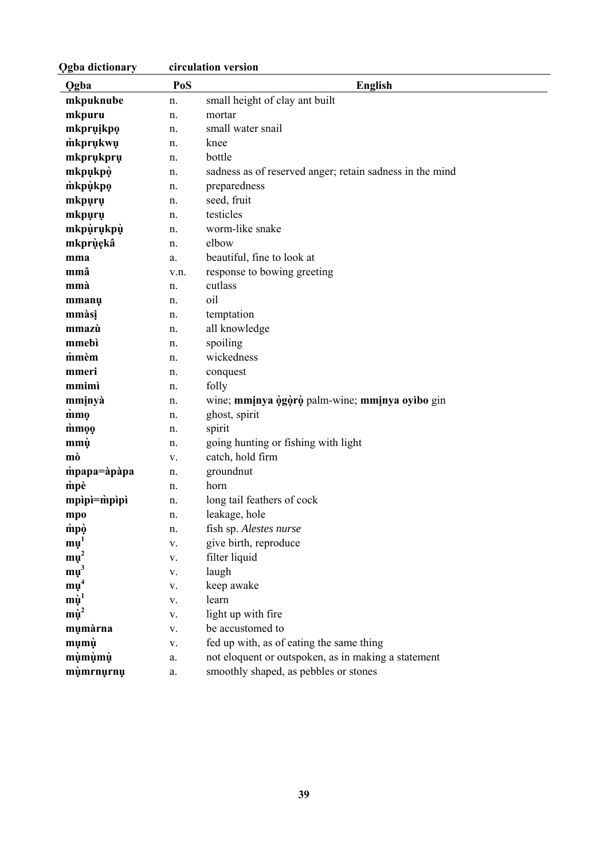| <b>Qgba</b> dictionary | circulation version |                                                          |  |
|------------------------|---------------------|----------------------------------------------------------|--|
| <b>Ogba</b>            | PoS                 | <b>English</b>                                           |  |
| mkpuknube              | n.                  | small height of clay ant built                           |  |
| mkpuru                 | n.                  | mortar                                                   |  |
| mkprųįkpo              | n.                  | small water snail                                        |  |
| mkprukwu               | n.                  | knee                                                     |  |
| mkprukpru              | n.                  | bottle                                                   |  |
| mkpukpò                | n.                  | sadness as of reserved anger; retain sadness in the mind |  |
| mkpukpo                | n.                  | preparedness                                             |  |
| mkpuru                 | n.                  | seed, fruit                                              |  |
| mkpuru                 | n.                  | testicles                                                |  |
| mkpùrukpù              | n.                  | worm-like snake                                          |  |
| mkprùękâ               | n.                  | elbow                                                    |  |
| mma                    | a.                  | beautiful, fine to look at                               |  |
| mmâ                    | v.n.                | response to bowing greeting                              |  |
| mmà                    | n.                  | cutlass                                                  |  |
| mmanu                  | n.                  | oil                                                      |  |
| mmàsi                  | n.                  | temptation                                               |  |
| mmazù                  | n.                  | all knowledge                                            |  |
| mmebì                  | n.                  | spoiling                                                 |  |
| mmèm                   | n.                  | wickedness                                               |  |
| mmeri                  | n.                  | conquest                                                 |  |
| mmimì                  | n.                  | folly                                                    |  |
| mminyà                 | n.                  | wine; mminya ògòrò palm-wine; mminya oyibo gin           |  |
| mmo                    | n.                  | ghost, spirit                                            |  |
| mmoo                   | n.                  | spirit                                                   |  |
| mmù                    | n.                  | going hunting or fishing with light                      |  |
| mò                     | V.                  | catch, hold firm                                         |  |
| mpapa=àpàpa            | n.                  | groundnut                                                |  |
| mpè                    | n.                  | horn                                                     |  |
| mpipi=mpipi            | n.                  | long tail feathers of cock                               |  |
| mpo                    | n.                  | leakage, hole                                            |  |
| mpò                    | n.                  | fish sp. Alestes nurse                                   |  |
| mu                     | V.                  | give birth, reproduce                                    |  |
| $m\mu$ <sup>-</sup>    | V.                  | filter liquid                                            |  |
| $mu^3$                 | V.                  | laugh                                                    |  |
| $mu^*$                 | V.                  | keep awake                                               |  |
| mù                     | V.                  | learn                                                    |  |
| $m\tilde{u}^2$         | V.                  | light up with fire                                       |  |
| mumàrna                | V.                  | be accustomed to                                         |  |
| mụmù                   | V.                  | fed up with, as of eating the same thing                 |  |
| mùmùmù                 | a.                  | not eloquent or outspoken, as in making a statement      |  |
| mùmrnurnu              | a.                  | smoothly shaped, as pebbles or stones                    |  |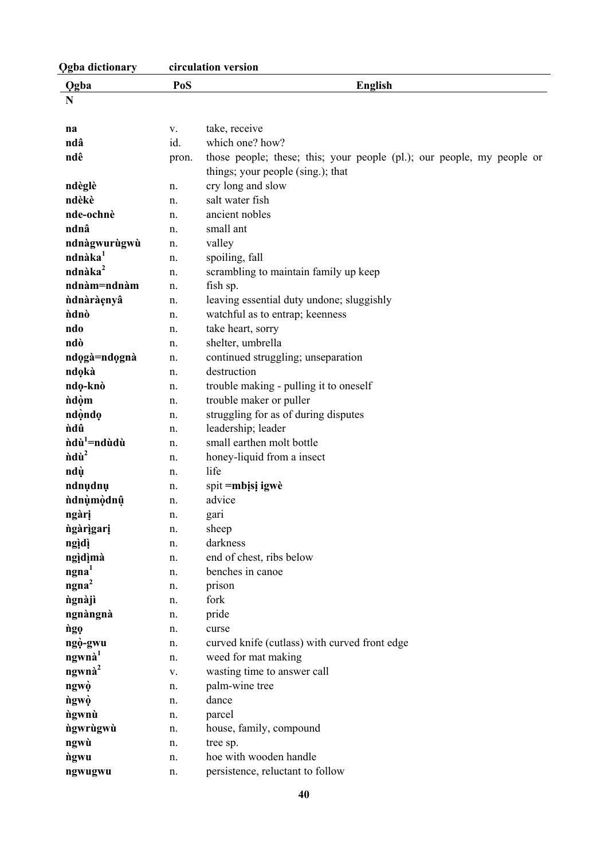| <b>Qgba</b> dictionary             | circulation version |                                                                        |  |
|------------------------------------|---------------------|------------------------------------------------------------------------|--|
| <b>Ogba</b>                        | PoS                 | <b>English</b>                                                         |  |
| ${\bf N}$                          |                     |                                                                        |  |
|                                    |                     |                                                                        |  |
| na                                 | V.                  | take, receive                                                          |  |
| ndâ                                | id.                 | which one? how?                                                        |  |
| ndê                                | pron.               | those people; these; this; your people (pl.); our people, my people or |  |
|                                    |                     | things; your people (sing.); that                                      |  |
| ndèglè                             | n.                  | cry long and slow                                                      |  |
| ndèkè                              | n.                  | salt water fish                                                        |  |
| nde-ochnè                          | n.                  | ancient nobles                                                         |  |
| ndnâ                               | n.                  | small ant                                                              |  |
| ndnàgwurùgwù                       | n.                  | valley                                                                 |  |
| ndnàka <sup>1</sup>                | n.                  | spoiling, fall                                                         |  |
| ndnàka <sup>2</sup>                | n.                  | scrambling to maintain family up keep                                  |  |
| ndnàm=ndnàm                        | n.                  | fish sp.                                                               |  |
| ndnàràẹnyâ                         | n.                  | leaving essential duty undone; sluggishly                              |  |
| ndnò                               | n.                  | watchful as to entrap; keenness                                        |  |
| ndo                                | n.                  | take heart, sorry                                                      |  |
| ndò                                | n.                  | shelter, umbrella                                                      |  |
| ndogà=ndognà                       | n.                  | continued struggling; unseparation                                     |  |
| ndokà                              | n.                  | destruction                                                            |  |
| ndọ-knò                            | n.                  | trouble making - pulling it to oneself                                 |  |
| ndòm                               | n.                  | trouble maker or puller                                                |  |
| ndòndo                             | n.                  | struggling for as of during disputes                                   |  |
| <i>n</i> dû                        | n.                  | leadership; leader                                                     |  |
| ndù <sup>1</sup> =ndùdù            | n.                  | small earthen molt bottle                                              |  |
| $\hat{\mathbf{n}}$ dù <sup>2</sup> | n.                  | honey-liquid from a insect                                             |  |
| ndù                                | n.                  | life                                                                   |  |
| ndnudnu                            | n.                  | $split = m$ bisi igwè                                                  |  |
| ndnùmòdnû                          | n.                  | advice                                                                 |  |
| ngàrị                              | n.                  | gari                                                                   |  |
| ngàrìgari                          | n.                  | sheep                                                                  |  |
| ngìdì                              | n.                  | darkness                                                               |  |
| ngidimà                            | n.                  | end of chest, ribs below                                               |  |
| $ngna1$                            | n.                  | benches in canoe                                                       |  |
| $ngna2$                            | n.                  | prison                                                                 |  |
| ngnàjì                             | n.                  | fork                                                                   |  |
| ngnàngnà                           | n.                  | pride                                                                  |  |
| ngo                                | n.                  | curse                                                                  |  |
| ngò-gwu                            | n.                  | curved knife (cutlass) with curved front edge                          |  |
| ngwnà <sup>1</sup>                 | n.                  | weed for mat making                                                    |  |
| ngwnà <sup>2</sup>                 | V.                  | wasting time to answer call                                            |  |
| ngwò                               | n.                  | palm-wine tree                                                         |  |
| ngwò                               | n.                  | dance                                                                  |  |
| ngwnù                              | n.                  | parcel                                                                 |  |
| ngwrùgwù                           | n.                  | house, family, compound                                                |  |
| ngwù                               | n.                  | tree sp.                                                               |  |
| ngwu                               | n.                  | hoe with wooden handle                                                 |  |
| ngwugwu                            | n.                  | persistence, reluctant to follow                                       |  |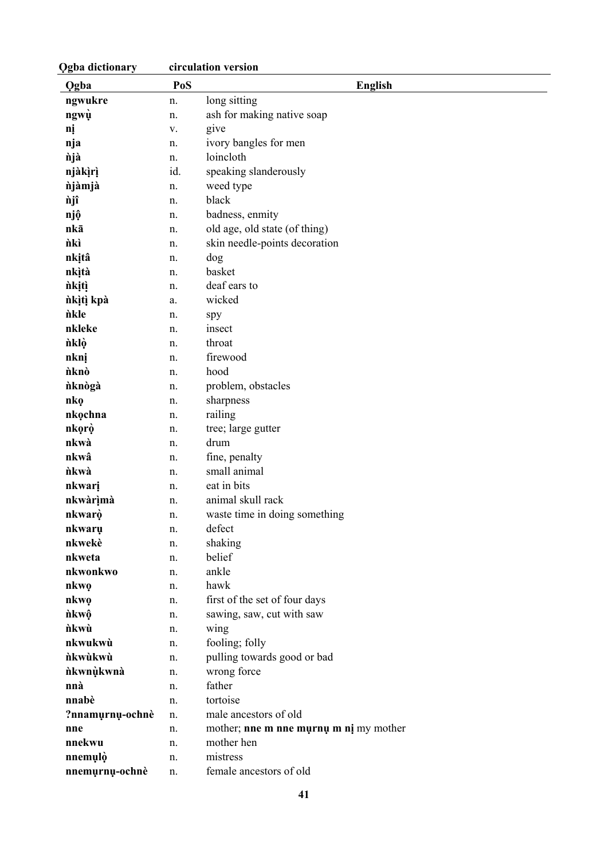| <b>Ogba dictionary</b> |     | circulation version                    |
|------------------------|-----|----------------------------------------|
| <b>Ogba</b>            | PoS | <b>English</b>                         |
| ngwukre                | n.  | long sitting                           |
| ngwù                   | n.  | ash for making native soap             |
| nį                     | V.  | give                                   |
| nja                    | n.  | ivory bangles for men                  |
| njà                    | n.  | loincloth                              |
| njàkìrì                | id. | speaking slanderously                  |
| njàmjà                 | n.  | weed type                              |
| ñjî                    | n.  | black                                  |
| njộ                    | n.  | badness, enmity                        |
| nkā                    | n.  | old age, old state (of thing)          |
| ñkì                    | n.  | skin needle-points decoration          |
| nkịtâ                  | n.  | dog                                    |
| nkìtà                  | n.  | basket                                 |
| <i>nkiti</i>           | n.  | deaf ears to                           |
| nkiti kpa              | a.  | wicked                                 |
| <i>nkle</i>            | n.  | spy                                    |
| nkleke                 | n.  | insect                                 |
| ñklò                   | n.  | throat                                 |
| nkni                   | n.  | firewood                               |
| <i>nkno</i>            | n.  | hood                                   |
| nknoga                 | n.  | problem, obstacles                     |
| nko                    | n.  | sharpness                              |
| nkochna                | n.  | railing                                |
| nkọrò                  | n.  | tree; large gutter                     |
| nkwà                   | n.  | drum                                   |
| nkwâ                   | n.  | fine, penalty                          |
| nkwà                   | n.  | small animal                           |
| nkwari                 | n.  | eat in bits                            |
| nkwàrìmà               | n.  | animal skull rack                      |
| nkwarò                 | n.  | waste time in doing something          |
| nkwaru                 | n.  | defect                                 |
| nkwekè                 | n.  | shaking                                |
| nkweta                 | n.  | belief                                 |
| nkwonkwo               | n.  | ankle                                  |
| nkwo                   | n.  | hawk                                   |
| nkwo                   | n.  | first of the set of four days          |
| nkwộ                   | n.  | sawing, saw, cut with saw              |
| <i>nkwù</i>            | n.  | wing                                   |
| nkwukwù                | n.  | fooling; folly                         |
| <i>nkwùkwù</i>         | n.  | pulling towards good or bad            |
| nkwnukwna              | n.  | wrong force                            |
| nnà                    | n.  | father                                 |
| nnabè                  | n.  | tortoise                               |
| ?nnamurnu-ochnè        | n.  | male ancestors of old                  |
| nne                    | n.  | mother; nne m nne murnu m ni my mother |
| nnekwu                 | n.  | mother hen                             |
| nnemulò                | n.  | mistress                               |
| nnemurnu-ochnè         | n.  | female ancestors of old                |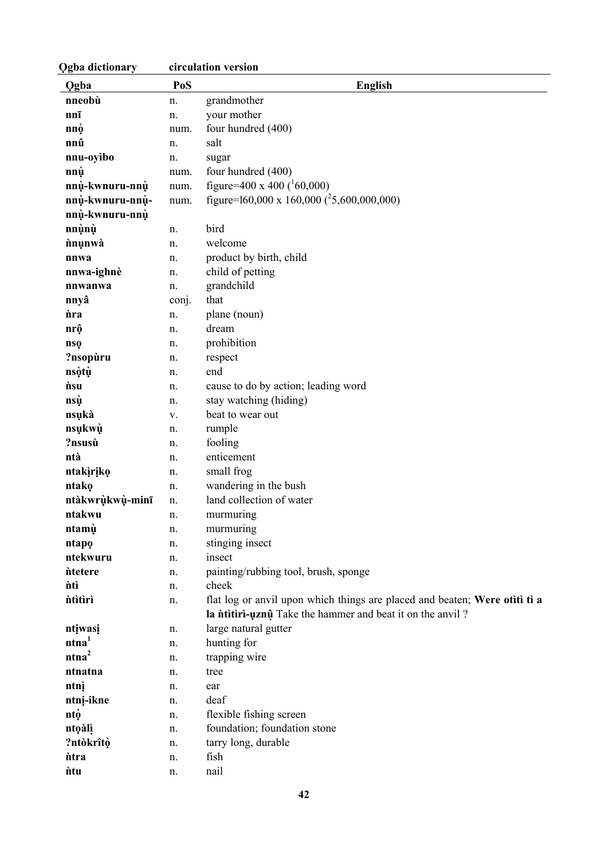| <b>Qgba</b> dictionary | circulation version |                                                                            |  |
|------------------------|---------------------|----------------------------------------------------------------------------|--|
| <b>Qgba</b>            | PoS                 | <b>English</b>                                                             |  |
| nneobù                 | n.                  | grandmother                                                                |  |
| nnī                    | n.                  | your mother                                                                |  |
| nnò                    | num.                | four hundred (400)                                                         |  |
| nnû                    | n.                  | salt                                                                       |  |
| nnu-oyìbo              | n.                  | sugar                                                                      |  |
| nnų                    | num.                | four hundred (400)                                                         |  |
| nnù-kwnuru-nnù         | num.                | figure=400 x 400 ( $^{1}60,000$ )                                          |  |
| nnù-kwnuru-nnù-        | num.                | figure=160,000 x 160,000 ( $\textdegree$ 5,600,000,000)                    |  |
| nnù-kwnuru-nnù         |                     |                                                                            |  |
| nnùnù                  | n.                  | bird                                                                       |  |
| nnunwà                 | n.                  | welcome                                                                    |  |
| nnwa                   | n.                  | product by birth, child                                                    |  |
| nnwa-ighnè             | n.                  | child of petting                                                           |  |
| nnwanwa                | n.                  | grandchild                                                                 |  |
| nnyâ                   | conj.               | that                                                                       |  |
| <i>nra</i>             | n.                  | plane (noun)                                                               |  |
| nrộ                    | n.                  | dream                                                                      |  |
| nso                    | n.                  | prohibition                                                                |  |
| ?nsopùru               | n.                  | respect                                                                    |  |
| nsòtù                  | n.                  | end                                                                        |  |
| nsu                    | n.                  | cause to do by action; leading word                                        |  |
| nsų̀                   | n.                  | stay watching (hiding)                                                     |  |
| nsukà                  | V.                  | beat to wear out                                                           |  |
| nsukwù                 | n.                  | rumple                                                                     |  |
| ?nsusù                 | n.                  | fooling                                                                    |  |
| ntà                    | n.                  | enticement                                                                 |  |
| ntakiriko              | n.                  | small frog                                                                 |  |
| ntako                  | n.                  | wandering in the bush                                                      |  |
| ntàkwrùkwù-minī        | n.                  | land collection of water                                                   |  |
| ntakwu                 | n.                  | murmuring                                                                  |  |
| ntamu                  | n.                  | murmuring                                                                  |  |
| ntapo                  | n.                  | stinging insect                                                            |  |
| ntekwuru               | n.                  | insect                                                                     |  |
| <i>i</i> tetere        | n.                  | painting/rubbing tool, brush, sponge                                       |  |
| <i>nti</i>             | n.                  | cheek                                                                      |  |
| <i>ntitiri</i>         | n.                  | flat log or anvil upon which things are placed and beaten; Were otiti ti a |  |
|                        |                     | la ntitiri-uznû Take the hammer and beat it on the anvil?                  |  |
| ntiwasi                | n.                  | large natural gutter                                                       |  |
| $n$ tna <sup>1</sup>   | n.                  | hunting for                                                                |  |
| ntna <sup>2</sup>      | n.                  | trapping wire                                                              |  |
| ntnatna                | n.                  | tree                                                                       |  |
| ntnì                   | n.                  | ear                                                                        |  |
| ntnį-ikne              | n.                  | deaf                                                                       |  |
| ntò                    | n.                  | flexible fishing screen                                                    |  |
| ntoàlì                 | n.                  | foundation; foundation stone                                               |  |
| ?ntòkrîtò              | n.                  | tarry long, durable                                                        |  |
| <i>ntra</i>            | n.                  | fish                                                                       |  |
| <i>ntu</i>             | n.                  | nail                                                                       |  |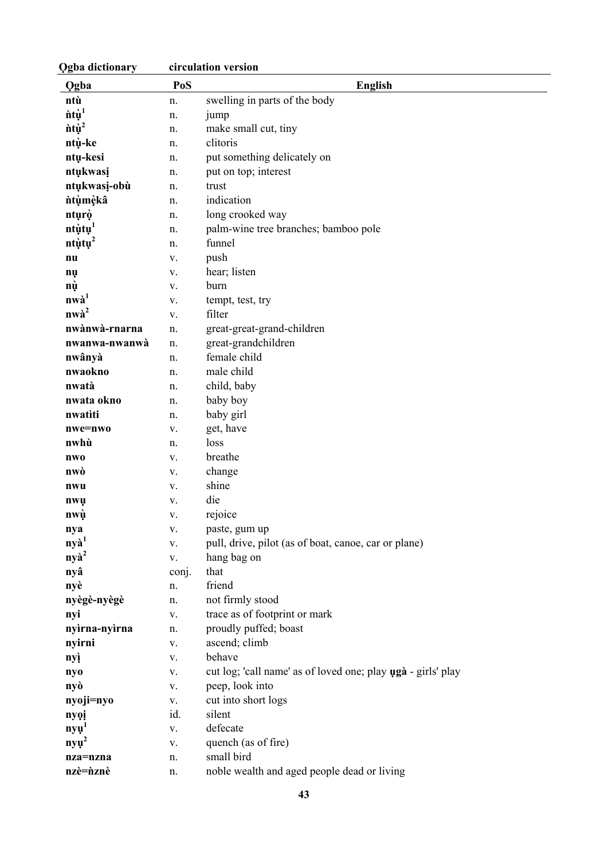| <b>Ogba dictionary</b>                                     | circulation version |                                                              |  |
|------------------------------------------------------------|---------------------|--------------------------------------------------------------|--|
| Ogba                                                       | PoS                 | <b>English</b>                                               |  |
| ntù                                                        | n.                  | swelling in parts of the body                                |  |
| $\dot{\mathbf{n}}$ tų $^1$                                 | n.                  | jump                                                         |  |
| $\dot{\mathbf{n}}\dot{\mathbf{t}}\dot{\mathbf{u}}^2$       | n.                  | make small cut, tiny                                         |  |
| ntù-ke                                                     | n.                  | clitoris                                                     |  |
| ntų-kesi                                                   | n.                  | put something delicately on                                  |  |
| ntukwasi                                                   | n.                  | put on top; interest                                         |  |
| ntukwasi-obù                                               | n.                  | trust                                                        |  |
| ntùmèkâ                                                    | n.                  | indication                                                   |  |
| ntụrò                                                      | n.                  | long crooked way                                             |  |
| ntùtu <sup>1</sup>                                         | n.                  | palm-wine tree branches; bamboo pole                         |  |
| $n$ tùtų $2$                                               | n.                  | funnel                                                       |  |
| nu                                                         | V.                  | push                                                         |  |
| nų                                                         | V.                  | hear; listen                                                 |  |
| nù                                                         | V.                  | burn                                                         |  |
| $nw\grave{a}^1$                                            | V.                  | tempt, test, try                                             |  |
| $n w \lambda^2$                                            | V.                  | filter                                                       |  |
| nwànwà-rnarna                                              | n.                  | great-great-grand-children                                   |  |
| nwanwa-nwanwà                                              | n.                  | great-grandchildren                                          |  |
| nwânyà                                                     | n.                  | female child                                                 |  |
| nwaokno                                                    | n.                  | male child                                                   |  |
| nwatà                                                      | n.                  | child, baby                                                  |  |
| nwata okno                                                 | n.                  | baby boy                                                     |  |
| nwatiti                                                    | n.                  | baby girl                                                    |  |
| nwe=nwo                                                    | V.                  | get, have                                                    |  |
| nwhù                                                       | n.                  | loss                                                         |  |
| nwo                                                        | V.                  | breathe                                                      |  |
| nwò                                                        | V.                  | change                                                       |  |
| nwu                                                        | V.                  | shine                                                        |  |
| nwu                                                        | ${\bf V}.$          | die                                                          |  |
| nwų                                                        | V.                  | rejoice                                                      |  |
| nya                                                        | V.                  | paste, gum up                                                |  |
| $\mathbf{n}$ yà <sup>1</sup>                               | V.                  | pull, drive, pilot (as of boat, canoe, car or plane)         |  |
| $n y \lambda^2$                                            | V.                  | hang bag on                                                  |  |
| nyâ                                                        | conj.               | that                                                         |  |
| nyè                                                        | n.                  | friend                                                       |  |
| nyègè-nyègè                                                | n.                  | not firmly stood                                             |  |
| nyi                                                        | V.                  | trace as of footprint or mark                                |  |
| nyìrna-nyìrna                                              | n.                  | proudly puffed; boast<br>ascend; climb                       |  |
| nyirni                                                     | V.                  | behave                                                       |  |
| nyì                                                        | V.                  | cut log; 'call name' as of loved one; play ugà - girls' play |  |
| nyo                                                        | V.                  | peep, look into                                              |  |
| nyò                                                        | V.                  | cut into short logs                                          |  |
| nyoji=nyo                                                  | V.<br>id.           | silent                                                       |  |
| nyọị<br>$\mathbf{n}$ yų <sup><math>\mathbf{l}</math></sup> | ${\bf V}.$          | defecate                                                     |  |
| $n y \mu^2$                                                | V.                  | quench (as of fire)                                          |  |
| nza=nzna                                                   | n.                  | small bird                                                   |  |
| nzè=àznè                                                   | n.                  | noble wealth and aged people dead or living                  |  |
|                                                            |                     |                                                              |  |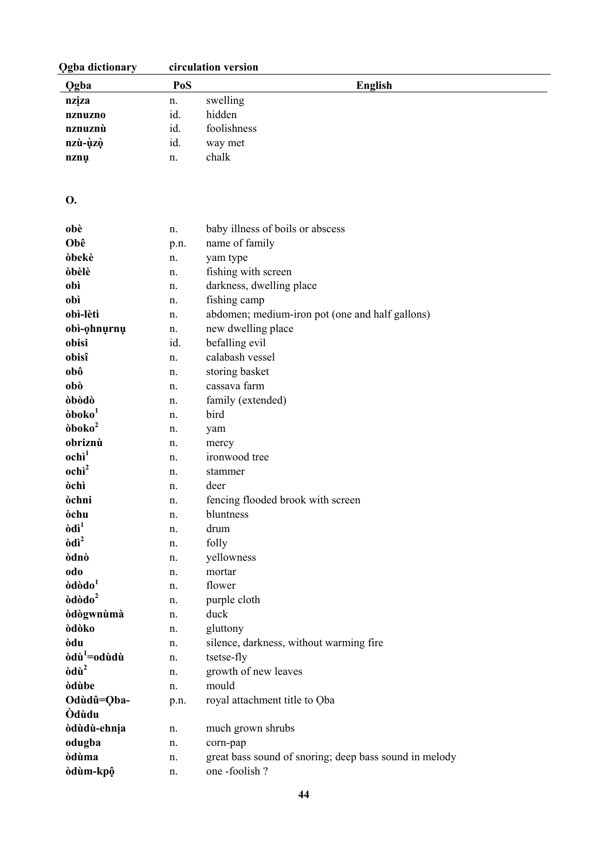| <b>Qgba</b> dictionary     | circulation version |                                                        |  |
|----------------------------|---------------------|--------------------------------------------------------|--|
| <b>Ogba</b>                | PoS                 | <b>English</b>                                         |  |
| nziza                      | n.                  | swelling                                               |  |
| nznuzno                    | id.                 | hidden                                                 |  |
| nznuznù                    | id.                 | foolishness                                            |  |
| nzù-ùzò                    | id.                 | way met                                                |  |
| nznų                       | n.                  | chalk                                                  |  |
| <b>O.</b>                  |                     |                                                        |  |
| obè                        | n.                  | baby illness of boils or abscess                       |  |
| Obê                        | p.n.                | name of family                                         |  |
| òbekè                      | n.                  | yam type                                               |  |
| òbèlè                      | n.                  | fishing with screen                                    |  |
| obì                        | n.                  | darkness, dwelling place                               |  |
| obì                        | n.                  | fishing camp                                           |  |
| obì-lètì                   | n.                  | abdomen; medium-iron pot (one and half gallons)        |  |
| obì-ohnurnu                | n.                  | new dwelling place                                     |  |
| obisi                      | id.                 | befalling evil                                         |  |
| obisî                      | n.                  | calabash vessel                                        |  |
| obô                        | n.                  | storing basket                                         |  |
| obò                        | n.                  | cassava farm                                           |  |
| <b>obodo</b>               | n.                  | family (extended)                                      |  |
| òboko <sup>1</sup>         | n.                  | bird                                                   |  |
| $\delta$ boko <sup>2</sup> | n.                  | yam                                                    |  |
| obriznù                    | n.                  | mercy                                                  |  |
| ochì <sup>1</sup>          | n.                  | ironwood tree                                          |  |
| och <sup>2</sup>           | n.                  | stammer                                                |  |
| òchì                       | n.                  | deer                                                   |  |
| òchni                      | n.                  | fencing flooded brook with screen                      |  |
| òchu                       | n.                  | bluntness                                              |  |
| òdì <sup>1</sup>           | n.                  | drum                                                   |  |
| $\delta d\mathbf{h}^2$     | n.                  | folly                                                  |  |
| òdnò                       | n.                  | yellowness                                             |  |
| odo                        | n.                  | mortar                                                 |  |
| òdòdo <sup>1</sup>         | n.                  | flower                                                 |  |
| òdòdo <sup>2</sup>         | n.                  | purple cloth                                           |  |
| òdògwnùmà                  | n.                  | duck                                                   |  |
| òdòko                      | n.                  | gluttony                                               |  |
| òdu                        | n.                  | silence, darkness, without warming fire                |  |
| òdù <sup>1</sup> =odùdù    | n.                  | tsetse-fly                                             |  |
| $\delta d\tilde{u}^2$      | n.                  | growth of new leaves                                   |  |
| <b>odube</b>               | n.                  | mould                                                  |  |
| Odùdû=Qba-                 | p.n.                | royal attachment title to Oba                          |  |
| <b>Odudu</b>               |                     |                                                        |  |
| òdùdù-ehnia                | n.                  | much grown shrubs                                      |  |
| odugba                     | n.                  | corn-pap                                               |  |
| <b>od</b> ùma              | n.                  | great bass sound of snoring; deep bass sound in melody |  |
| òdùm-kpộ                   | n.                  | one-foolish?                                           |  |
|                            |                     |                                                        |  |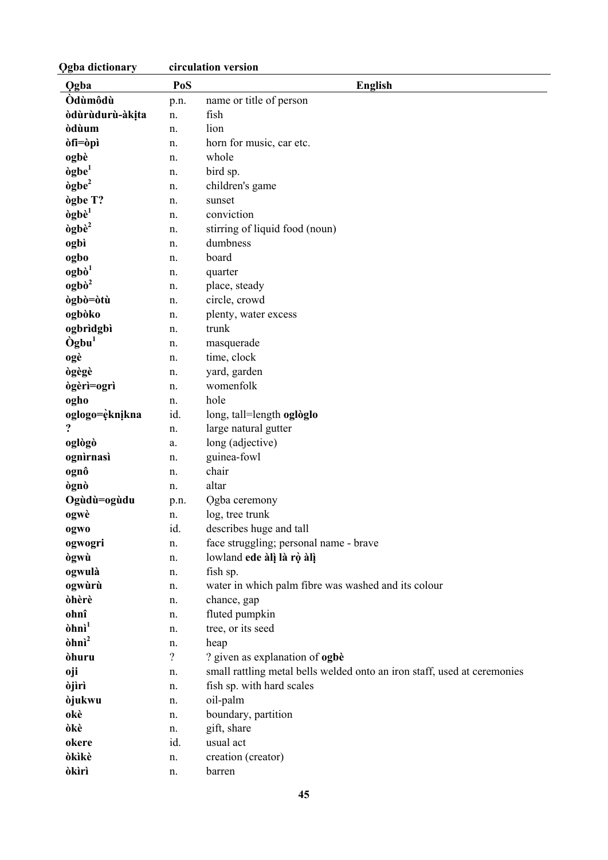| <b>Qgba dictionary</b>     | circulation version |                                                                          |  |  |  |
|----------------------------|---------------------|--------------------------------------------------------------------------|--|--|--|
| <b>Ogba</b>                | PoS                 | <b>English</b>                                                           |  |  |  |
| Òdùmôdù                    | p.n.                | name or title of person                                                  |  |  |  |
| òdùrùdurù-àkita            | n.                  | fish                                                                     |  |  |  |
| <b>oduum</b>               | n.                  | lion                                                                     |  |  |  |
| òfi=òpì                    | n.                  | horn for music, car etc.                                                 |  |  |  |
| ogbè                       | n.                  | whole                                                                    |  |  |  |
| $\delta$ gbe <sup>1</sup>  | n.                  | bird sp.                                                                 |  |  |  |
| $\delta$ gbe <sup>2</sup>  | n.                  | children's game                                                          |  |  |  |
| ògbe T?                    | n.                  | sunset                                                                   |  |  |  |
| ogbè <sup>1</sup>          | n.                  | conviction                                                               |  |  |  |
| $\delta g b \dot{e}^2$     | n.                  | stirring of liquid food (noun)                                           |  |  |  |
| ogbì                       | n.                  | dumbness                                                                 |  |  |  |
| ogbo                       | n.                  | board                                                                    |  |  |  |
| $\sim$                     | n.                  | quarter                                                                  |  |  |  |
| $\sigma g b \delta^2$      | n.                  | place, steady                                                            |  |  |  |
| ògbò=òtù                   | n.                  | circle, crowd                                                            |  |  |  |
| ogbòko                     | n.                  | plenty, water excess                                                     |  |  |  |
| ogbrìdgbì                  | n.                  | trunk                                                                    |  |  |  |
| $\dot{O}gbu^1$             | n.                  | masquerade                                                               |  |  |  |
| ogè                        | n.                  | time, clock                                                              |  |  |  |
| <b>ogègè</b>               | n.                  | yard, garden                                                             |  |  |  |
| ògèrì=ogrì                 | n.                  | womenfolk                                                                |  |  |  |
| ogho                       | n.                  | hole                                                                     |  |  |  |
| oglogo=ę̀knikna            | id.                 | long, tall=length oglòglo                                                |  |  |  |
| $\boldsymbol{\mathcal{P}}$ | n.                  | large natural gutter                                                     |  |  |  |
| oglògò                     | a.                  | long (adjective)                                                         |  |  |  |
| ognirnasi                  | n.                  | guinea-fowl                                                              |  |  |  |
| ognô                       | n.                  | chair                                                                    |  |  |  |
| ògnò                       | n.                  | altar                                                                    |  |  |  |
| Ogùdù=ogùdu                | p.n.                | Ogba ceremony                                                            |  |  |  |
| ogwè                       | n.                  | log, tree trunk                                                          |  |  |  |
| ogwo                       | id.                 | describes huge and tall                                                  |  |  |  |
| ogwogri                    | n.                  | face struggling; personal name - brave                                   |  |  |  |
| ògwù                       | n.                  | lowland ede àlì là rò àlì                                                |  |  |  |
| ogwulà                     | n.                  | fish sp.                                                                 |  |  |  |
| ogwùrù                     | n.                  | water in which palm fibre was washed and its colour                      |  |  |  |
| òhèrè                      | n.                  | chance, gap                                                              |  |  |  |
| ohnî                       | n.                  | fluted pumpkin                                                           |  |  |  |
| òhnì <sup>1</sup>          | n.                  | tree, or its seed                                                        |  |  |  |
| òhnì <sup>2</sup>          | n.                  | heap                                                                     |  |  |  |
| òhuru                      | $\overline{?}$      | ? given as explanation of ogbè                                           |  |  |  |
| oji                        | n.                  | small rattling metal bells welded onto an iron staff, used at ceremonies |  |  |  |
| òjìrì                      | n.                  | fish sp. with hard scales                                                |  |  |  |
| <b>ojukwu</b>              | n.                  | oil-palm                                                                 |  |  |  |
| okè                        | n.                  | boundary, partition                                                      |  |  |  |
| òkè                        | n.                  | gift, share                                                              |  |  |  |
| okere                      | id.                 | usual act                                                                |  |  |  |
| òkìkè                      | n.                  | creation (creator)                                                       |  |  |  |
| òkìrì                      | n.                  | barren                                                                   |  |  |  |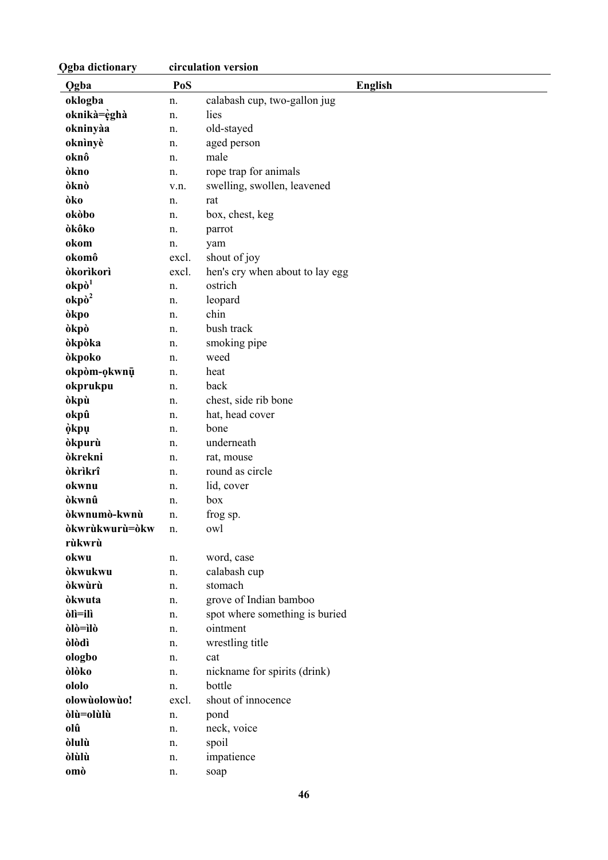| <b>Ogba dictionary</b> |       | circulation version             |  |
|------------------------|-------|---------------------------------|--|
| <b>Ogba</b>            | PoS   | <b>English</b>                  |  |
| oklogba                | n.    | calabash cup, two-gallon jug    |  |
| oknikà=ę̀ghà           | n.    | lies                            |  |
| okninyàa               | n.    | old-stayed                      |  |
| okninyè                | n.    | aged person                     |  |
| oknô                   | n.    | male                            |  |
| òkno                   | n.    | rope trap for animals           |  |
| òknò                   | v.n.  | swelling, swollen, leavened     |  |
| òko                    | n.    | rat                             |  |
| okòbo                  | n.    | box, chest, keg                 |  |
| òkôko                  | n.    | parrot                          |  |
| okom                   | n.    | yam                             |  |
| okomô                  | excl. | shout of joy                    |  |
| <b>òkorìkorì</b>       | excl. | hen's cry when about to lay egg |  |
| $okp\delta^1$          | n.    | ostrich                         |  |
| $okp\delta^2$          | n.    | leopard                         |  |
| òkpo                   | n.    | chin                            |  |
| òkpò                   | n.    | bush track                      |  |
| <b>òkpòka</b>          | n.    | smoking pipe                    |  |
| <b>òkpoko</b>          | n.    | weed                            |  |
| okpòm-okwnū            | n.    | heat                            |  |
| okprukpu               | n.    | back                            |  |
| òkpù                   | n.    | chest, side rib bone            |  |
| okpû                   | n.    | hat, head cover                 |  |
| òkpụ                   | n.    | bone                            |  |
| òkpurù                 | n.    | underneath                      |  |
| òkrekni                | n.    | rat, mouse                      |  |
| <b>òkrìkrî</b>         | n.    | round as circle                 |  |
| okwnu                  | n.    | lid, cover                      |  |
| òkwnû                  | n.    | box                             |  |
| òkwnumò-kwnù           | n.    | frog sp.                        |  |
| òkwrùkwurù=òkw         | n.    | owl                             |  |
| rùkwrù                 |       |                                 |  |
| okwu                   | n.    | word, case                      |  |
| òkwukwu                | n.    | calabash cup                    |  |
| <b>òkwùrù</b>          | n.    | stomach                         |  |
| <b>okwuta</b>          | n.    | grove of Indian bamboo          |  |
| òlì=ilì                | n.    | spot where something is buried  |  |
| òlò=ìlò                | n.    | ointment                        |  |
| òlòdì                  | n.    | wrestling title                 |  |
| ologbo                 | n.    | cat                             |  |
| òlòko                  | n.    | nickname for spirits (drink)    |  |
| ololo                  | n.    | bottle                          |  |
| olowùolowùo!           | excl. | shout of innocence              |  |
| òlù=olùlù              | n.    | pond                            |  |
| olû                    | n.    | neck, voice                     |  |
| òlulù                  | n.    | spoil                           |  |
| òlùlù                  | n.    | impatience                      |  |
| omò                    | n.    | soap                            |  |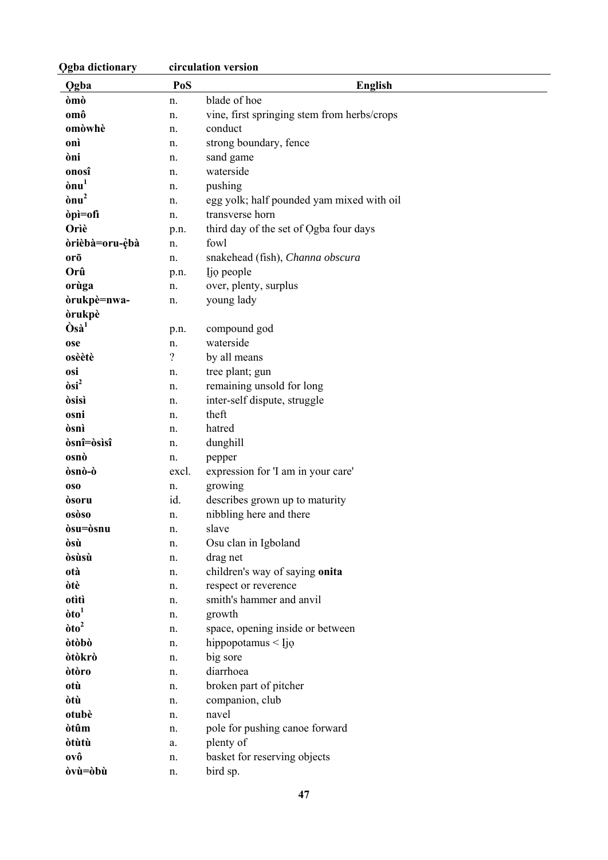| <b>Ogba</b> dictionary   | circulation version      |                                             |  |
|--------------------------|--------------------------|---------------------------------------------|--|
| <b>Ogba</b>              | PoS                      | <b>English</b>                              |  |
| òmò                      | n.                       | blade of hoe                                |  |
| omô                      | n.                       | vine, first springing stem from herbs/crops |  |
| omòwhè                   | n.                       | conduct                                     |  |
| onì                      | n.                       | strong boundary, fence                      |  |
| òni                      | n.                       | sand game                                   |  |
| onosî                    | n.                       | waterside                                   |  |
| ònu <sup>1</sup>         | n.                       | pushing                                     |  |
| $\delta$ nu <sup>2</sup> | n.                       | egg yolk; half pounded yam mixed with oil   |  |
| òpì=ofì                  | n.                       | transverse horn                             |  |
| Orìè                     | p.n.                     | third day of the set of Ogba four days      |  |
| òrièbà=oru-èbà           | n.                       | fowl                                        |  |
| orō                      | n.                       | snakehead (fish), Channa obscura            |  |
| Orû                      | p.n.                     | Ijo people                                  |  |
| orùga                    | n.                       | over, plenty, surplus                       |  |
| òrukpè=nwa-              | n.                       | young lady                                  |  |
| <b>orukpè</b>            |                          |                                             |  |
| $\dot{O} s \dot{a}^1$    | p.n.                     | compound god                                |  |
| ose                      | n.                       | waterside                                   |  |
| osèètè                   | $\overline{\mathcal{C}}$ | by all means                                |  |
| osi                      | n.                       | tree plant; gun                             |  |
| $\delta s i^2$           | n.                       | remaining unsold for long                   |  |
| òsisì                    | n.                       | inter-self dispute, struggle                |  |
| osni                     | n.                       | theft                                       |  |
| òsnì                     | n.                       | hatred                                      |  |
| òsnî=òsìsî               | n.                       | dunghill                                    |  |
| osnò                     | n.                       | pepper                                      |  |
| òsnò-ò                   | excl.                    | expression for 'I am in your care'          |  |
| <b>OSO</b>               | n.                       | growing                                     |  |
| òsoru                    | id.                      | describes grown up to maturity              |  |
| osòso                    | n.                       | nibbling here and there                     |  |
| òsu=òsnu                 | n.                       | slave                                       |  |
| òsù                      | n.                       | Osu clan in Igboland                        |  |
| òsùsù                    | n.                       | drag net                                    |  |
| otà                      | n.                       | children's way of saying onita              |  |
| òtè                      | n.                       | respect or reverence                        |  |
| otìtì                    | n.                       | smith's hammer and anvil                    |  |
| $\delta$ to <sup>1</sup> | n.                       | growth                                      |  |
| $\delta$ to <sup>2</sup> | n.                       | space, opening inside or between            |  |
| òtòbò                    | n.                       | hippopotamus $\le$ Ijo                      |  |
| <b>òtòkrò</b>            | n.                       | big sore                                    |  |
| òtòro                    | n.                       | diarrhoea                                   |  |
| otù                      | n.                       | broken part of pitcher                      |  |
| òtù                      | n.                       | companion, club                             |  |
| otubè                    | n.                       | navel                                       |  |
| òtûm                     | n.                       | pole for pushing canoe forward              |  |
| <b>otùtù</b>             | a.                       | plenty of                                   |  |
| ovô                      | n.                       | basket for reserving objects                |  |
| òvù=òbù                  | n.                       | bird sp.                                    |  |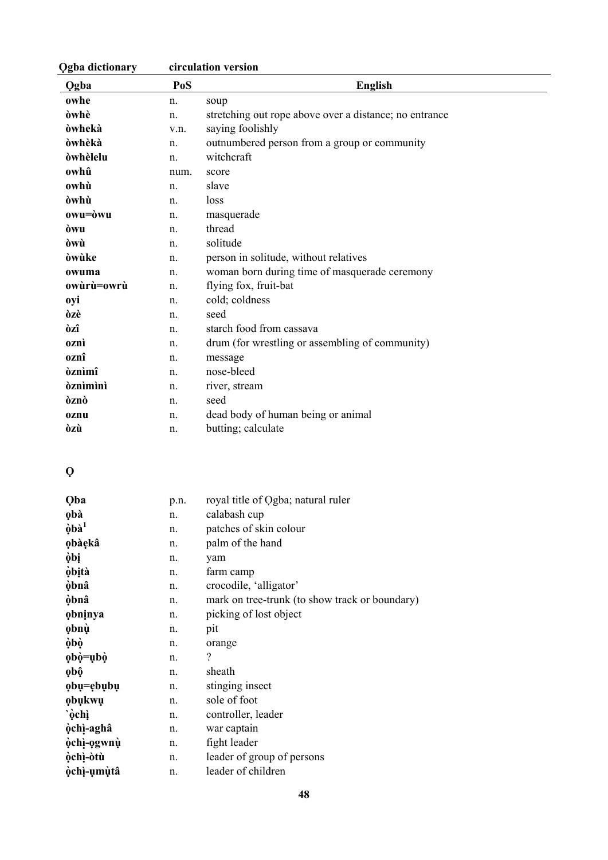| <b>Qgba</b>     | PoS  | <b>English</b>                                         |  |
|-----------------|------|--------------------------------------------------------|--|
| owhe            | n.   | soup                                                   |  |
| òwhè            | n.   | stretching out rope above over a distance; no entrance |  |
| òwhekà          | v.n. | saying foolishly                                       |  |
| <b>òwhèkà</b>   | n.   | outnumbered person from a group or community           |  |
| òwhèlelu        | n.   | witchcraft                                             |  |
| owhû            | num. | score                                                  |  |
| owhù            | n.   | slave                                                  |  |
| òwhù            | n.   | loss                                                   |  |
| owu=òwu         | n.   | masquerade                                             |  |
| òwu             | n.   | thread                                                 |  |
| òwù             | n.   | solitude                                               |  |
| òwùke           | n.   | person in solitude, without relatives                  |  |
| owuma           | n.   | woman born during time of masquerade ceremony          |  |
| owùrù=owrù      | n.   | flying fox, fruit-bat                                  |  |
| oyi             | n.   | cold; coldness                                         |  |
| òzè             | n.   | seed                                                   |  |
| òzî             | n.   | starch food from cassava                               |  |
| oznì            | n.   | drum (for wrestling or assembling of community)        |  |
| oznî            | n.   | message                                                |  |
| òznìmî          | n.   | nose-bleed                                             |  |
| <b>òznìmìnì</b> | n.   | river, stream                                          |  |
| òznò            | n.   | seed                                                   |  |
| oznu            | n.   | dead body of human being or animal                     |  |
| òzù             | n.   | butting; calculate                                     |  |
| Ó               |      |                                                        |  |

| <b>Qba</b>                   | p.n. | royal title of Ogba; natural ruler             |
|------------------------------|------|------------------------------------------------|
| <b>obà</b>                   | n.   | calabash cup                                   |
| $\dot{\rho}$ bà <sup>1</sup> | n.   | patches of skin colour                         |
| obàekâ                       | n.   | palm of the hand                               |
| òbị                          | n.   | yam                                            |
| òbità                        | n.   | farm camp                                      |
| òbnâ                         | n.   | crocodile, 'alligator'                         |
| òbnâ                         | n.   | mark on tree-trunk (to show track or boundary) |
| obninya                      | n.   | picking of lost object                         |
| obnù                         | n.   | pit                                            |
| òbò                          | n.   | orange                                         |
| obo=ubo                      | n.   | $\gamma$                                       |
| obô                          | n.   | sheath                                         |
| obu=ebubu                    | n.   | stinging insect                                |
| obukwu                       | n.   | sole of foot                                   |
| `òchì                        | n.   | controller, leader                             |
| òchì-aghâ                    | n.   | war captain                                    |
| òchì-ogwnù                   | n.   | fight leader                                   |
| òchì-òtù                     | n.   | leader of group of persons                     |
| òchì-umùtâ                   | n.   | leader of children                             |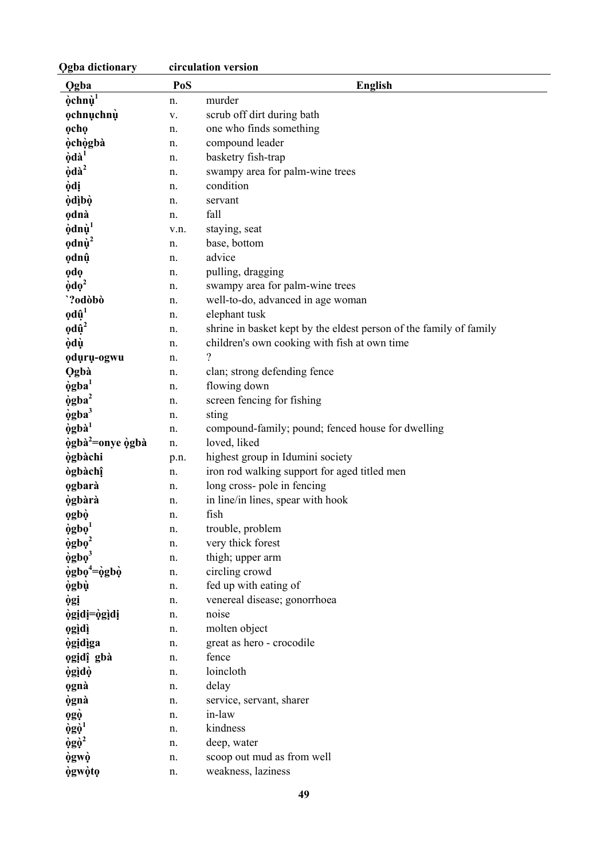| <b>Qgba</b> dictionary<br>circulation version        |      |                                                                    |  |  |  |
|------------------------------------------------------|------|--------------------------------------------------------------------|--|--|--|
| <b>Qgba</b>                                          | PoS  | <b>English</b>                                                     |  |  |  |
| òchnù <sup>1</sup>                                   | n.   | murder                                                             |  |  |  |
| ochnuchnù                                            | V.   | scrub off dirt during bath                                         |  |  |  |
| ocho                                                 | n.   | one who finds something                                            |  |  |  |
| <b>òchògbà</b>                                       | n.   | compound leader                                                    |  |  |  |
| $\dot{\rho}d\dot{a}^1$                               | n.   | basketry fish-trap                                                 |  |  |  |
| $\dot{\rho}$ dà <sup>2</sup>                         | n.   | swampy area for palm-wine trees                                    |  |  |  |
| òdi                                                  | n.   | condition                                                          |  |  |  |
| òdìbò                                                | n.   | servant                                                            |  |  |  |
| odnà                                                 | n.   | fall                                                               |  |  |  |
| $\dot{\rho}$ dnų <sup>1</sup>                        | v.n. | staying, seat                                                      |  |  |  |
| odnù <sup>2</sup>                                    | n.   | base, bottom                                                       |  |  |  |
| odnû                                                 | n.   | advice                                                             |  |  |  |
| odo                                                  | n.   | pulling, dragging                                                  |  |  |  |
| $\dot{\rho} d\rho^2$                                 | n.   | swampy area for palm-wine trees                                    |  |  |  |
| `?odòbò                                              | n.   | well-to-do, advanced in age woman                                  |  |  |  |
| odû <sup>1</sup>                                     | n.   | elephant tusk                                                      |  |  |  |
| odû <sup>2</sup>                                     | n.   | shrine in basket kept by the eldest person of the family of family |  |  |  |
| òdù                                                  | n.   | children's own cooking with fish at own time                       |  |  |  |
| oduru-ogwu                                           | n.   | $\gamma$                                                           |  |  |  |
| <b>Ogbà</b>                                          | n.   | clan; strong defending fence                                       |  |  |  |
| $\dot{\theta}$ gba <sup>1</sup>                      | n.   | flowing down                                                       |  |  |  |
| $\dot{\theta}$ gba <sup>2</sup>                      | n.   | screen fencing for fishing                                         |  |  |  |
| $\dot{\theta}$ gba <sup>3</sup>                      | n.   | sting                                                              |  |  |  |
| $\dot{\theta}$ gbà <sup>1</sup>                      | n.   | compound-family; pound; fenced house for dwelling                  |  |  |  |
| $\dot{\rho}$ gbà <sup>2</sup> =onye $\dot{\rho}$ gbà | n.   | loved, liked                                                       |  |  |  |
| <b>ògbàchi</b>                                       | p.n. | highest group in Idumini society                                   |  |  |  |
| <b>ògbàchî</b>                                       | n.   | iron rod walking support for aged titled men                       |  |  |  |
| ogbarà                                               | n.   | long cross- pole in fencing                                        |  |  |  |
| <b>ògbàrà</b>                                        | n.   | in line/in lines, spear with hook                                  |  |  |  |
| ogbò                                                 | n.   | fish                                                               |  |  |  |
| $\dot{\theta}$ gbo <sup>1</sup>                      | n.   | trouble, problem                                                   |  |  |  |
| $\dot{\theta}$ gbo <sup>2</sup>                      | n.   | very thick forest                                                  |  |  |  |
| $\dot{\theta}$ gbo <sup>3</sup>                      | n.   | thigh; upper arm                                                   |  |  |  |
| $\dot{\rho}$ gbọ <sup>4</sup> = $\dot{\rho}$ gbọ     | n.   | circling crowd                                                     |  |  |  |
| ògbù                                                 | n.   | fed up with eating of                                              |  |  |  |
| <b>ògi</b>                                           | n.   | venereal disease; gonorrhoea                                       |  |  |  |
| ogidi=ogidi                                          | n.   | noise                                                              |  |  |  |
| ogidi                                                | n.   | molten object                                                      |  |  |  |
| <b>ogidiga</b>                                       | n.   | great as hero - crocodile                                          |  |  |  |
| ogidî gbà                                            | n.   | fence                                                              |  |  |  |
| <b>ogido</b>                                         | n.   | loincloth                                                          |  |  |  |
| ognà                                                 | n.   | delay                                                              |  |  |  |
| ògnà                                                 | n.   | service, servant, sharer                                           |  |  |  |
| <b>ogò</b>                                           | n.   | in-law                                                             |  |  |  |
| $\dot{\theta}$ g $\dot{\theta}^1$                    | n.   | kindness                                                           |  |  |  |
| $\dot{\theta}$ g $\dot{\theta}^2$                    | n.   | deep, water                                                        |  |  |  |
| ògwò                                                 | n.   | scoop out mud as from well                                         |  |  |  |
| <b>ogwoto</b>                                        | n.   | weakness, laziness                                                 |  |  |  |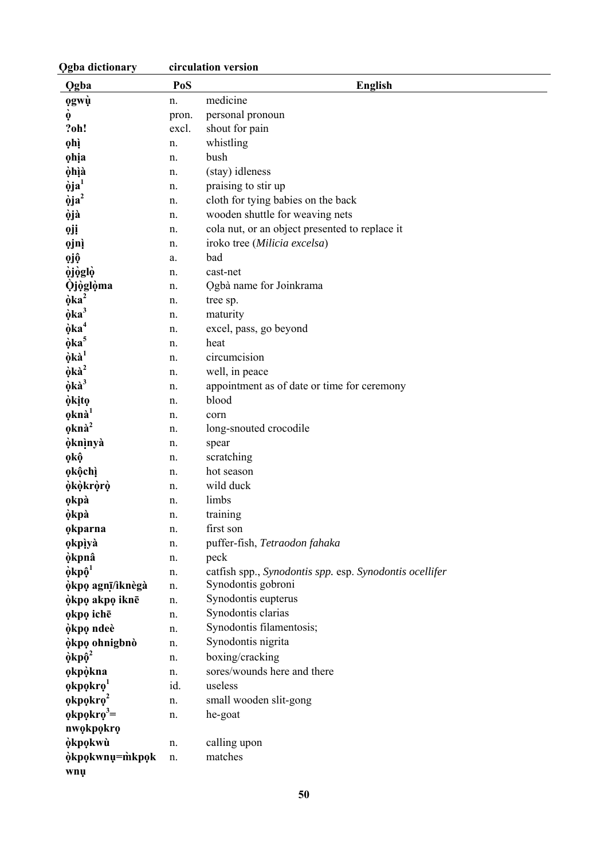| <b>Qgba</b> dictionary             | circulation version |                                                         |  |  |  |
|------------------------------------|---------------------|---------------------------------------------------------|--|--|--|
| <b>Ogba</b>                        | PoS                 | <b>English</b>                                          |  |  |  |
| ogwù                               | n.                  | medicine                                                |  |  |  |
| $\dot{\mathbf{Q}}$                 | pron.               | personal pronoun                                        |  |  |  |
| ?oh!                               | excl.               | shout for pain                                          |  |  |  |
| <b>oh</b> ì                        | n.                  | whistling                                               |  |  |  |
| ohia                               | n.                  | bush                                                    |  |  |  |
| òhìà                               | n.                  | (stay) idleness                                         |  |  |  |
| $\dot{\mathbf{Q}}$ ja <sup>1</sup> | n.                  | praising to stir up                                     |  |  |  |
| $\dot{\theta}$ ja <sup>2</sup>     | n.                  | cloth for tying babies on the back                      |  |  |  |
| òjà                                | n.                  | wooden shuttle for weaving nets                         |  |  |  |
| <b>oji</b>                         | n.                  | cola nut, or an object presented to replace it          |  |  |  |
| <b>ojnì</b>                        | n.                  | iroko tree (Milicia excelsa)                            |  |  |  |
| <b>ojô</b>                         | a.                  | bad                                                     |  |  |  |
| <b>òjòglò</b>                      | n.                  | cast-net                                                |  |  |  |
| <b>Ojòglòma</b>                    | n.                  | Ogbà name for Joinkrama                                 |  |  |  |
| $\dot{\phi}$ ka <sup>2</sup>       | n.                  | tree sp.                                                |  |  |  |
| $\dot{\phi}$ ka <sup>3</sup>       | n.                  | maturity                                                |  |  |  |
| $\dot{\phi}$ ka <sup>4</sup>       | n.                  | excel, pass, go beyond                                  |  |  |  |
| $\dot{\phi}$ ka <sup>5</sup>       | n.                  | heat                                                    |  |  |  |
| $\dot{\phi}$ kà <sup>1</sup>       | n.                  | circumcision                                            |  |  |  |
| $\dot{\phi}$ kà <sup>2</sup>       | n.                  | well, in peace                                          |  |  |  |
| $\dot{\rho}$ kà <sup>3</sup>       | n.                  | appointment as of date or time for ceremony             |  |  |  |
| òkito                              | n.                  | blood                                                   |  |  |  |
| oknà <sup>1</sup>                  | n.                  | corn                                                    |  |  |  |
| $\alpha$ knà <sup>2</sup>          | n.                  | long-snouted crocodile                                  |  |  |  |
| òknìnyà                            | n.                  | spear                                                   |  |  |  |
| <b>okô</b>                         | n.                  | scratching                                              |  |  |  |
| <b>okộchì</b>                      | n.                  | hot season                                              |  |  |  |
| òkòkròrò                           | n.                  | wild duck                                               |  |  |  |
| okpà                               | n.                  | limbs                                                   |  |  |  |
| òkpà                               | n.                  | training                                                |  |  |  |
| okparna                            | n.                  | first son                                               |  |  |  |
| okpiyà                             | n.                  | puffer-fish, Tetraodon fahaka                           |  |  |  |
| òkpnâ                              | n.                  | peck                                                    |  |  |  |
| $\dot{\rho}$ kp $\hat{\rho}^1$     | n.                  | catfish spp., Synodontis spp. esp. Synodontis ocellifer |  |  |  |
| òkpo agnī/ìknègà                   | n.                  | Synodontis gobroni                                      |  |  |  |
| òkpo akpo iknē                     | n.                  | Synodontis eupterus                                     |  |  |  |
| okpo ichē                          | n.                  | Synodontis clarias                                      |  |  |  |
| òkpo ndeè                          | n.                  | Synodontis filamentosis;                                |  |  |  |
| òkpo ohnigbnò                      | n.                  | Synodontis nigrita                                      |  |  |  |
| $\dot{\rho}$ kpô <sup>2</sup>      | n.                  | boxing/cracking                                         |  |  |  |
| okpokna                            | n.                  | sores/wounds here and there                             |  |  |  |
| okpokro <sup>1</sup>               | id.                 | useless                                                 |  |  |  |
| okpokro <sup>2</sup>               | n.                  | small wooden slit-gong                                  |  |  |  |
| $\alpha$ kpokro <sup>3</sup> =     | n.                  | he-goat                                                 |  |  |  |
| nwokpokro                          |                     |                                                         |  |  |  |
| <b>òkpokwù</b>                     | n.                  | calling upon                                            |  |  |  |
| òkpokwnu=mkpok                     | n.                  | matches                                                 |  |  |  |
| wnų                                |                     |                                                         |  |  |  |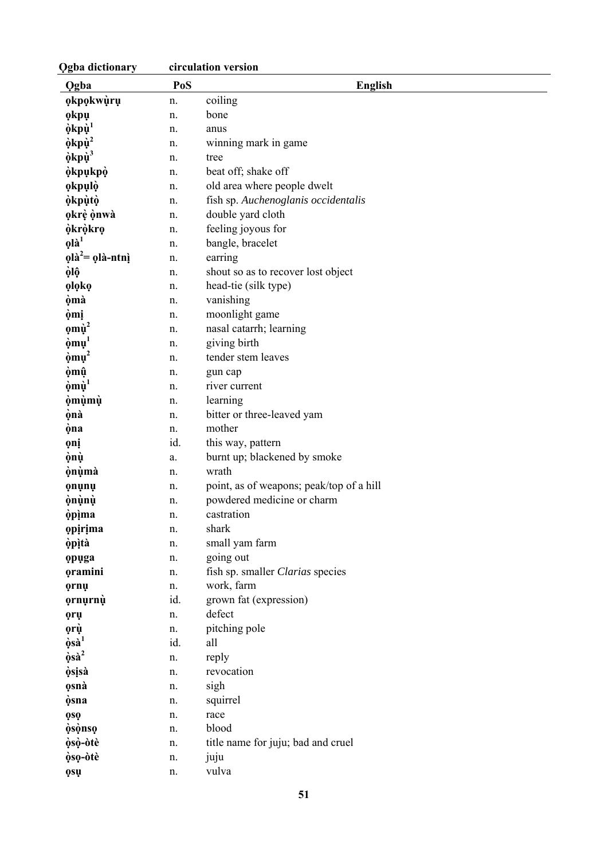| <b>Ogba</b> dictionary                      | circulation version |                                          |  |
|---------------------------------------------|---------------------|------------------------------------------|--|
| <b>Qgba</b>                                 | PoS                 | <b>English</b>                           |  |
| okpokwùru                                   | n.                  | coiling                                  |  |
| okpu                                        | n.                  | bone                                     |  |
| $\dot{\rho}$ kpù <sup>1</sup>               | n.                  | anus                                     |  |
| $\dot{\rho}$ kp $\dot{\mu}^2$               | n.                  | winning mark in game                     |  |
| $\dot{\phi}$ kp $\dot{\phi}^3$              | n.                  | tree                                     |  |
| <b>òkpukpò</b>                              | n.                  | beat off; shake off                      |  |
| okpulò                                      | n.                  | old area where people dwelt              |  |
| òkpùtò                                      | n.                  | fish sp. Auchenoglanis occidentalis      |  |
| okrè onwà                                   | n.                  | double yard cloth                        |  |
| òkròkrọ                                     | n.                  | feeling joyous for                       |  |
| $\rho$ là <sup>1</sup>                      | n.                  | bangle, bracelet                         |  |
| $\delta$ dà <sup>2</sup> = $\delta$ dà-ntnì | n.                  | earring                                  |  |
| òlộ                                         | n.                  | shout so as to recover lost object       |  |
| oloko                                       | n.                  | head-tie (silk type)                     |  |
| òmà                                         | n.                  | vanishing                                |  |
| òmi                                         | n.                  | moonlight game                           |  |
| $Qm\dot{u}^2$                               | n.                  | nasal catarrh; learning                  |  |
| $\dot{\rho}$ mų $^{\prime}$                 | n.                  | giving birth                             |  |
| $\dot{\mathbf{q}}$ mų $^2$                  | n.                  | tender stem leaves                       |  |
| òmû                                         | n.                  | gun cap                                  |  |
| $\dot{\rho}$ mų <sup>1</sup>                | n.                  | river current                            |  |
| òmùmù                                       | n.                  | learning                                 |  |
| ònà                                         | n.                  | bitter or three-leaved yam               |  |
| òna                                         | n.                  | mother                                   |  |
| onį                                         | id.                 | this way, pattern                        |  |
| ònù                                         | a.                  | burnt up; blackened by smoke             |  |
| ònùmà                                       | n.                  | wrath                                    |  |
| onunu                                       | n.                  | point, as of weapons; peak/top of a hill |  |
| ònùnù                                       | n.                  | powdered medicine or charm               |  |
| òpìma                                       | n.                  | castration                               |  |
| opirima                                     | n.                  | shark                                    |  |
| òpìtà                                       | n.                  | small yam farm                           |  |
| opuga                                       | n.                  | going out                                |  |
| oramini                                     | n.                  | fish sp. smaller Clarias species         |  |
| ornų                                        | n.                  | work, farm                               |  |
| ornurnù                                     | id.                 | grown fat (expression)                   |  |
| <b>oru</b>                                  | n.                  | defect                                   |  |
| orù                                         | n.                  | pitching pole                            |  |
| $\dot{\phi}$ sà <sup>1</sup>                | id.                 | all                                      |  |
| $\dot{\rho}$ sà <sup>2</sup>                | n.                  | reply                                    |  |
| òsisà                                       | n.                  | revocation                               |  |
| osnà                                        | n.                  | sigh                                     |  |
| òsna                                        | n.                  | squirrel                                 |  |
| <b>ọso</b>                                  | n.                  | race                                     |  |
| òsònso                                      | n.                  | blood                                    |  |
| òsò-òtè                                     | n.                  | title name for juju; bad and cruel       |  |
| òso-òtè                                     | n.                  | juju                                     |  |
| <b>osu</b>                                  | n.                  | vulva                                    |  |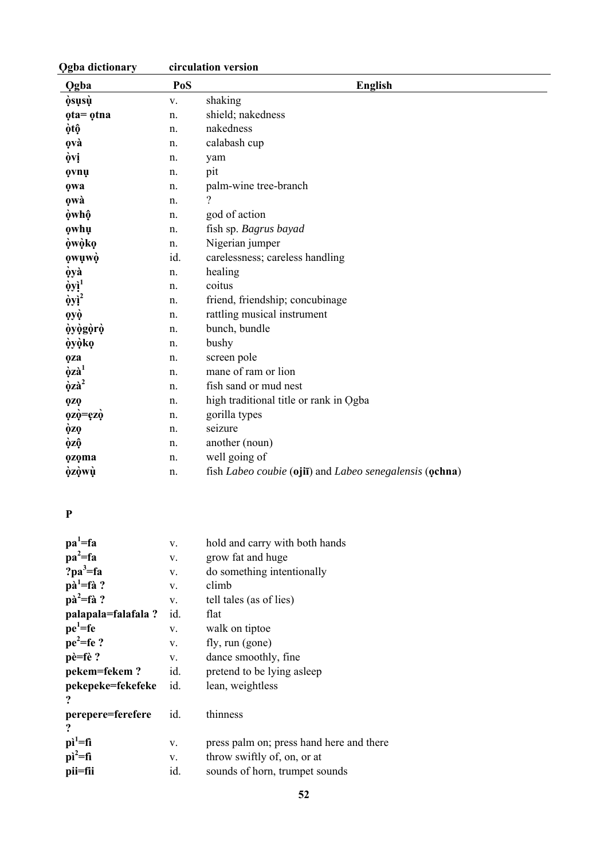| <b>Ogba dictionary</b>                   | circulation version |                                                         |  |  |
|------------------------------------------|---------------------|---------------------------------------------------------|--|--|
| <b>Qgba</b>                              | PoS                 | <b>English</b>                                          |  |  |
| òsusù                                    | V.                  | shaking                                                 |  |  |
| ota= otna                                | n.                  | shield; nakedness                                       |  |  |
| òtộ                                      | n.                  | nakedness                                               |  |  |
| ovà                                      | n.                  | calabash cup                                            |  |  |
| òvị                                      | n.                  | yam                                                     |  |  |
| ovnų                                     | n.                  | pit                                                     |  |  |
| owa                                      | n.                  | palm-wine tree-branch                                   |  |  |
| owà                                      | n.                  | ?                                                       |  |  |
| òwhộ                                     | n.                  | god of action                                           |  |  |
| owhu                                     | n.                  | fish sp. Bagrus bayad                                   |  |  |
| òwòkọ                                    | n.                  | Nigerian jumper                                         |  |  |
| owuwò                                    | id.                 | carelessness; careless handling                         |  |  |
| òyà                                      | n.                  | healing                                                 |  |  |
| $\dot{\mathbf{q}}\mathbf{y}\mathbf{i}^1$ | n.                  | coitus                                                  |  |  |
| $\dot{\mathbf{q}}\mathbf{y}\mathbf{i}^2$ | n.                  | friend, friendship; concubinage                         |  |  |
| <b>oyò</b>                               | n.                  | rattling musical instrument                             |  |  |
| <b>òyògòrò</b>                           | n.                  | bunch, bundle                                           |  |  |
| òyòkọ                                    | n.                  | bushy                                                   |  |  |
| <b>QZa</b>                               | n.                  | screen pole                                             |  |  |
| $\dot{\mathbf{Q}}$ zà <sup>1</sup>       | n.                  | mane of ram or lion                                     |  |  |
| $\dot{\mathbf{Q}}$ zà <sup>2</sup>       | n.                  | fish sand or mud nest                                   |  |  |
| <b>QZQ</b>                               | n.                  | high traditional title or rank in Ogba                  |  |  |
| ozo=ezo                                  | n.                  | gorilla types                                           |  |  |
| <b>òzo</b>                               | n.                  | seizure                                                 |  |  |
| <b>òzô</b>                               | n.                  | another (noun)                                          |  |  |
| <b>ozoma</b>                             | n.                  | well going of                                           |  |  |
| <b>òzòwù</b>                             | n.                  | fish Labeo coubie (ojiī) and Labeo senegalensis (ochna) |  |  |
|                                          |                     |                                                         |  |  |

### **P**

| $pa^1 = fa$                   | V.  | hold and carry with both hands           |
|-------------------------------|-----|------------------------------------------|
| $pa^2 = fa$                   | V.  | grow fat and huge                        |
| $?pa3=fa$                     | V.  | do something intentionally               |
| $p\grave{a}^1 = f\grave{a}$ ? | V.  | climb                                    |
| $p\grave{a}^2 = f\grave{a}$ ? | V.  | tell tales (as of lies)                  |
| palapala=falafala?            | id. | flat                                     |
| $pe^l = fe$                   | V.  | walk on tiptoe                           |
| $pe^2$ =fe ?                  | V.  | fly, run $(gone)$                        |
| pè=fè ?                       | V.  | dance smoothly, fine                     |
| pekem=fekem?                  | id. | pretend to be lying as leep              |
| pekepeke=fekefeke             | id. | lean, weightless                         |
| ?                             |     |                                          |
| perepere=ferefere             | id. | thinness                                 |
| ?                             |     |                                          |
| $pi^1$ =fi                    | V.  | press palm on; press hand here and there |
| $pi^2$ =fi                    | V.  | throw swiftly of, on, or at              |
| pii=fii                       | id. | sounds of horn, trumpet sounds           |
|                               |     |                                          |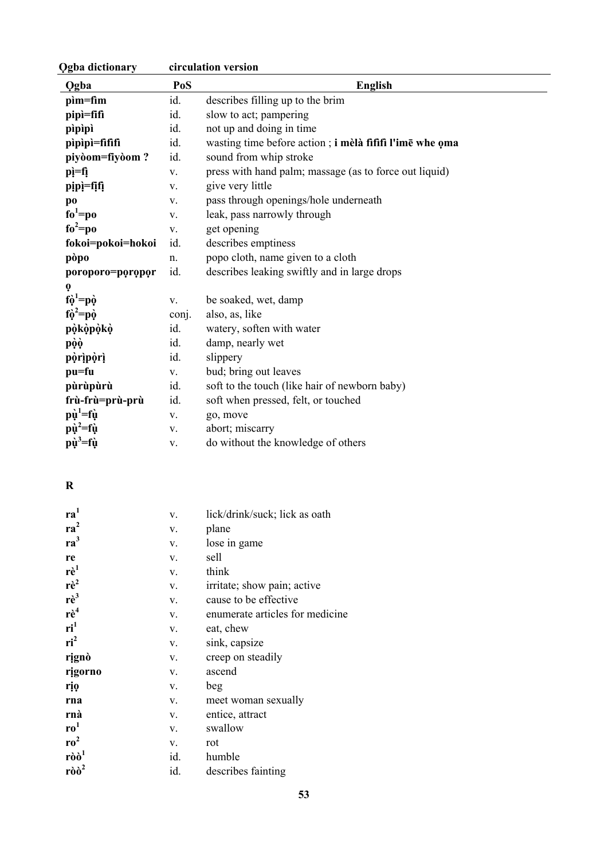| <b>Ogba dictionary</b>        | circulation version |                                                         |  |
|-------------------------------|---------------------|---------------------------------------------------------|--|
| <b>Ogba</b>                   | PoS                 | <b>English</b>                                          |  |
| pìm=fìm                       | id.                 | describes filling up to the brim                        |  |
| pipì=fifi                     | id.                 | slow to act; pampering                                  |  |
| pìpìpì                        | id.                 | not up and doing in time                                |  |
| pìpìpì=fìfìfì                 | id.                 | wasting time before action; i mèlà fififi l'imē whe oma |  |
| piyòom=fiyòom?                | id.                 | sound from whip stroke                                  |  |
| pì=fì                         | V.                  | press with hand palm; massage (as to force out liquid)  |  |
| pipi=fifi                     | V.                  | give very little                                        |  |
| po                            | V.                  | pass through openings/hole underneath                   |  |
| $fo1=po$                      | V.                  | leak, pass narrowly through                             |  |
| $fo^2 = po$                   | V.                  | get opening                                             |  |
| fokoi=pokoi=hokoi             | id.                 | describes emptiness                                     |  |
| pòpo                          | n.                  | popo cloth, name given to a cloth                       |  |
| poroporo=poropor              | id.                 | describes leaking swiftly and in large drops            |  |
| Q                             |                     |                                                         |  |
| $f\hat{\rho}^1=p\hat{\rho}$   | V.                  | be soaked, wet, damp                                    |  |
| $f\hat{\rho}^2 = p\hat{\rho}$ | conj.               | also, as, like                                          |  |
| pòkòpòkò                      | id.                 | watery, soften with water                               |  |
| pộộ                           | id.                 | damp, nearly wet                                        |  |
| pòrìpòrì                      | id.                 | slippery                                                |  |
| pu=fu                         | V.                  | bud; bring out leaves                                   |  |
| pùrùpùrù                      | id.                 | soft to the touch (like hair of newborn baby)           |  |
| frù-frù=prù-prù               | id.                 | soft when pressed, felt, or touched                     |  |
| $p\grave{u}^1 = f\grave{u}$   | V.                  | go, move                                                |  |
| $p\grave{u}^2 = f\grave{u}$   | V.                  | abort; miscarry                                         |  |
| $p\grave{u}^3 = f\grave{u}$   | V.                  | do without the knowledge of others                      |  |
|                               |                     |                                                         |  |

#### **R**

| ra <sup>1</sup>                                | V.  | lick/drink/suck; lick as oath   |
|------------------------------------------------|-----|---------------------------------|
| ra <sup>2</sup>                                | V.  | plane                           |
| $ra^3$                                         | V.  | lose in game                    |
| re                                             | V.  | sell                            |
| $r\grave{e}^1$                                 | V.  | think                           |
| $r\grave{e}^2$                                 | V.  | irritate; show pain; active     |
| $r\grave{e}^3$                                 | V.  | cause to be effective           |
| $r\grave{e}^4$                                 | V.  | enumerate articles for medicine |
| ri <sup>1</sup>                                | V.  | eat, chew                       |
| ri <sup>2</sup>                                | V.  | sink, capsize                   |
| rignò                                          | V.  | creep on steadily               |
| rigorno                                        | V.  | ascend                          |
| rio                                            | V.  | beg                             |
| rna                                            | V.  | meet woman sexually             |
| rnà                                            | V.  | entice, attract                 |
| $\mathbf{r}\mathbf{o}^1$                       | V.  | swallow                         |
| $\mathbf{r_0}^2$                               | V.  | rot                             |
| $\mathbf{r}\mathbf{d}\mathbf{d}^1$             | id. | humble                          |
| $\mathbf{r}\dot{\mathbf{o}}\dot{\mathbf{o}}^2$ | id. | describes fainting              |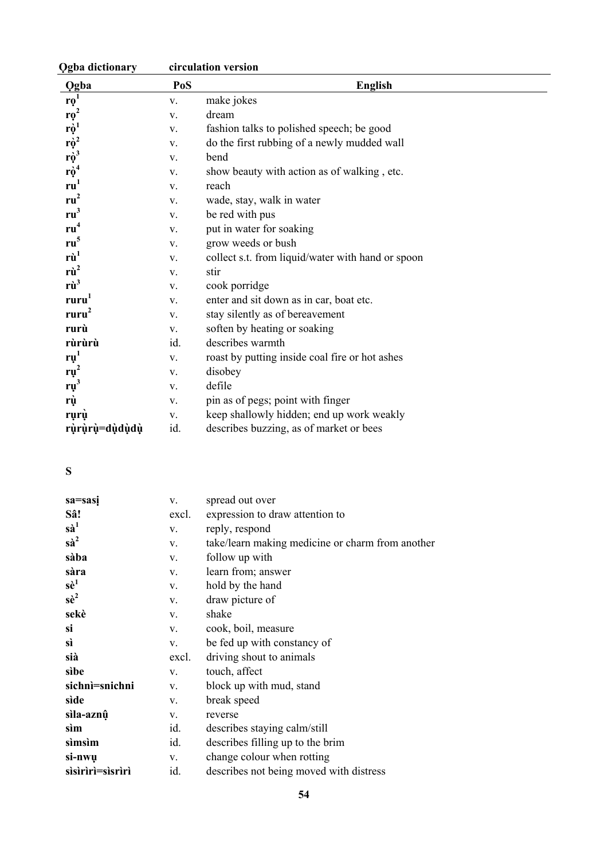| <b>Ogba dictionary</b>                                                                                                  |     | circulation version                               |
|-------------------------------------------------------------------------------------------------------------------------|-----|---------------------------------------------------|
| <b>Ogba</b>                                                                                                             | PoS | <b>English</b>                                    |
| $\mathbf{r}\mathbf{0}^1$                                                                                                | V.  | make jokes                                        |
|                                                                                                                         | V.  | dream                                             |
|                                                                                                                         | V.  | fashion talks to polished speech; be good         |
| $\frac{r\dot{\rho}^2}{r\dot{\rho}^1}$<br>$\frac{r\dot{\rho}^2}{r\dot{\rho}^3}$<br>$\frac{r\dot{\rho}^4}{r\dot{\rho}^4}$ | V.  | do the first rubbing of a newly mudded wall       |
|                                                                                                                         | V.  | bend                                              |
|                                                                                                                         | V.  | show beauty with action as of walking, etc.       |
| ru <sup>1</sup>                                                                                                         | V.  | reach                                             |
| ru <sup>2</sup>                                                                                                         | V.  | wade, stay, walk in water                         |
| ru <sup>3</sup>                                                                                                         | V.  | be red with pus                                   |
| ru <sup>4</sup>                                                                                                         | V.  | put in water for soaking                          |
| ru <sup>5</sup>                                                                                                         | V.  | grow weeds or bush                                |
| $r\grave{u}^1$                                                                                                          | V.  | collect s.t. from liquid/water with hand or spoon |
| $r\tilde{u}^2$                                                                                                          | V.  | stir                                              |
| $r\mathbf{u}^3$                                                                                                         | V.  | cook porridge                                     |
| ruru <sup>1</sup>                                                                                                       | V.  | enter and sit down as in car, boat etc.           |
| ruru <sup>2</sup>                                                                                                       | V.  | stay silently as of bereavement                   |
| rurù                                                                                                                    | V.  | soften by heating or soaking                      |
| rùrùrù                                                                                                                  | id. | describes warmth                                  |
| $r\mu^1$                                                                                                                | V.  | roast by putting inside coal fire or hot ashes    |
| ru <sup>2</sup>                                                                                                         | V.  | disobey                                           |
| ru <sup>3</sup>                                                                                                         | V.  | defile                                            |
| rù                                                                                                                      | V.  | pin as of pegs; point with finger                 |
| rurù                                                                                                                    | V.  | keep shallowly hidden; end up work weakly         |
| rụrụrụ=dụdụdụ                                                                                                           | id. | describes buzzing, as of market or bees           |

# **S**

| sa=sasi          | V.    | spread out over                                  |
|------------------|-------|--------------------------------------------------|
| Sâ!              | excl. | expression to draw attention to                  |
| $s\lambda^1$     | V.    | reply, respond                                   |
| $s\grave{a}^2$   | V.    | take/learn making medicine or charm from another |
| sàba             | V.    | follow up with                                   |
| sàra             | V.    | learn from; answer                               |
| $s\grave{e}^1$   | V.    | hold by the hand                                 |
| $s\grave{e}^2$   | V.    | draw picture of                                  |
| sekè             | V.    | shake                                            |
| si               | V.    | cook, boil, measure                              |
| sì               | V.    | be fed up with constancy of                      |
| sià              | excl. | driving shout to animals                         |
| sìbe             | V.    | touch, affect                                    |
| sichnì=snichni   | V.    | block up with mud, stand                         |
| sìde             | V.    | break speed                                      |
| sìla-aznû        | V.    | reverse                                          |
| sìm              | id.   | describes staying calm/still                     |
| sìmsìm           | id.   | describes filling up to the brim                 |
| si-nwu           | V.    | change colour when rotting                       |
| sisiriri=sisriri | id.   | describes not being moved with distress          |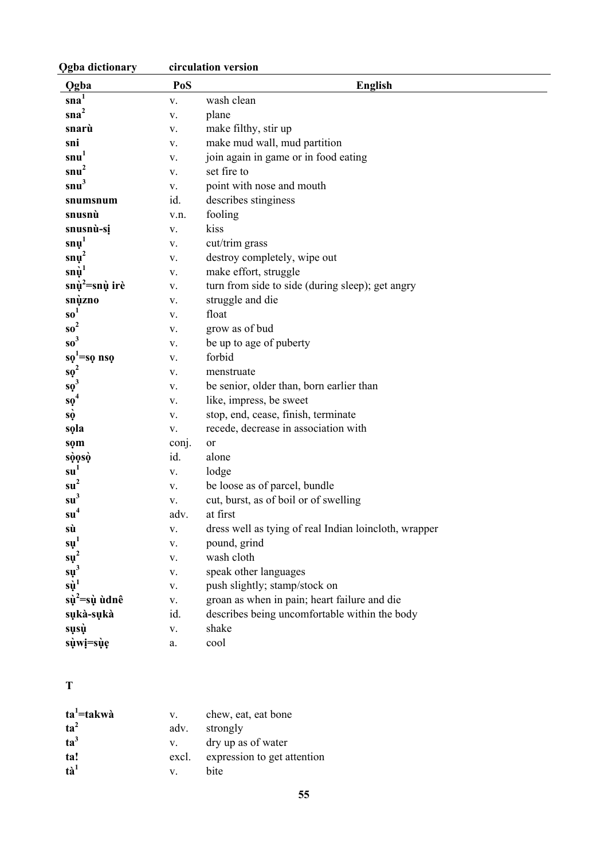| <b>Ogba dictionary</b>            | circulation version |                                                       |  |
|-----------------------------------|---------------------|-------------------------------------------------------|--|
| <b>Qgba</b>                       | PoS                 | <b>English</b>                                        |  |
| sna <sup>1</sup>                  | V.                  | wash clean                                            |  |
| sna <sup>2</sup>                  | V.                  | plane                                                 |  |
| snarù                             | V.                  | make filthy, stir up                                  |  |
| sni                               | V.                  | make mud wall, mud partition                          |  |
| snu <sup>1</sup>                  | V.                  | join again in game or in food eating                  |  |
| s <sub>nu</sub> <sup>2</sup>      | V.                  | set fire to                                           |  |
| s <sub>nu</sub>                   | V.                  | point with nose and mouth                             |  |
| snumsnum                          | id.                 | describes stinginess                                  |  |
| snusnù                            | v.n.                | fooling                                               |  |
| snusnù-si                         | V.                  | kiss                                                  |  |
| snu <sup>1</sup>                  | V.                  | cut/trim grass                                        |  |
| $snu^2$                           | V.                  | destroy completely, wipe out                          |  |
| $\sin \theta$                     | V.                  | make effort, struggle                                 |  |
| $\sin \theta^2 = \sin \theta$ irè | V.                  | turn from side to side (during sleep); get angry      |  |
| snùzno                            | V.                  | struggle and die                                      |  |
| $\mathbf{so}^1$                   | V.                  | float                                                 |  |
| $\mathbf{so}^2$                   | V.                  | grow as of bud                                        |  |
| $\mathbf{so}^3$                   | V.                  | be up to age of puberty                               |  |
| $s\varphi^1$<br>=so nso           | V.                  | forbid                                                |  |
| $s\varphi^2$                      | V.                  | menstruate                                            |  |
| $s\varphi^3$                      | V.                  | be senior, older than, born earlier than              |  |
| $s\varphi^4$                      | V.                  | like, impress, be sweet                               |  |
| sò                                | V.                  | stop, end, cease, finish, terminate                   |  |
| sola                              | V.                  | recede, decrease in association with                  |  |
| som                               | conj.               | or                                                    |  |
| sòosò                             | id.                 | alone                                                 |  |
| su <sup>1</sup>                   | V.                  | lodge                                                 |  |
| $su^2$                            | V.                  | be loose as of parcel, bundle                         |  |
| su <sup>3</sup>                   | V.                  | cut, burst, as of boil or of swelling                 |  |
| ${\rm su}^4$                      | adv.                | at first                                              |  |
| sù                                | V.                  | dress well as tying of real Indian loincloth, wrapper |  |
| su <sup>1</sup>                   | V.                  | pound, grind                                          |  |
| su <sup>2</sup>                   | V.                  | wash cloth                                            |  |
| su <sup>3</sup>                   | V.                  | speak other languages                                 |  |
| $s\grave{u}^1$                    | V.                  | push slightly; stamp/stock on                         |  |
| $s\grave{u}^2 = s\grave{u}$ ùdnê  | V.                  | groan as when in pain; heart failure and die          |  |
| sukà-sukà                         | id.                 | describes being uncomfortable within the body         |  |
| susù                              | V.                  | shake                                                 |  |
| sùwi=sùę                          | a.                  | cool                                                  |  |

#### **T**

| $ta^1$ =takwà            | $V_{\rm{L}}$ | chew, eat, eat bone         |
|--------------------------|--------------|-----------------------------|
| $ta^2$                   | adv.         | strongly                    |
| $\mathbf{ta}^3$          | V.           | dry up as of water          |
| ta!                      | excl.        | expression to get attention |
| $\mathbf{t}\mathbf{a}^1$ | V.           | bite                        |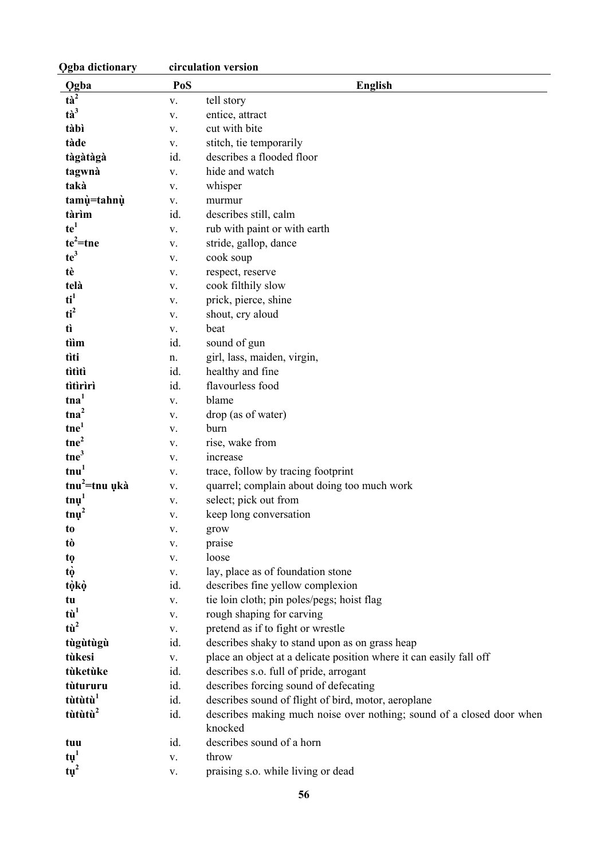| <b>Ogba dictionary</b>       |     | circulation version                                                   |
|------------------------------|-----|-----------------------------------------------------------------------|
| <b>Ogba</b>                  | PoS | <b>English</b>                                                        |
| $\mathrm{t\grave{a}}^2$      | V.  | tell story                                                            |
| $\mathrm{t\grave{a}}^3$      | V.  | entice, attract                                                       |
| tàbì                         | V.  | cut with bite                                                         |
| tàde                         | V.  | stitch, tie temporarily                                               |
| tàgàtàgà                     | id. | describes a flooded floor                                             |
| tagwnà                       | V.  | hide and watch                                                        |
| takà                         | V.  | whisper                                                               |
| tamù=tahnù                   | V.  | murmur                                                                |
| tàrìm                        | id. | describes still, calm                                                 |
| te <sup>1</sup>              | V.  | rub with paint or with earth                                          |
| $te^2$ =tne                  | V.  | stride, gallop, dance                                                 |
| $te^3$                       | V.  | cook soup                                                             |
| tè                           | V.  | respect, reserve                                                      |
| telà                         | V.  | cook filthily slow                                                    |
| $ti^1$                       | V.  | prick, pierce, shine                                                  |
| $ti^2$                       | V.  | shout, cry aloud                                                      |
| tì                           | V.  | beat                                                                  |
| tììm                         | id. | sound of gun                                                          |
| tìti                         | n.  | girl, lass, maiden, virgin,                                           |
| tìtìtì                       | id. | healthy and fine                                                      |
| tìtìrìrì                     | id. | flavourless food                                                      |
| $\text{tna}^1$               | V.  | blame                                                                 |
| $\text{tna}^2$               | V.  | drop (as of water)                                                    |
| tne <sup>1</sup>             | V.  | burn                                                                  |
| $tne^2$                      | V.  | rise, wake from                                                       |
| tne <sup>3</sup>             | V.  | increase                                                              |
| t <sub>nu</sub> <sup>1</sup> | V.  | trace, follow by tracing footprint                                    |
| tnu <sup>2</sup> =tnu ukà    | V.  | quarrel; complain about doing too much work                           |
| $tn\mu$ <sup>1</sup>         | V.  | select; pick out from                                                 |
| tnu <sup>2</sup>             | V.  | keep long conversation                                                |
| to                           | V.  | grow                                                                  |
| tò                           | V.  | praise                                                                |
| tọ                           | V.  | loose                                                                 |
| tò                           | V.  | lay, place as of foundation stone                                     |
| tòkò                         | id. | describes fine yellow complexion                                      |
| tu                           | V.  | tie loin cloth; pin poles/pegs; hoist flag                            |
| $\dot{\mathbf{u}}^1$         | V.  | rough shaping for carving                                             |
| $\dot{\mathbf{u}}^2$         | V.  | pretend as if to fight or wrestle                                     |
| tùgùtùgù                     | id. | describes shaky to stand upon as on grass heap                        |
| tùkesi                       | V.  | place an object at a delicate position where it can easily fall off   |
| tùketùke                     | id. | describes s.o. full of pride, arrogant                                |
| tùtururu                     | id. | describes forcing sound of defecating                                 |
| tùtùtù <sup>1</sup>          | id. | describes sound of flight of bird, motor, aeroplane                   |
| tù tù tù <sup>2</sup>        | id. | describes making much noise over nothing; sound of a closed door when |
|                              |     | knocked                                                               |
| tuu                          | id. | describes sound of a horn                                             |
| $t\mu$ <sup>1</sup>          | V.  | throw                                                                 |
| $t\mu^2$                     | V.  | praising s.o. while living or dead                                    |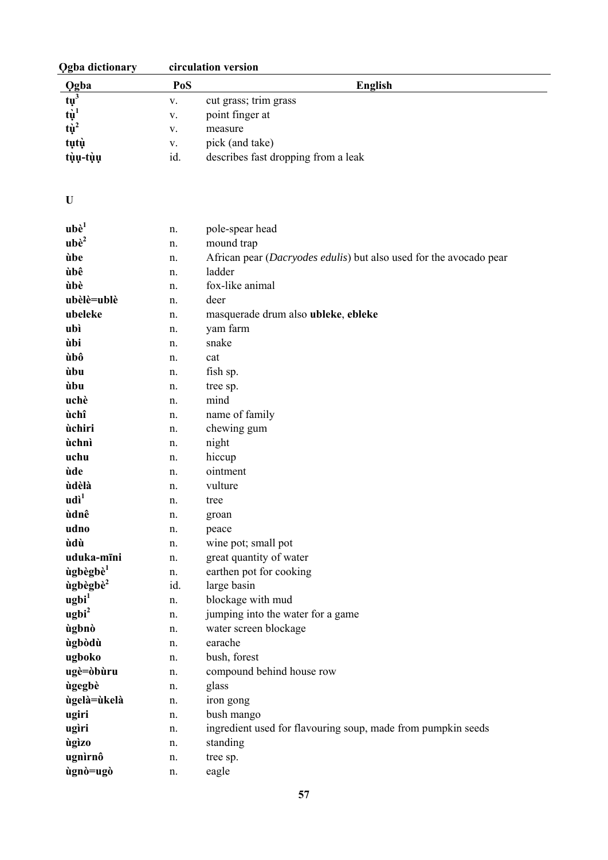| <b>Qgba</b> dictionary                                                                                          | circulation version |                                                                    |  |
|-----------------------------------------------------------------------------------------------------------------|---------------------|--------------------------------------------------------------------|--|
| <b>Ogba</b>                                                                                                     | PoS                 | <b>English</b>                                                     |  |
| $\begin{array}{c}\n\overline{\mathfrak{t}\mathfrak{u}}^3 \\ \overline{\mathfrak{t}\mathfrak{u}}^1\n\end{array}$ | ${\bf V}.$          | cut grass; trim grass                                              |  |
|                                                                                                                 | V.                  | point finger at                                                    |  |
| $\dot{\mathbf{u}}^2$                                                                                            | V.                  | measure                                                            |  |
| tụtụ                                                                                                            | ${\bf V}.$          | pick (and take)                                                    |  |
| tùų-tùų                                                                                                         | id.                 | describes fast dropping from a leak                                |  |
|                                                                                                                 |                     |                                                                    |  |
| U                                                                                                               |                     |                                                                    |  |
| ubè <sup>1</sup>                                                                                                | n.                  | pole-spear head                                                    |  |
| $ub\grave{e}^2$                                                                                                 | n.                  | mound trap                                                         |  |
| ùbe                                                                                                             | n.                  | African pear (Dacryodes edulis) but also used for the avocado pear |  |
| ùbê                                                                                                             | n.                  | ladder                                                             |  |
| ùbè                                                                                                             | n.                  | fox-like animal                                                    |  |
| ubèlè=ublè                                                                                                      | n.                  | deer                                                               |  |
| ubeleke                                                                                                         | n.                  | masquerade drum also ubleke, ebleke                                |  |
| ubì                                                                                                             | n.                  | yam farm                                                           |  |
| ùbi                                                                                                             | n.                  | snake                                                              |  |
| ùbô                                                                                                             | n.                  | cat                                                                |  |
| ùbu                                                                                                             | n.                  | fish sp.                                                           |  |
| ùbu                                                                                                             | n.                  | tree sp.                                                           |  |
| uchè                                                                                                            | n.                  | mind                                                               |  |
| ùchî                                                                                                            | n.                  | name of family                                                     |  |
| ùchiri                                                                                                          | n.                  | chewing gum                                                        |  |
| ùchnì                                                                                                           | n.                  | night                                                              |  |
| uchu                                                                                                            | n.                  | hiccup                                                             |  |
| ùde                                                                                                             | n.                  | ointment                                                           |  |
| ùdèlà                                                                                                           | n.                  | vulture                                                            |  |
| udì <sup>1</sup>                                                                                                | n.                  | tree                                                               |  |
| ùdnê                                                                                                            | n.                  | groan                                                              |  |
| udno                                                                                                            | n.                  | peace                                                              |  |
| ùdù                                                                                                             | n.                  | wine pot; small pot                                                |  |
| uduka-mīni                                                                                                      | n.                  | great quantity of water                                            |  |
| ùgbègbè <sup>1</sup>                                                                                            | n.                  | earthen pot for cooking                                            |  |
| ùgbègbè <sup>2</sup>                                                                                            | id.                 | large basin                                                        |  |
| ugbi <sup>1</sup>                                                                                               | n.                  | blockage with mud                                                  |  |
| ugbi <sup>2</sup>                                                                                               | n.                  | jumping into the water for a game                                  |  |
| ùgbnò                                                                                                           | n.                  | water screen blockage                                              |  |
| ùgbòdù                                                                                                          | n.                  | earache                                                            |  |
| ugboko                                                                                                          | n.                  | bush, forest                                                       |  |
| ugè=òbùru                                                                                                       | n.                  | compound behind house row                                          |  |
| ùgegbè                                                                                                          | n.                  | glass                                                              |  |
| ùgelà=ùkelà                                                                                                     | n.                  | iron gong                                                          |  |
| ugiri                                                                                                           | n.                  | bush mango                                                         |  |
| ugìri                                                                                                           | n.                  | ingredient used for flavouring soup, made from pumpkin seeds       |  |
| ùgìzo                                                                                                           | n.                  | standing                                                           |  |
| ugnirnô                                                                                                         | n.                  | tree sp.                                                           |  |
| ùgnò=ugò                                                                                                        | n.                  | eagle                                                              |  |
|                                                                                                                 |                     |                                                                    |  |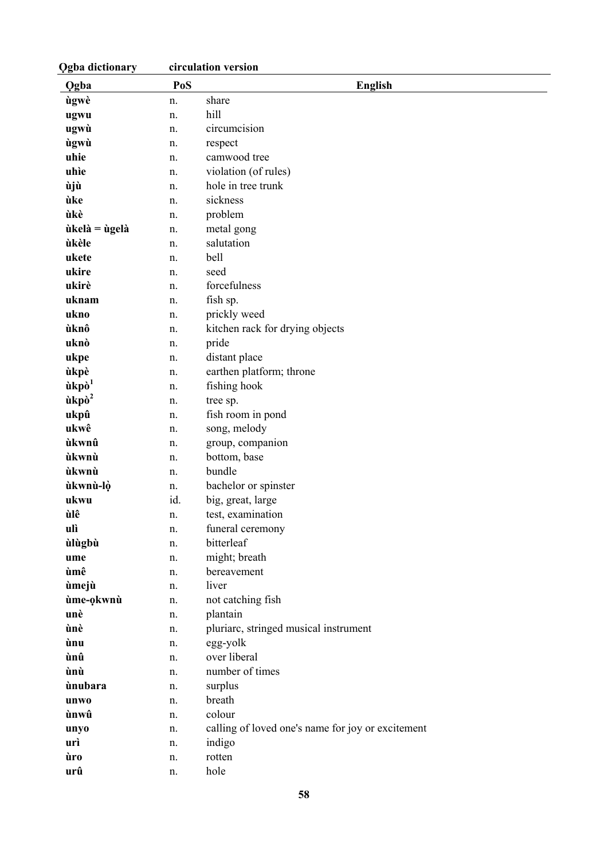| <b>Ogba</b> dictionary                     | circulation version |                                                   |  |
|--------------------------------------------|---------------------|---------------------------------------------------|--|
| <b>Ogba</b>                                | PoS                 | English                                           |  |
| ùgwè                                       | n.                  | share                                             |  |
| ugwu                                       | n.                  | hill                                              |  |
| ugwù                                       | n.                  | circumcision                                      |  |
| ùgwù                                       | n.                  | respect                                           |  |
| uhie                                       | n.                  | camwood tree                                      |  |
| uhie                                       | n.                  | violation (of rules)                              |  |
| ùjù                                        | n.                  | hole in tree trunk                                |  |
| ùke                                        | n.                  | sickness                                          |  |
| ùkè                                        | n.                  | problem                                           |  |
| ùkelà = ùgelà                              | n.                  | metal gong                                        |  |
| ùkèle                                      | n.                  | salutation                                        |  |
| ukete                                      | n.                  | bell                                              |  |
| ukire                                      | n.                  | seed                                              |  |
| ukirè                                      | n.                  | forcefulness                                      |  |
| uknam                                      | n.                  | fish sp.                                          |  |
| ukno                                       | n.                  | prickly weed                                      |  |
| ùknô                                       | n.                  | kitchen rack for drying objects                   |  |
| uknò                                       | n.                  | pride                                             |  |
| ukpe                                       | n.                  | distant place                                     |  |
| ùkpè                                       | n.                  | earthen platform; throne                          |  |
| $\dot{\mathbf{u}}$ kp $\dot{\mathbf{o}}^1$ | n.                  | fishing hook                                      |  |
| $\dot{\mathbf{u}}$ kp $\dot{\mathbf{o}}^2$ | n.                  | tree sp.                                          |  |
| ukpû                                       | n.                  | fish room in pond                                 |  |
| ukwê                                       | n.                  | song, melody                                      |  |
| ùkwnû                                      | n.                  | group, companion                                  |  |
| ùkwnù                                      | n.                  | bottom, base                                      |  |
| ùkwnù                                      | n.                  | bundle                                            |  |
| ùkwnù-lò                                   | n.                  | bachelor or spinster                              |  |
| ukwu                                       | id.                 | big, great, large                                 |  |
| ùlê                                        | n.                  | test, examination                                 |  |
| ulì                                        | n.                  | funeral ceremony                                  |  |
| ùlùgbù                                     | n.                  | bitterleaf                                        |  |
| ume                                        | n.                  | might; breath                                     |  |
| ùmê                                        | n.                  | bereavement                                       |  |
| ùmejù                                      | n.                  | liver                                             |  |
| ùme-okwnù                                  | n.                  | not catching fish                                 |  |
| unè                                        | n.                  | plantain                                          |  |
| ùnè                                        | n.                  | pluriarc, stringed musical instrument             |  |
| ùnu                                        | n.                  | egg-yolk                                          |  |
| ùnû                                        | n.                  | over liberal                                      |  |
| ùnù                                        | n.                  | number of times                                   |  |
| ùnubara                                    | n.                  | surplus                                           |  |
| unwo                                       | n.                  | breath                                            |  |
| ùnwû                                       | n.                  | colour                                            |  |
| unyo                                       | n.                  | calling of loved one's name for joy or excitement |  |
| urì                                        | n.                  | indigo                                            |  |
| ùro                                        | n.                  | rotten                                            |  |
| urû                                        | n.                  | hole                                              |  |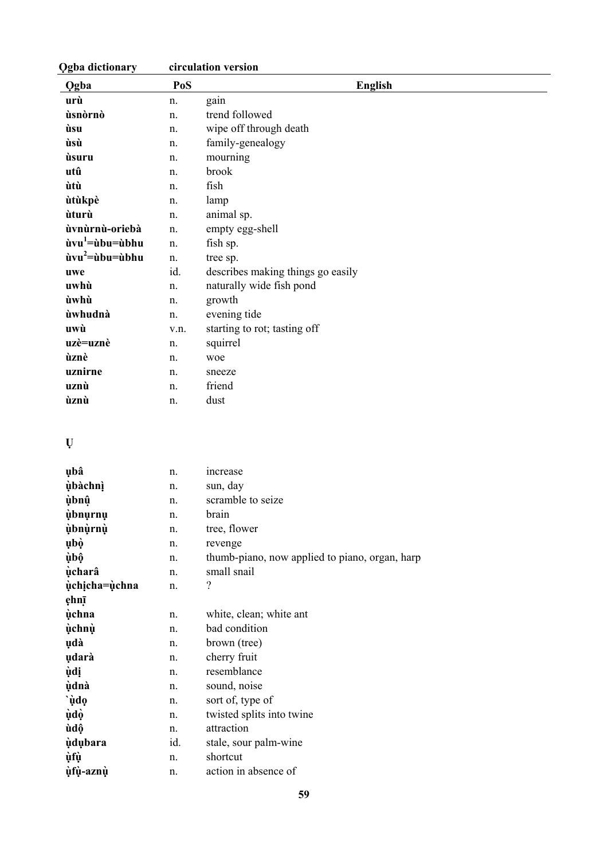| <b>Ogba dictionary</b>                     |      | circulation version               |
|--------------------------------------------|------|-----------------------------------|
| <b>Qgba</b>                                | PoS  | <b>English</b>                    |
| urù                                        | n.   | gain                              |
| ùsnòrnò                                    | n.   | trend followed                    |
| ùsu                                        | n.   | wipe off through death            |
| ùsù                                        | n.   | family-genealogy                  |
| ùsuru                                      | n.   | mourning                          |
| utû                                        | n.   | brook                             |
| ùtù                                        | n.   | fish                              |
| ùtùkpè                                     | n.   | lamp                              |
| <i>ùturù</i>                               | n.   | animal sp.                        |
| ùvnùrnù-oriebà                             | n.   | empty egg-shell                   |
| ùvu <sup>1</sup> =ùbu=ùbhu                 | n.   | fish sp.                          |
| $\dot{u}vu^2$ = $\dot{u}bu$ = $\dot{u}bhu$ | n.   | tree sp.                          |
| uwe                                        | id.  | describes making things go easily |
| uwhù                                       | n.   | naturally wide fish pond          |
| ùwhù                                       | n.   | growth                            |
| ùwhudnà                                    | n.   | evening tide                      |
| uwù                                        | v.n. | starting to rot; tasting off      |
| uzè=uznè                                   | n.   | squirrel                          |
| ùznè                                       | n.   | woe                               |
| uznirne                                    | n.   | sneeze                            |
| uznù                                       | n.   | friend                            |
| ùznù                                       | n.   | dust                              |

## **Ụ**

| ubâ             | n.  | increase                                       |
|-----------------|-----|------------------------------------------------|
| ùbàchnì         | n.  | sun, day                                       |
| ùbnû            | n.  | scramble to seize                              |
| ùbnurnu         | n.  | brain                                          |
| ùbnùrnù         | n.  | tree, flower                                   |
| ubò             | n.  | revenge                                        |
| ùbộ             | n.  | thumb-piano, now applied to piano, organ, harp |
| ùcharâ          | n.  | small snail                                    |
| uchicha=uchna   | n.  | $\overline{\mathcal{C}}$                       |
| ęhnī            |     |                                                |
| <b>ùchna</b>    | n.  | white, clean; white ant                        |
| ùchnù           | n.  | bad condition                                  |
| udà             | n.  | brown (tree)                                   |
| udarà           | n.  | cherry fruit                                   |
| ùdi             | n.  | resemblance                                    |
| ùdnà            | n.  | sound, noise                                   |
| `ùdo            | n.  | sort of, type of                               |
| ùdò             | n.  | twisted splits into twine                      |
| ùdộ             | n.  | attraction                                     |
| <b>u</b> dubara | id. | stale, sour palm-wine                          |
| ùfù             | n.  | shortcut                                       |
| ùfù-aznù        | n.  | action in absence of                           |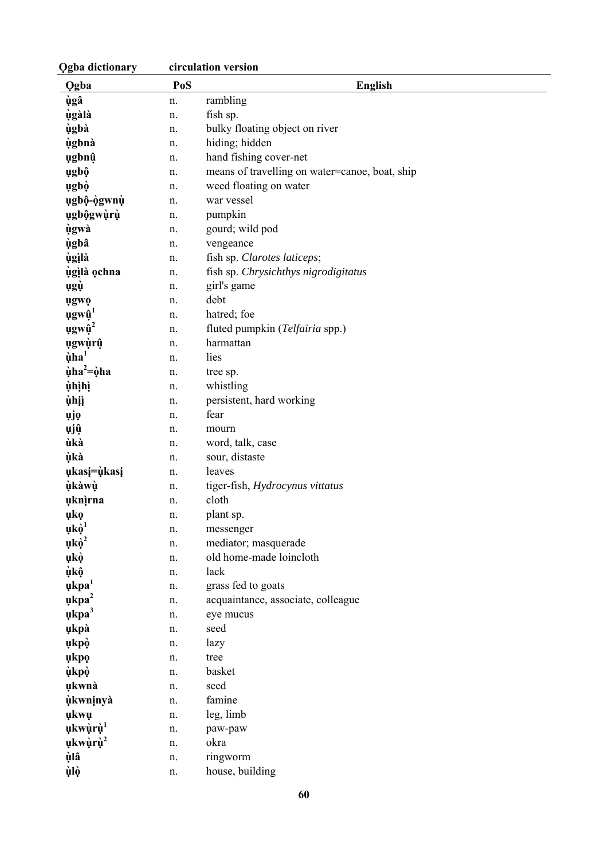| <b>Qgba</b> dictionary                                     | circulation version |                                                |  |
|------------------------------------------------------------|---------------------|------------------------------------------------|--|
| Ogba                                                       | PoS                 | <b>English</b>                                 |  |
| ùgâ                                                        | n.                  | rambling                                       |  |
| <b>ugala</b>                                               | n.                  | fish sp.                                       |  |
| ùgbà                                                       | n.                  | bulky floating object on river                 |  |
| <b>ugbnà</b>                                               | n.                  | hiding; hidden                                 |  |
| ugbnû                                                      | n.                  | hand fishing cover-net                         |  |
| ugbộ                                                       | n.                  | means of travelling on water=canoe, boat, ship |  |
| ugbò                                                       | n.                  | weed floating on water                         |  |
| ugbộ-ògwnù                                                 | n.                  | war vessel                                     |  |
| ugbộgwùrù                                                  | n.                  | pumpkin                                        |  |
| <b>ugwa</b>                                                | n.                  | gourd; wild pod                                |  |
| <b>ùgbâ</b>                                                | n.                  | vengeance                                      |  |
| <b>ugilà</b>                                               | n.                  | fish sp. Clarotes laticeps;                    |  |
| ugilà ochna                                                | n.                  | fish sp. Chrysichthys nigrodigitatus           |  |
| ugu                                                        | n.                  | girl's game                                    |  |
| ugwo                                                       | n.                  | debt                                           |  |
| ugwû <sup>1</sup>                                          | n.                  | hatred; foe                                    |  |
| ugwû <sup>2</sup>                                          | n.                  | fluted pumpkin (Telfairia spp.)                |  |
| ugwùrû                                                     | n.                  | harmattan                                      |  |
| $\dot{u}$ ha <sup>1</sup>                                  | n.                  | lies                                           |  |
| $\dot{\mathbf{u}}$ ha <sup>2</sup> = $\dot{\mathbf{v}}$ ha | n.                  | tree sp.                                       |  |
| ùhìhì                                                      | n.                  | whistling                                      |  |
| ùhịì                                                       | n.                  | persistent, hard working                       |  |
| yjo                                                        | n.                  | fear                                           |  |
| ųjų̂                                                       | n.                  | mourn                                          |  |
| ùkà                                                        | n.                  | word, talk, case                               |  |
| ùkà                                                        | n.                  | sour, distaste                                 |  |
| ukasi=ukasi                                                | n.                  | leaves                                         |  |
| ùkàwù                                                      | n.                  | tiger-fish, Hydrocynus vittatus                |  |
| uknirna                                                    | n.                  | cloth                                          |  |
| ųkę                                                        | n.                  | plant sp.                                      |  |
| ukò <sup>1</sup>                                           | n.                  | messenger                                      |  |
| ukò <sup>2</sup>                                           | n.                  | mediator; masquerade                           |  |
| ųkò                                                        | n.                  | old home-made loincloth                        |  |
| ùkộ                                                        | n.                  | lack                                           |  |
| ukpa <sup>1</sup>                                          | n.                  | grass fed to goats                             |  |
| $\mu$ kpa <sup>2</sup>                                     | n.                  | acquaintance, associate, colleague             |  |
| ukpa <sup>3</sup>                                          | n.                  | eye mucus                                      |  |
| ukpà                                                       | n.                  | seed                                           |  |
| ukpò                                                       | n.                  | lazy                                           |  |
| ukpo                                                       | n.                  | tree                                           |  |
| ùkpò                                                       | n.                  | basket                                         |  |
| ukwnà                                                      | n.                  | seed                                           |  |
| ùkwninyà                                                   | n.                  | famine                                         |  |
| ukwu                                                       | n.                  | leg, limb                                      |  |
| ųkwūrū <sup>1</sup>                                        | n.                  | paw-paw                                        |  |
| ųkwùrù <sup>2</sup>                                        | n.                  | okra                                           |  |
| ùlâ                                                        | n.                  | ringworm                                       |  |
| ùlò                                                        | n.                  | house, building                                |  |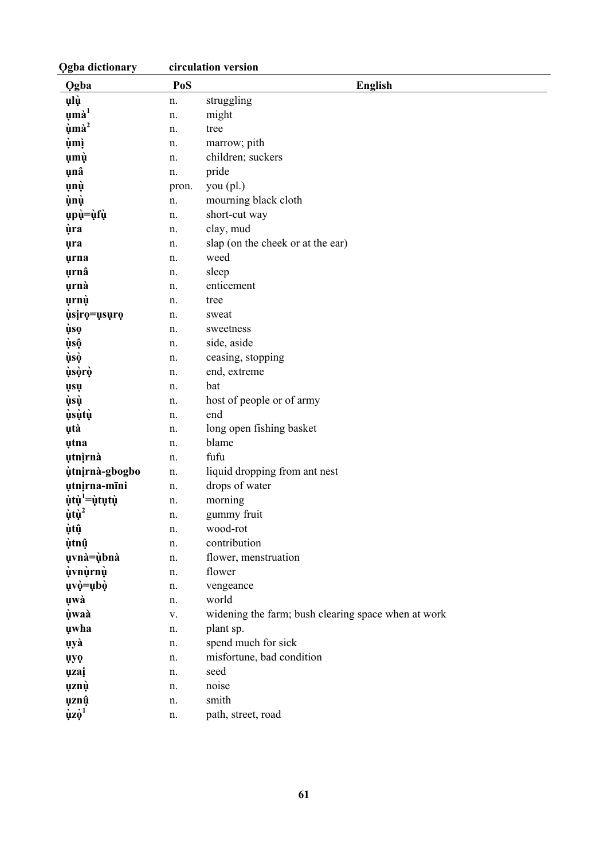| <b>Ogba</b> dictionary                               | circulation version |                                                     |  |
|------------------------------------------------------|---------------------|-----------------------------------------------------|--|
| <b>Qgba</b>                                          | PoS                 | <b>English</b>                                      |  |
| ųlų                                                  | n.                  | struggling                                          |  |
| $\mu$ mà <sup>1</sup>                                | n.                  | might                                               |  |
| $\dot{\mathbf{u}}$ mà <sup>2</sup>                   | n.                  | tree                                                |  |
| <i>umi</i>                                           | n.                  | marrow; pith                                        |  |
| umù                                                  | n.                  | children; suckers                                   |  |
| unâ                                                  | n.                  | pride                                               |  |
| unų                                                  | pron.               | you $(pl.)$                                         |  |
| ùnù                                                  | n.                  | mourning black cloth                                |  |
| upù=ùfù                                              | n.                  | short-cut way                                       |  |
| <i><b>ura</b></i>                                    | n.                  | clay, mud                                           |  |
| ura                                                  | n.                  | slap (on the cheek or at the ear)                   |  |
| urna                                                 | n.                  | weed                                                |  |
| urnâ                                                 | n.                  | sleep                                               |  |
| urnà                                                 | n.                  | enticement                                          |  |
| ųrnų                                                 | n.                  | tree                                                |  |
| usiro=usuro                                          | n.                  | sweat                                               |  |
| <b>uso</b>                                           | n.                  | sweetness                                           |  |
| ùsộ                                                  | n.                  | side, aside                                         |  |
| ùsò                                                  | n.                  | ceasing, stopping                                   |  |
| <i>usòrò</i>                                         | n.                  | end, extreme                                        |  |
| ųsų                                                  | n.                  | bat                                                 |  |
| ùsù                                                  | n.                  | host of people or of army                           |  |
| <i>usutu</i>                                         | n.                  | end                                                 |  |
| utà                                                  | n.                  | long open fishing basket                            |  |
| utna                                                 | n.                  | blame                                               |  |
| utnirnà                                              | n.                  | fufu                                                |  |
| ùtnirnà-gbogbo                                       | n.                  | liquid dropping from ant nest                       |  |
| utnirna-mīni                                         | n.                  | drops of water                                      |  |
| ùtù <sup>1</sup> =ùtutù                              | n.                  | morning                                             |  |
| $\dot{\mathbf{u}}$ t $\dot{\mathbf{u}}^2$            | n.                  | gummy fruit                                         |  |
| ùtû                                                  | n.                  | wood-rot                                            |  |
| ùtnû                                                 | n.                  | contribution                                        |  |
| uvnà=ùbnà                                            | n.                  | flower, menstruation                                |  |
| <i>ùvnùrnù</i>                                       | n.                  | flower                                              |  |
| uvò=ubò                                              | n.                  | vengeance                                           |  |
| uwà                                                  | n.                  | world                                               |  |
| <i><b>ùwaà</b></i>                                   | V.                  | widening the farm; bush clearing space when at work |  |
| uwha                                                 | n.                  | plant sp.                                           |  |
| <b>uyà</b>                                           | n.                  | spend much for sick                                 |  |
| <b>uyo</b>                                           | n.                  | misfortune, bad condition                           |  |
| uzai                                                 | n.                  | seed                                                |  |
| ųznų                                                 | n.                  | noise                                               |  |
| ụznŷ                                                 | n.                  | smith                                               |  |
| $\dot{\mathbf{u}}$ z $\dot{\mathbf{v}}$ <sup>1</sup> | n.                  | path, street, road                                  |  |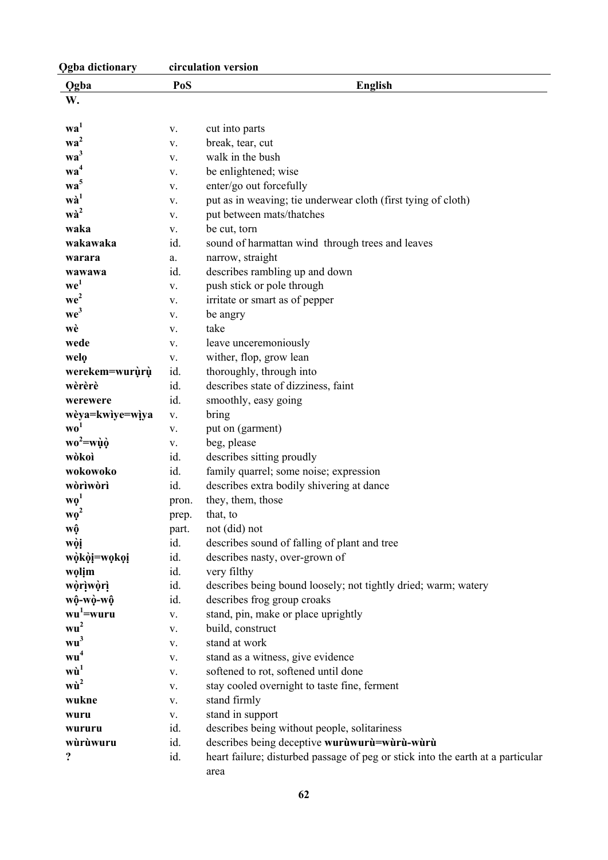| <b>Qgba</b> dictionary       | circulation version |                                                                                 |  |  |
|------------------------------|---------------------|---------------------------------------------------------------------------------|--|--|
| <b>Ogba</b>                  | PoS                 | <b>English</b>                                                                  |  |  |
| W.                           |                     |                                                                                 |  |  |
|                              |                     |                                                                                 |  |  |
| $\mathbf{w}\mathbf{a}^1$     | V.                  | cut into parts                                                                  |  |  |
| $w\mathbf{a}^2$              | V.                  | break, tear, cut                                                                |  |  |
| $\mathbf{w}\mathbf{a}^3$     | V.                  | walk in the bush                                                                |  |  |
| wa <sup>4</sup>              | V.                  | be enlightened; wise                                                            |  |  |
| $wa^5$                       | V.                  | enter/go out forcefully                                                         |  |  |
| $w\grave{a}^1$               | V.                  | put as in weaving; tie underwear cloth (first tying of cloth)                   |  |  |
| $w\grave{a}^2$               | V.                  | put between mats/thatches                                                       |  |  |
| waka                         | V.                  | be cut, torn                                                                    |  |  |
| wakawaka                     | id.                 | sound of harmattan wind through trees and leaves                                |  |  |
| warara                       | a.                  | narrow, straight                                                                |  |  |
| wawawa                       | id.                 | describes rambling up and down                                                  |  |  |
| we <sup>1</sup>              | V.                  | push stick or pole through                                                      |  |  |
| $we^2$                       | V.                  | irritate or smart as of pepper                                                  |  |  |
| $we^3$                       | V.                  | be angry                                                                        |  |  |
| wè                           | V.                  | take                                                                            |  |  |
| wede                         | V.                  | leave unceremoniously                                                           |  |  |
| welo                         | V.                  | wither, flop, grow lean                                                         |  |  |
| werekem=wururu               | id.                 | thoroughly, through into                                                        |  |  |
| wèrèrè                       | id.                 | describes state of dizziness, faint                                             |  |  |
| werewere                     | id.                 | smoothly, easy going                                                            |  |  |
| wèya=kwìye=wìya              | V.                  | bring                                                                           |  |  |
| $w_0^1$                      | V.                  | put on (garment)                                                                |  |  |
| $wo^2 = w\grave{u}\grave{q}$ | V.                  | beg, please                                                                     |  |  |
| wòkoì                        | id.                 | describes sitting proudly                                                       |  |  |
| wokowoko                     | id.                 | family quarrel; some noise; expression                                          |  |  |
| wòrìwòrì                     | id.                 | describes extra bodily shivering at dance                                       |  |  |
| $w\varphi^1$                 | pron.               | they, them, those                                                               |  |  |
| woʻ                          | prep.               | that, to                                                                        |  |  |
| wộ                           | part.               | not (did) not                                                                   |  |  |
| wòi                          | id.                 | describes sound of falling of plant and tree                                    |  |  |
| wòkòi=wokoi                  | id.                 | describes nasty, over-grown of                                                  |  |  |
| wolim                        | id.                 | very filthy                                                                     |  |  |
| wòrìwòrì                     | id.                 | describes being bound loosely; not tightly dried; warm; watery                  |  |  |
| wộ-wọ-wộ<br>$wu^1$ =wuru     | id.                 | describes frog group croaks                                                     |  |  |
| $wu^2$                       | V.                  | stand, pin, make or place uprightly                                             |  |  |
|                              | V.                  | build, construct                                                                |  |  |
| $wu^3$<br>wu <sup>4</sup>    | V.                  | stand at work                                                                   |  |  |
| $w\grave{u}^1$               | V.                  | stand as a witness, give evidence<br>softened to rot, softened until done       |  |  |
| $w\grave{u}^2$               | V.                  | stay cooled overnight to taste fine, ferment                                    |  |  |
| wukne                        | V.                  | stand firmly                                                                    |  |  |
|                              | V.                  | stand in support                                                                |  |  |
| wuru                         | V.<br>id.           | describes being without people, solitariness                                    |  |  |
| wururu<br>wùrùwuru           | id.                 | describes being deceptive wurùwurù=wùrù-wùrù                                    |  |  |
| ?                            | id.                 | heart failure; disturbed passage of peg or stick into the earth at a particular |  |  |
|                              |                     | area                                                                            |  |  |
|                              |                     |                                                                                 |  |  |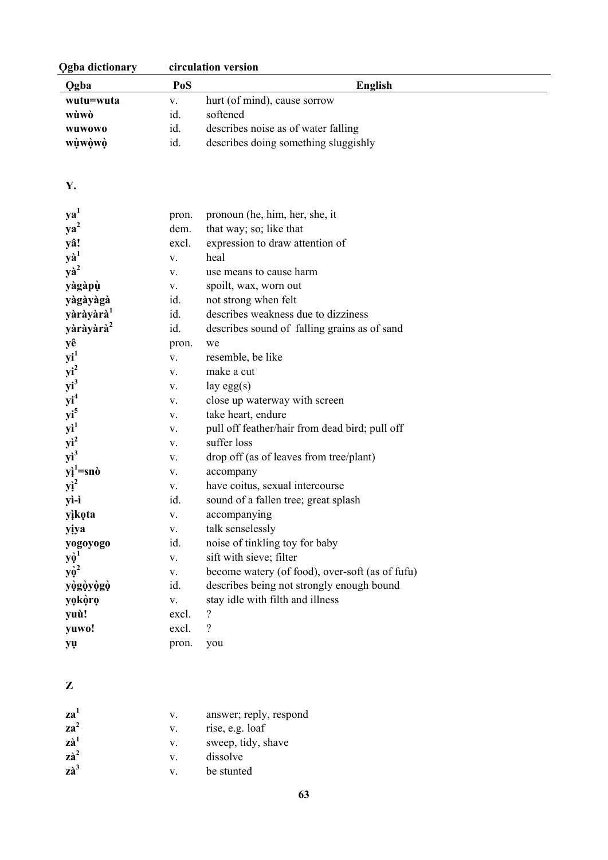| <b>Ogba dictionary</b> | circulation version |                                                 |  |  |  |
|------------------------|---------------------|-------------------------------------------------|--|--|--|
| <b>Ogba</b>            | PoS                 | <b>English</b>                                  |  |  |  |
| wutu=wuta              | V.                  | hurt (of mind), cause sorrow                    |  |  |  |
| wùwò                   | id.                 | softened                                        |  |  |  |
| wuwowo                 | id.                 | describes noise as of water falling             |  |  |  |
| wùwòwò                 | id.                 | describes doing something sluggishly            |  |  |  |
| Υ.                     |                     |                                                 |  |  |  |
| $y^a$                  | pron.               | pronoun (he, him, her, she, it                  |  |  |  |
| $y\mathbf{a}^2$        | dem.                | that way; so; like that                         |  |  |  |
| yâ!                    | excl.               | expression to draw attention of                 |  |  |  |
| $y\grave{a}^1$         | V.                  | heal                                            |  |  |  |
| $y\grave{a}^2$         | V.                  | use means to cause harm                         |  |  |  |
| yàgàpù                 | V.                  | spoilt, wax, worn out                           |  |  |  |
| yàgàyàgà               | id.                 | not strong when felt                            |  |  |  |
| yàràyàrà <sup>1</sup>  | id.                 | describes weakness due to dizziness             |  |  |  |
| yàràyàrà <sup>2</sup>  | id.                 | describes sound of falling grains as of sand    |  |  |  |
| yê                     | pron.               | we                                              |  |  |  |
| $y_i^1$                | ${\bf V}.$          | resemble, be like                               |  |  |  |
| $y^2$                  | V.                  | make a cut                                      |  |  |  |
| $yi^3$                 | V.                  | lay egg $(s)$                                   |  |  |  |
| $y^i$                  | V.                  | close up waterway with screen                   |  |  |  |
| $y_i^5$                | V.                  | take heart, endure                              |  |  |  |
| $y$ ì <sup>1</sup>     | V.                  | pull off feather/hair from dead bird; pull off  |  |  |  |
| $y^2$                  | V.                  | suffer loss                                     |  |  |  |
| $y^3$                  | V.                  | drop off (as of leaves from tree/plant)         |  |  |  |
| $yi1=snò$              | V.                  | accompany                                       |  |  |  |
| $y$ $\mathbf{i}^2$     | V.                  | have coitus, sexual intercourse                 |  |  |  |
| yì-ì                   | id.                 | sound of a fallen tree; great splash            |  |  |  |
| yìkota                 | V.                  | accompanying                                    |  |  |  |
| yiya                   | V.                  | talk senselessly                                |  |  |  |
| yogoyogo               | id.                 | noise of tinkling toy for baby                  |  |  |  |
| $y\dot{\rho}^1$        | V.                  | sift with sieve; filter                         |  |  |  |
| $y\dot{\rho}^2$        | V.                  | become watery (of food), over-soft (as of fufu) |  |  |  |
| yògòyògò               | id.                 | describes being not strongly enough bound       |  |  |  |
| yọkọrọ                 | V.                  | stay idle with filth and illness                |  |  |  |
| yuù!                   | excl.               | ?                                               |  |  |  |
| yuwo!                  | excl.               | $\overline{\mathcal{C}}$                        |  |  |  |
| yų                     | pron.               | you                                             |  |  |  |
|                        |                     |                                                 |  |  |  |

**Z** 

| $z^1$          | V. | answer; reply, respond |
|----------------|----|------------------------|
| $z^2$          | V. | rise, e.g. loaf        |
| $z\grave{a}^1$ | V. | sweep, tidy, shave     |
| $z\dot{a}^2$   | V  | dissolve               |
| $z\dot{a}^3$   |    | be stunted             |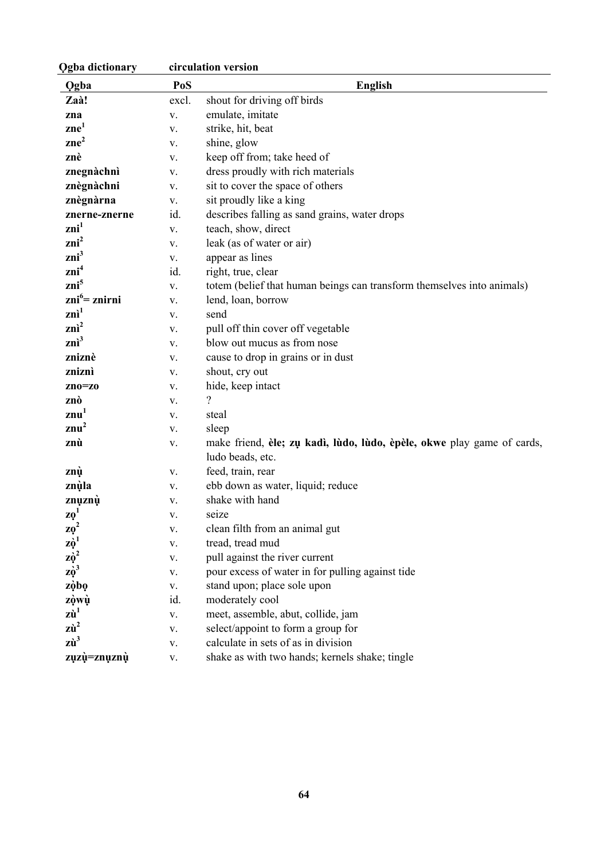| <b>Qgba</b> dictionary                                | circulation version |                                                                                            |  |  |  |
|-------------------------------------------------------|---------------------|--------------------------------------------------------------------------------------------|--|--|--|
| <b>Ogba</b>                                           | PoS                 | <b>English</b>                                                                             |  |  |  |
| Zaà!                                                  | excl.               | shout for driving off birds                                                                |  |  |  |
| zna                                                   | V.                  | emulate, imitate                                                                           |  |  |  |
| zne <sup>1</sup>                                      | V.                  | strike, hit, beat                                                                          |  |  |  |
| $zne^2$                                               | V.                  | shine, glow                                                                                |  |  |  |
| znè                                                   | V.                  | keep off from; take heed of                                                                |  |  |  |
| znegnàchnì                                            | V.                  | dress proudly with rich materials                                                          |  |  |  |
| znègnàchni                                            | V.                  | sit to cover the space of others                                                           |  |  |  |
| znègnàrna                                             | V.                  | sit proudly like a king                                                                    |  |  |  |
| znerne-znerne                                         | id.                 | describes falling as sand grains, water drops                                              |  |  |  |
| zni <sup>1</sup>                                      | V.                  | teach, show, direct                                                                        |  |  |  |
| $\text{zni}^2$                                        | V.                  | leak (as of water or air)                                                                  |  |  |  |
| $\text{zni}^3$                                        | V.                  | appear as lines                                                                            |  |  |  |
| zni <sup>4</sup>                                      | id.                 | right, true, clear                                                                         |  |  |  |
| zni <sup>5</sup>                                      | V.                  | totem (belief that human beings can transform themselves into animals)                     |  |  |  |
| $zni^6$ = $zni rni$                                   | V.                  | lend, loan, borrow                                                                         |  |  |  |
| $\mathbf{z}$ nì <sup>1</sup>                          | V.                  | send                                                                                       |  |  |  |
| $\text{zni}^2$                                        | V.                  | pull off thin cover off vegetable                                                          |  |  |  |
| $\text{zni}^3$                                        | V.                  | blow out mucus as from nose                                                                |  |  |  |
| zniznè                                                | V.                  | cause to drop in grains or in dust                                                         |  |  |  |
| zniznì                                                | V.                  | shout, cry out                                                                             |  |  |  |
| $zno = zo$                                            | V.                  | hide, keep intact                                                                          |  |  |  |
| znò                                                   | V.                  | ?                                                                                          |  |  |  |
| z <sub>nu</sub> <sup>1</sup>                          | V.                  | steal                                                                                      |  |  |  |
| $\mathbf{z}$ nu <sup>2</sup>                          | V.                  | sleep                                                                                      |  |  |  |
| znù                                                   | V.                  | make friend, èle; zu kadì, lùdo, lùdo, èpèle, okwe play game of cards,<br>ludo beads, etc. |  |  |  |
| znù                                                   | V.                  | feed, train, rear                                                                          |  |  |  |
| znùla                                                 | V.                  | ebb down as water, liquid; reduce                                                          |  |  |  |
| znųznų                                                | V.                  | shake with hand                                                                            |  |  |  |
| $z_0^1$                                               | V.                  | seize                                                                                      |  |  |  |
| $z_0^2$                                               | V.                  | clean filth from an animal gut                                                             |  |  |  |
|                                                       | V.                  | tread, tread mud                                                                           |  |  |  |
| $z\dot{\rho}^1$<br>$z\dot{\rho}^2$<br>$z\dot{\rho}^3$ | V.                  | pull against the river current                                                             |  |  |  |
|                                                       | V.                  | pour excess of water in for pulling against tide                                           |  |  |  |
| zộbọ                                                  | V.                  | stand upon; place sole upon                                                                |  |  |  |
| zòwù                                                  | id.                 | moderately cool                                                                            |  |  |  |
| $\overrightarrow{\mathbf{z}}$ ù <sup>1</sup>          | V.                  | meet, assemble, abut, collide, jam                                                         |  |  |  |
| $\overrightarrow{\mathbf{z}}$ u <sup>2</sup>          | V.                  | select/appoint to form a group for                                                         |  |  |  |
| $\overline{\mathbf{z}}\overline{\mathbf{u}}^3$        | V.                  | calculate in sets of as in division                                                        |  |  |  |
| zuzu=znuznu                                           | V.                  | shake as with two hands; kernels shake; tingle                                             |  |  |  |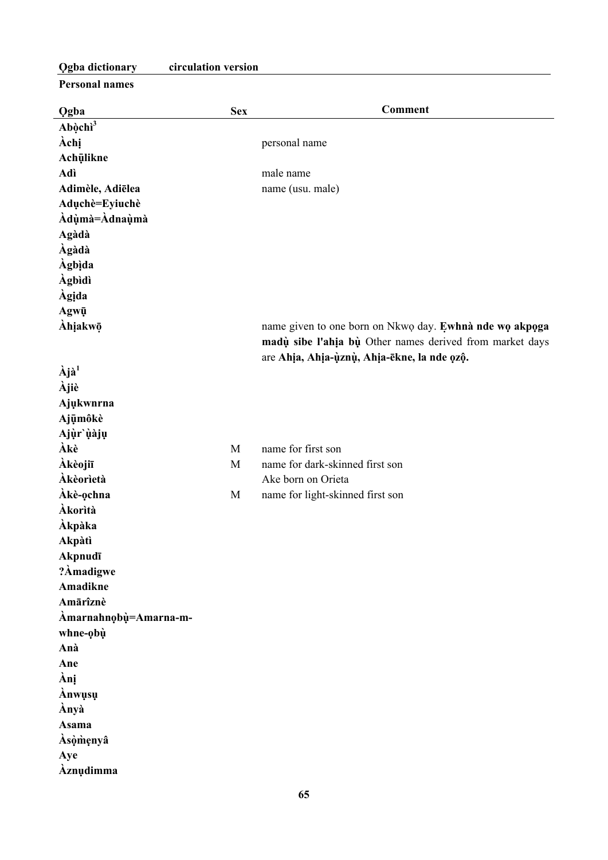#### **Ọgba dictionary circulation version**

**Personal names** 

| <b>Qgba</b>           | <b>Sex</b>  | Comment                                                  |
|-----------------------|-------------|----------------------------------------------------------|
| Abòchì <sup>3</sup>   |             |                                                          |
| Àchị                  |             | personal name                                            |
| Achūlikne             |             |                                                          |
| Adì                   |             | male name                                                |
| Adimèle, Adiēlea      |             | name (usu. male)                                         |
| Aduchè=Eyiuchè        |             |                                                          |
| Adùmà=Àdnaùmà         |             |                                                          |
| Agàdà                 |             |                                                          |
| Àgàdà                 |             |                                                          |
| <b>Agbida</b>         |             |                                                          |
| Àgbìdì                |             |                                                          |
| <b>Agida</b>          |             |                                                          |
| Agwū                  |             |                                                          |
| <i>Ahjakw</i> o       |             | name given to one born on Nkwo day. Ewhnà nde wo akpoga  |
|                       |             | madù sibe l'ahia bù Other names derived from market days |
|                       |             | are Ahia, Ahia-ùznù, Ahia-ēkne, la nde ozô.              |
| Àjà <sup>1</sup>      |             |                                                          |
| Àjiè                  |             |                                                          |
| Ajukwnrna             |             |                                                          |
| Ajūmôkè               |             |                                                          |
| Ajùr'ùàju             |             |                                                          |
| Àkè                   | M           | name for first son                                       |
| Àkèojiī               | M           | name for dark-skinned first son                          |
| Àkèorietà             |             | Ake born on Orieta                                       |
| Àkè-ochna             | $\mathbf M$ | name for light-skinned first son                         |
| Àkorìtà               |             |                                                          |
| Àkpàka                |             |                                                          |
| Akpàtì                |             |                                                          |
| Akpnudī               |             |                                                          |
| ?Amadigwe             |             |                                                          |
| <b>Amadikne</b>       |             |                                                          |
| Amārîznè              |             |                                                          |
| Amarnahnobu=Amarna-m- |             |                                                          |
| whne-obu              |             |                                                          |
| Anà                   |             |                                                          |
| Ane                   |             |                                                          |
| Ànį                   |             |                                                          |
| Anwusu                |             |                                                          |
| Ànyà                  |             |                                                          |
| Asama                 |             |                                                          |
| Asòmenyâ              |             |                                                          |
| Aye                   |             |                                                          |
| <b>Aznudimma</b>      |             |                                                          |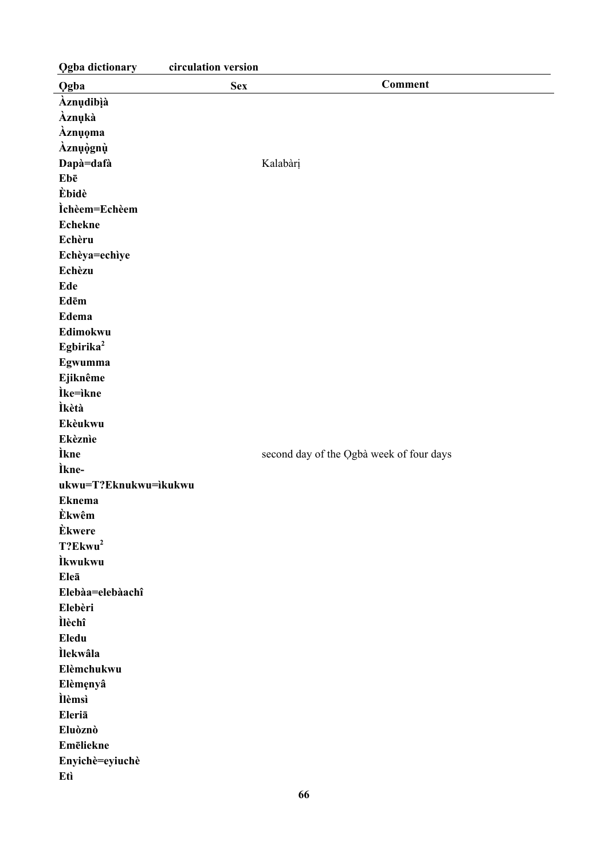| <b>Ogba</b> dictionary | circulation version |                                          |
|------------------------|---------------------|------------------------------------------|
| <b>Ogba</b>            | <b>Sex</b>          | <b>Comment</b>                           |
| <b>Aznudibià</b>       |                     |                                          |
| Àznụkà                 |                     |                                          |
| <b>Aznuoma</b>         |                     |                                          |
| Aznuògnù               |                     |                                          |
| Dapà=dafà              |                     | Kalabàri                                 |
| Ebē                    |                     |                                          |
| Èbidè                  |                     |                                          |
| Ìchèem=Echèem          |                     |                                          |
| <b>Echekne</b>         |                     |                                          |
| Echèru                 |                     |                                          |
| Echèya=echìye          |                     |                                          |
| Echèzu                 |                     |                                          |
| Ede                    |                     |                                          |
| Edēm                   |                     |                                          |
| Edema<br>Edimokwu      |                     |                                          |
| Egbirika <sup>2</sup>  |                     |                                          |
| Egwumma                |                     |                                          |
| Ejiknême               |                     |                                          |
| Ìke=ìkne               |                     |                                          |
| Ìkètà                  |                     |                                          |
| Ekèukwu                |                     |                                          |
| <b>Ekèznìe</b>         |                     |                                          |
| Ìkne                   |                     | second day of the Ogbà week of four days |
| Ìkne-                  |                     |                                          |
| ukwu=T?Eknukwu=ikukwu  |                     |                                          |
| <b>Eknema</b>          |                     |                                          |
| Èkwêm                  |                     |                                          |
| Èkwere                 |                     |                                          |
| T?Ekwu <sup>2</sup>    |                     |                                          |
| Ìkwukwu                |                     |                                          |
| Eleā                   |                     |                                          |
| Elebàa=elebàachî       |                     |                                          |
| Elebèri                |                     |                                          |
| Ìlèchî                 |                     |                                          |
| Eledu                  |                     |                                          |
| <b>Ilekwâla</b>        |                     |                                          |
| Elèmchukwu             |                     |                                          |
| Elèmenyâ               |                     |                                          |
| Ìlèmsì                 |                     |                                          |
| Eleriā                 |                     |                                          |
| Eluòznò                |                     |                                          |
| Emēliekne              |                     |                                          |
| Enyichè=eyiuchè        |                     |                                          |
| Etì                    |                     |                                          |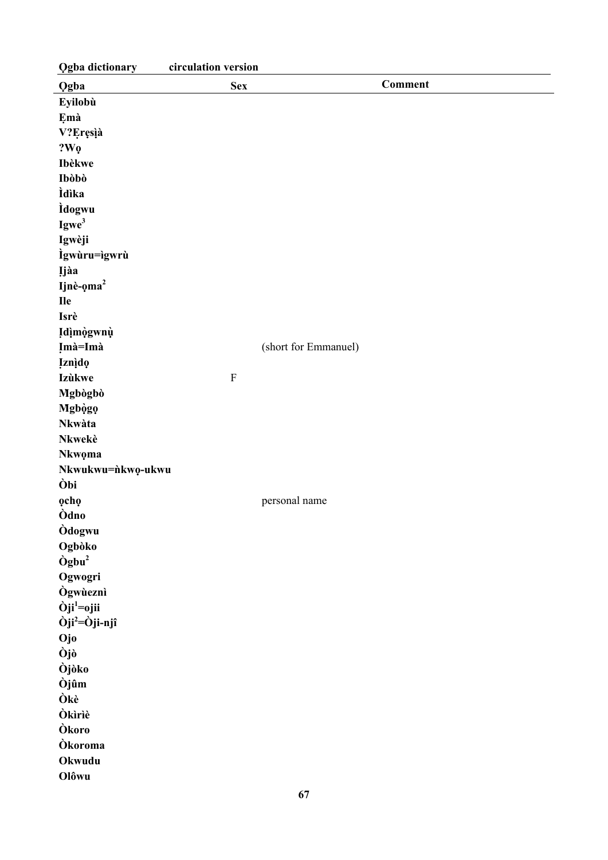| <b>Qgba</b> dictionary                      | circulation version |                      |
|---------------------------------------------|---------------------|----------------------|
| Ogba                                        | <b>Sex</b>          | <b>Comment</b>       |
| Eyilobù                                     |                     |                      |
| Ęmà                                         |                     |                      |
| V?Eręsià                                    |                     |                      |
| ?W <sub>0</sub>                             |                     |                      |
| Ibèkwe                                      |                     |                      |
| Ibòbò                                       |                     |                      |
| Ìdìka                                       |                     |                      |
| <b>I</b> dogwu                              |                     |                      |
| Igwe <sup>3</sup>                           |                     |                      |
| Igwèji                                      |                     |                      |
| Ìgwùru=ìgwrù                                |                     |                      |
| <b>Ijàa</b>                                 |                     |                      |
| Ijnè-oma <sup>2</sup>                       |                     |                      |
| <b>Ile</b>                                  |                     |                      |
| Isrè                                        |                     |                      |
| <b>Idimogwnu</b>                            |                     |                      |
| Įmà=Imà                                     |                     | (short for Emmanuel) |
| <b><i>Įznido</i></b>                        |                     |                      |
| <b>Izùkwe</b>                               | $\mathbf F$         |                      |
| Mgbògbò                                     |                     |                      |
| Mgbògọ                                      |                     |                      |
| Nkwàta                                      |                     |                      |
| Nkwekè                                      |                     |                      |
| Nkwoma                                      |                     |                      |
| Nkwukwu=nkwo-ukwu                           |                     |                      |
| Òbi                                         |                     |                      |
| ocho                                        |                     | personal name        |
| Òdno                                        |                     |                      |
| <b>Odogwu</b>                               |                     |                      |
| Ogbòko                                      |                     |                      |
| $\dot{O}gbu^2$                              |                     |                      |
| Ogwogri                                     |                     |                      |
| Ògwùeznì<br>$\dot{O}$ ji <sup>1</sup> =ojii |                     |                      |
| Òji <sup>2</sup> =Òji-njî                   |                     |                      |
| Ojo                                         |                     |                      |
| Òjò                                         |                     |                      |
| Òjòko                                       |                     |                      |
| Òjûm                                        |                     |                      |
| Òkè                                         |                     |                      |
| Òkìrìè                                      |                     |                      |
| Òkoro                                       |                     |                      |
| Òkoroma                                     |                     |                      |
| Okwudu                                      |                     |                      |
| Olôwu                                       |                     |                      |
|                                             |                     |                      |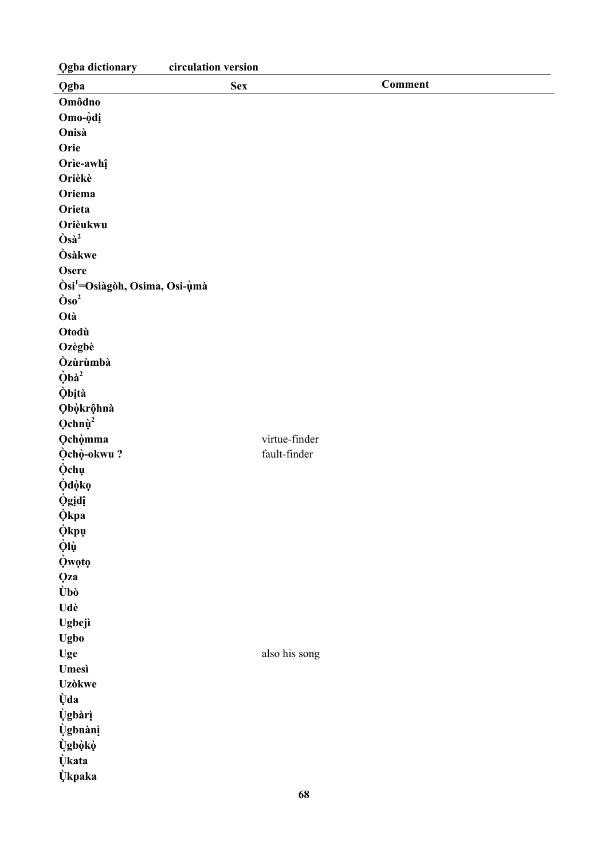| <b>Qgba</b> dictionary                                                       | circulation version |                |
|------------------------------------------------------------------------------|---------------------|----------------|
| <b>Qgba</b>                                                                  | <b>Sex</b>          | <b>Comment</b> |
| Omôdno                                                                       |                     |                |
| Omo-òdi                                                                      |                     |                |
| Onisà                                                                        |                     |                |
| Orie                                                                         |                     |                |
| Orìe-awhî                                                                    |                     |                |
| Orièkè                                                                       |                     |                |
| Oriema                                                                       |                     |                |
| Orieta                                                                       |                     |                |
| Orièukwu                                                                     |                     |                |
| $\dot{O} s \dot{a}^2$                                                        |                     |                |
| <b>Osàkwe</b>                                                                |                     |                |
| <b>Osere</b>                                                                 |                     |                |
| Òsi <sup>1</sup> =Osiàgòh, Osima, Osi-ùmà<br>$\dot{\textbf{O}}\textbf{so}^2$ |                     |                |
| Otà                                                                          |                     |                |
| Otodù                                                                        |                     |                |
| Ozègbè                                                                       |                     |                |
| Òzùrùmbà                                                                     |                     |                |
| $\dot{Q}b\dot{a}^2$                                                          |                     |                |
| <b>Obità</b>                                                                 |                     |                |
| Qbòkrôhnà                                                                    |                     |                |
| Qchnù <sup>2</sup>                                                           |                     |                |
| Qchòmma                                                                      |                     | virtue-finder  |
| Òchò-okwu?                                                                   |                     | fault-finder   |
| <b>Ochu</b>                                                                  |                     |                |
| <b>Odoko</b>                                                                 |                     |                |
| <b>Ogidî</b>                                                                 |                     |                |
| <b>Òkpa</b>                                                                  |                     |                |
| <b>Òkpu</b>                                                                  |                     |                |
| Òlù                                                                          |                     |                |
| <b>Owoto</b>                                                                 |                     |                |
| Qza                                                                          |                     |                |
| Ùbò                                                                          |                     |                |
| Udè                                                                          |                     |                |
| Ugbejì                                                                       |                     |                |
| Ugbo                                                                         |                     |                |
| <b>Uge</b>                                                                   |                     | also his song  |
| Umesì<br><b>Uzòkwe</b>                                                       |                     |                |
| <b>Ù</b> da                                                                  |                     |                |
| <b>Ùgbàrì</b>                                                                |                     |                |
| <b>Ùgbnànì</b>                                                               |                     |                |
| Ùgbòkò                                                                       |                     |                |
| <b>Ùkata</b>                                                                 |                     |                |
| <b>Ùkpaka</b>                                                                |                     |                |
|                                                                              |                     |                |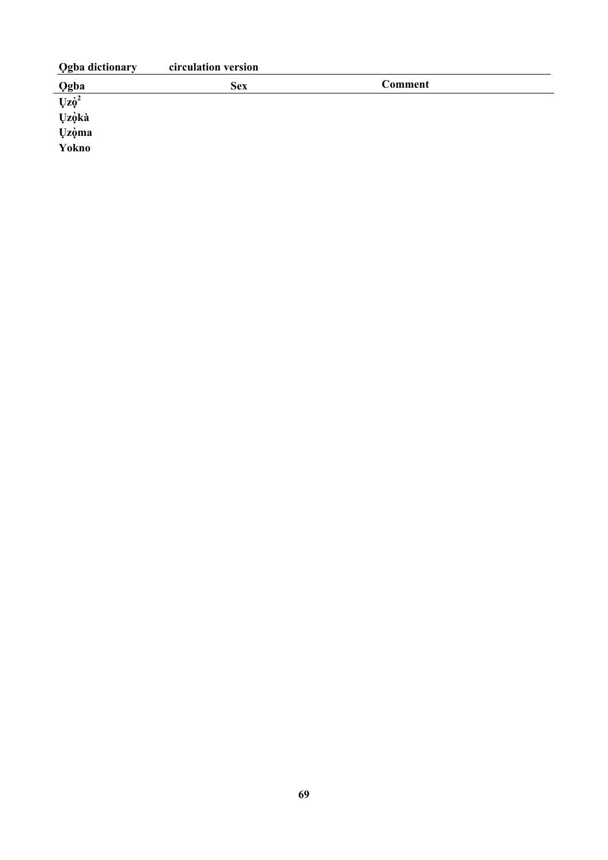| <b>Ogba dictionary</b> | circulation version |                |  |
|------------------------|---------------------|----------------|--|
| <u>Qgba</u>            | <b>Sex</b>          | <b>Comment</b> |  |
| $\overline{Uz\rho^2}$  |                     |                |  |
| <b>Ųzòkà</b>           |                     |                |  |
| <b>Uz</b> òma          |                     |                |  |
| Yokno                  |                     |                |  |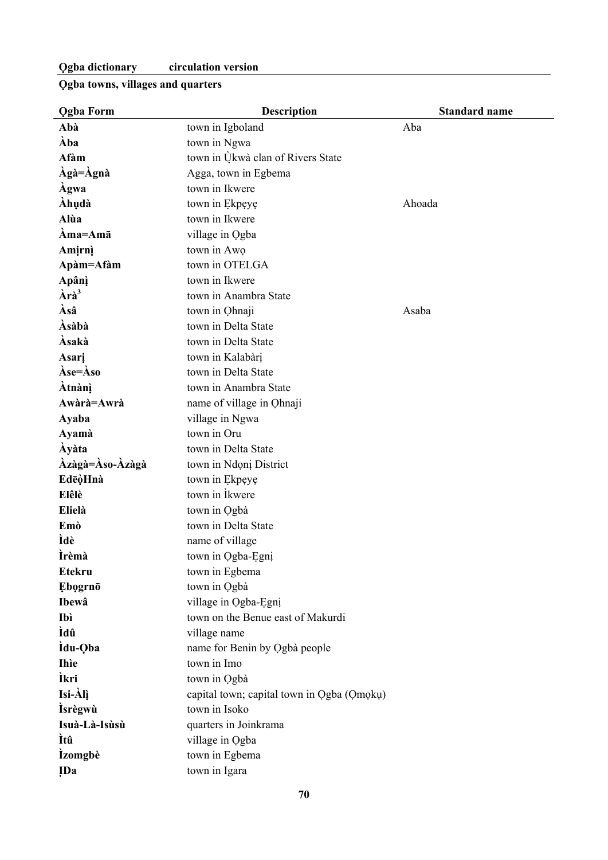## **Ọgba dictionary circulation version**

## **Ọgba towns, villages and quarters**

| <b>Qgba Form</b>                   | <b>Description</b>                         | <b>Standard name</b> |
|------------------------------------|--------------------------------------------|----------------------|
| Abà                                | town in Igboland                           | Aba                  |
| Àba                                | town in Ngwa                               |                      |
| Afàm                               | town in Ùkwà clan of Rivers State          |                      |
| Àgà=Àgnà                           | Agga, town in Egbema                       |                      |
| Àgwa                               | town in Ikwere                             |                      |
| Àhụdà                              | town in Ekpeye                             | Ahoada               |
| Alùa                               | town in Ikwere                             |                      |
| Àma=Amā                            | village in Ogba                            |                      |
| Amirni                             | town in Awo                                |                      |
| Apàm=Afàm                          | town in OTELGA                             |                      |
| Apânì                              | town in Ikwere                             |                      |
| $\mathbf{\hat{A}}$ rà <sup>3</sup> | town in Anambra State                      |                      |
| Àsâ                                | town in Ohnaji                             | Asaba                |
| Àsàbà                              | town in Delta State                        |                      |
| Àsakà                              | town in Delta State                        |                      |
| Asari                              | town in Kalabàri                           |                      |
| $\angle$ Ase= $\angle$ Aso         | town in Delta State                        |                      |
| <b>Atnàn</b>                       | town in Anambra State                      |                      |
| Awàrà=Awrà                         | name of village in Ohnaji                  |                      |
| Ayaba                              | village in Ngwa                            |                      |
| Ayamà                              | town in Oru                                |                      |
| Àyàta                              | town in Delta State                        |                      |
| Azàgà=Àso-Àzàgà                    | town in Ndoni District                     |                      |
| EdeoHnà                            | town in Ekpeye                             |                      |
| Elêlè                              | town in Ikwere                             |                      |
| Elielà                             | town in Ogbà                               |                      |
| Emò                                | town in Delta State                        |                      |
| Ìdè                                | name of village                            |                      |
| <b>Irèmà</b>                       | town in Ogba-Egni                          |                      |
| <b>Etekru</b>                      | town in Egbema                             |                      |
| Ebogrnō                            | town in Ogbà                               |                      |
| Ibewâ                              | village in Ogba-Egni                       |                      |
| <b>Ibi</b>                         | town on the Benue east of Makurdi          |                      |
| Ìdû                                | village name                               |                      |
| Ìdu-Qba                            | name for Benin by Ogbà people              |                      |
| <b>Ihie</b>                        | town in Imo                                |                      |
| Ìkri                               | town in Ogbà                               |                      |
| Isi-Àlì                            | capital town; capital town in Ogba (Omoku) |                      |
| <i><u><b>İsrègwù</b></u></i>       | town in Isoko                              |                      |
| Isuà-Là-Isùsù                      | quarters in Joinkrama                      |                      |
| Ìtû                                | village in Ogba                            |                      |
| <i><u><b>Izomgbè</b></u></i>       | town in Egbema                             |                      |
| <b>IDa</b>                         | town in Igara                              |                      |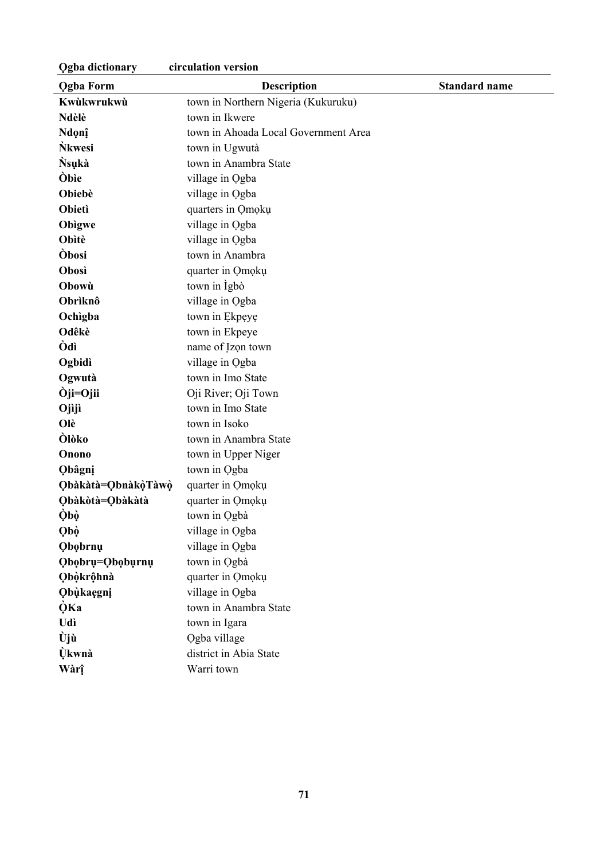| <b>Qgba</b> dictionary | circulation version                  |                      |
|------------------------|--------------------------------------|----------------------|
| <b>Qgba Form</b>       | <b>Description</b>                   | <b>Standard name</b> |
| Kwùkwrukwù             | town in Northern Nigeria (Kukuruku)  |                      |
| <b>Ndèlè</b>           | town in Ikwere                       |                      |
| Ndọnî                  | town in Ahoada Local Government Area |                      |
| <b>Nkwesi</b>          | town in Ugwutà                       |                      |
| <b>Nsuka</b>           | town in Anambra State                |                      |
| <b>Obie</b>            | village in Ogba                      |                      |
| Obiebè                 | village in Ogba                      |                      |
| <b>Obietì</b>          | quarters in Omoku                    |                      |
| Obìgwe                 | village in Ogba                      |                      |
| Obìtè                  | village in Ogba                      |                      |
| <b>Obosi</b>           | town in Anambra                      |                      |
| Obosì                  | quarter in Omoku                     |                      |
| Obowù                  | town in Igbò                         |                      |
| Obrìknô                | village in Ogba                      |                      |
| Ochigba                | town in Ekpeye                       |                      |
| Odêkè                  | town in Ekpeye                       |                      |
| Òdì                    | name of Izon town                    |                      |
| Ogbidì                 | village in Ogba                      |                      |
| Ogwutà                 | town in Imo State                    |                      |
| Òji=Ojii               | Oji River; Oji Town                  |                      |
| Ojìjì                  | town in Imo State                    |                      |
| Olè                    | town in Isoko                        |                      |
| <b>Òlòko</b>           | town in Anambra State                |                      |
| Onono                  | town in Upper Niger                  |                      |
| <b>Obâgni</b>          | town in Ogba                         |                      |
| Qbàkàtà=QbnàkòTàwò     | quarter in Omoku                     |                      |
| Qbàkòtà=Qbàkàtà        | quarter in Omoku                     |                      |
| Òbò                    | town in Ogbà                         |                      |
| Qbò                    | village in Ogba                      |                      |
| <b>Obobrnu</b>         | village in Ogba                      |                      |
| Qbobru=Qboburnu        | town in Ogbà                         |                      |
| Qbòkrôhnà              | quarter in Omoku                     |                      |
| <b>Obùkaegni</b>       | village in Ogba                      |                      |
| ÒКа                    | town in Anambra State                |                      |
| Udì                    | town in Igara                        |                      |
| Ùjù                    | Ogba village                         |                      |
| <b>Ùkwnà</b>           | district in Abia State               |                      |
| Wàrî                   | Warri town                           |                      |